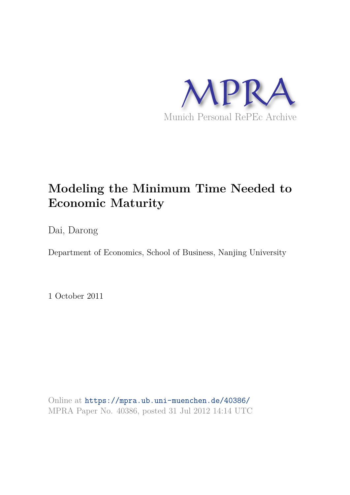

# **Modeling the Minimum Time Needed to Economic Maturity**

Dai, Darong

Department of Economics, School of Business, Nanjing University

1 October 2011

Online at https://mpra.ub.uni-muenchen.de/40386/ MPRA Paper No. 40386, posted 31 Jul 2012 14:14 UTC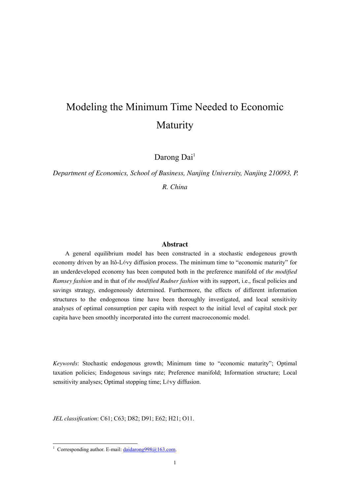# Modeling the Minimum Time Needed to Economic Maturity

Darong Dai<sup>1</sup>

*Department of Economics, School of Business, Nanjing University, Nanjing 210093, P. R. China*

#### **Abstract**

A general equilibrium model has been constructed in a stochastic endogenous growth economy driven by an Itô-Lévy diffusion process. The minimum time to "economic maturity" for an underdeveloped economy has been computed both in the preference manifold of *the modified Ramsey fashion* and in that of *the modified Radner fashion* with its support, i.e., fiscal policies and savings strategy, endogenously determined. Furthermore, the effects of different information structures to the endogenous time have been thoroughly investigated, and local sensitivity analyses of optimal consumption per capita with respect to the initial level of capital stock per capita have been smoothly incorporated into the current macroeconomic model.

*Keywords*: Stochastic endogenous growth; Minimum time to "economic maturity"; Optimal taxation policies; Endogenous savings rate; Preference manifold; Information structure; Local sensitivity analyses; Optimal stopping time; Lévy diffusion.

*JEL classification*: C61; C63; D82; D91; E62; H21; O11.

 $\frac{1}{1}$  Corresponding author. E-mail:  $\frac{1}{2}$  daidarong 998@163.com.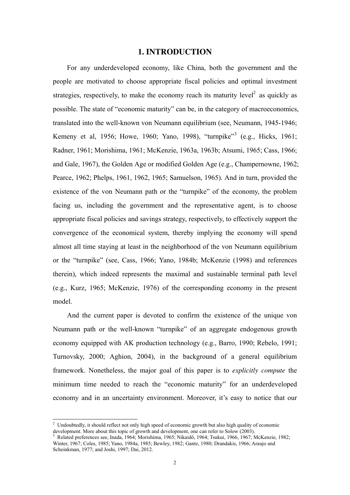# **1. INTRODUCTION**

For any underdeveloped economy, like China, both the government and the people are motivated to choose appropriate fiscal policies and optimal investment strategies, respectively, to make the economy reach its maturity level<sup>2</sup> as quickly as possible. The state of "economic maturity" can be, in the category of macroeconomics, translated into the well-known von Neumann equilibrium (see, Neumann, 1945-1946; Kemeny et al, 1956; Howe, 1960; Yano, 1998), "turnpike"<sup>3</sup> (e.g., Hicks, 1961; Radner, 1961; Morishima, 1961; McKenzie, 1963a, 1963b; Atsumi, 1965; Cass, 1966; and Gale, 1967), the Golden Age or modified Golden Age (e.g., Champernowne, 1962; Pearce, 1962; Phelps, 1961, 1962, 1965; Samuelson, 1965). And in turn, provided the existence of the von Neumann path or the "turnpike" of the economy, the problem facing us, including the government and the representative agent, is to choose appropriate fiscal policies and savings strategy, respectively, to effectively support the convergence of the economical system, thereby implying the economy will spend almost all time staying at least in the neighborhood of the von Neumann equilibrium or the "turnpike" (see, Cass, 1966; Yano, 1984b; McKenzie (1998) and references therein), which indeed represents the maximal and sustainable terminal path level (e.g., Kurz, 1965; McKenzie, 1976) of the corresponding economy in the present model.

And the current paper is devoted to confirm the existence of the unique von Neumann path or the well-known "turnpike" of an aggregate endogenous growth economy equipped with AK production technology (e.g., Barro, 1990; Rebelo, 1991; Turnovsky, 2000; Aghion, 2004), in the background of a general equilibrium framework. Nonetheless, the major goal of this paper is to *explicitly compute* the minimum time needed to reach the "economic maturity" for an underdeveloped economy and in an uncertainty environment. Moreover, it's easy to notice that our

 2 Undoubtedly, it should reflect not only high speed of economic growth but also high quality of economic development. More about this topic of growth and development, one can refer to Solow (2003).<br><sup>3</sup> Belated proferences see Junda 1964: Merishima 1965: Nikoidâ 1964: Teulau 1966, 1967: N

Related preferences see, Inada, 1964; Morishima, 1965; Nikaidô, 1964; Tsukui, 1966, 1967; McKenzie, 1982; Winter, 1967; Coles, 1985; Yano, 1984a, 1985; Bewley, 1982; Gantz, 1980; Drandakis, 1966; Araujo and Scheinkman, 1977; and Joshi, 1997; Dai, 2012.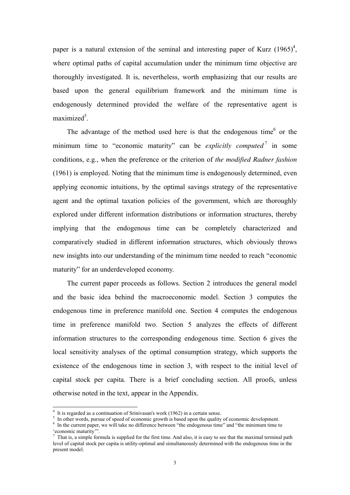paper is a natural extension of the seminal and interesting paper of Kurz  $(1965)^4$ , where optimal paths of capital accumulation under the minimum time objective are thoroughly investigated. It is, nevertheless, worth emphasizing that our results are based upon the general equilibrium framework and the minimum time is endogenously determined provided the welfare of the representative agent is maximized<sup>5</sup>.

The advantage of the method used here is that the endogenous time $<sup>6</sup>$  or the</sup> minimum time to "economic maturity" can be *explicitly computed*  $\bar{a}$  in some conditions, e.g., when the preference or the criterion of *the modified Radner fashion*  (1961) is employed. Noting that the minimum time is endogenously determined, even applying economic intuitions, by the optimal savings strategy of the representative agent and the optimal taxation policies of the government, which are thoroughly explored under different information distributions or information structures, thereby implying that the endogenous time can be completely characterized and comparatively studied in different information structures, which obviously throws new insights into our understanding of the minimum time needed to reach "economic maturity" for an underdeveloped economy.

The current paper proceeds as follows. Section 2 introduces the general model and the basic idea behind the macroeconomic model. Section 3 computes the endogenous time in preference manifold one. Section 4 computes the endogenous time in preference manifold two. Section 5 analyzes the effects of different information structures to the corresponding endogenous time. Section 6 gives the local sensitivity analyses of the optimal consumption strategy, which supports the existence of the endogenous time in section 3, with respect to the initial level of capital stock per capita. There is a brief concluding section. All proofs, unless otherwise noted in the text, appear in the Appendix.

 4 It is regarded as a continuation of Srinivasan's work (1962) in a certain sense.

<sup>&</sup>lt;sup>5</sup> In other words, pursue of speed of economic growth is based upon the quality of economic development.

<sup>&</sup>lt;sup>6</sup> In the current paper, we will take no difference between "the endogenous time" and "the minimum time to 'economic maturity'".

 $<sup>7</sup>$  That is, a simple formula is supplied for the first time. And also, it is easy to see that the maximal terminal path</sup> level of capital stock per capita is utility-optimal and simultaneously determined with the endogenous time in the present model.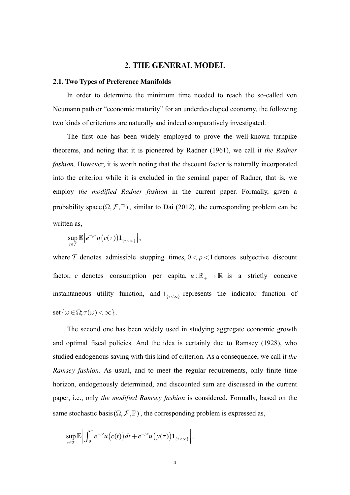#### 2. THE GENERAL MODEL

#### 2.1. Two Types of Preference Manifolds

In order to determine the minimum time needed to reach the so-called von Neumann path or "economic maturity" for an underdeveloped economy, the following two kinds of criterions are naturally and indeed comparatively investigated.

The first one has been widely employed to prove the well-known turnpike theorems, and noting that it is pioneered by Radner (1961), we call it the Radner *fashion*. However, it is worth noting that the discount factor is naturally incorporated into the criterion while it is excluded in the seminal paper of Radner, that is, we employ the modified Radner fashion in the current paper. Formally, given a probability space  $(\Omega, \mathcal{F}, \mathbb{P})$ , similar to Dai (2012), the corresponding problem can be written as,

$$
\sup_{\tau\in\mathcal{T}}\mathbb{E}\big[e^{-\rho\tau}u\big(c(\tau)\big)\mathbf{1}_{\{\tau<\infty\}}\big],
$$

where T denotes admissible stopping times,  $0 < \rho < 1$  denotes subjective discount factor, c denotes consumption per capita,  $u : \mathbb{R}_+ \to \mathbb{R}$  is a strictly concave instantaneous utility function, and  $1_{\{\tau<\infty\}}$  represents the indicator function of set  $\{\omega \in \Omega; \tau(\omega) < \infty\}$ .

The second one has been widely used in studying aggregate economic growth and optimal fiscal policies. And the idea is certainly due to Ramsey (1928), who studied endogenous saving with this kind of criterion. As a consequence, we call it the Ramsey fashion. As usual, and to meet the regular requirements, only finite time horizon, endogenously determined, and discounted sum are discussed in the current paper, i.e., only the modified Ramsey fashion is considered. Formally, based on the same stochastic basis  $(\Omega, \mathcal{F}, \mathbb{P})$ , the corresponding problem is expressed as,

$$
\sup_{\tau\in\mathcal{T}}\mathbb{E}\bigg[\int_0^{\tau}e^{-\rho t}u\big(c(t)\big)dt+e^{-\rho\tau}u\big(\,y(\tau)\big)\mathbf{1}_{\{\tau<\infty\}}\bigg],
$$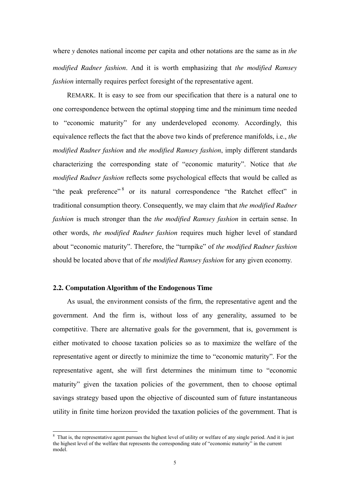where *y* denotes national income per capita and other notations are the same as in *the modified Radner fashion*. And it is worth emphasizing that *the modified Ramsey fashion* internally requires perfect foresight of the representative agent.

REMARK. It is easy to see from our specification that there is a natural one to one correspondence between the optimal stopping time and the minimum time needed to "economic maturity" for any underdeveloped economy. Accordingly, this equivalence reflects the fact that the above two kinds of preference manifolds, i.e., *the modified Radner fashion* and *the modified Ramsey fashion*, imply different standards characterizing the corresponding state of "economic maturity". Notice that *the modified Radner fashion* reflects some psychological effects that would be called as "the peak preference"<sup>8</sup> or its natural correspondence "the Ratchet effect" in traditional consumption theory. Consequently, we may claim that *the modified Radner fashion* is much stronger than the *the modified Ramsey fashion* in certain sense. In other words, *the modified Radner fashion* requires much higher level of standard about "economic maturity". Therefore, the "turnpike" of *the modified Radner fashion* should be located above that of *the modified Ramsey fashion* for any given economy.

# **2.2. Computation Algorithm of the Endogenous Time**

As usual, the environment consists of the firm, the representative agent and the government. And the firm is, without loss of any generality, assumed to be competitive. There are alternative goals for the government, that is, government is either motivated to choose taxation policies so as to maximize the welfare of the representative agent or directly to minimize the time to "economic maturity". For the representative agent, she will first determines the minimum time to "economic maturity" given the taxation policies of the government, then to choose optimal savings strategy based upon the objective of discounted sum of future instantaneous utility in finite time horizon provided the taxation policies of the government. That is

<sup>&</sup>lt;sup>8</sup> That is, the representative agent pursues the highest level of utility or welfare of any single period. And it is just the highest level of the welfare that represents the corresponding state of "economic maturity" in the current model.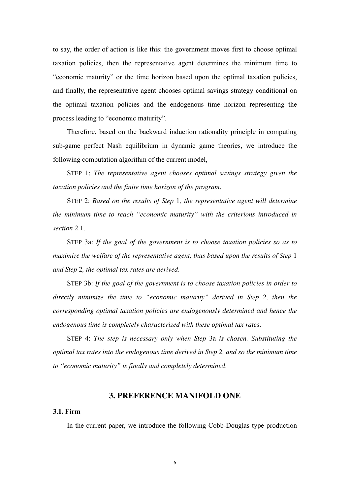to say, the order of action is like this: the government moves first to choose optimal taxation policies, then the representative agent determines the minimum time to "economic maturity" or the time horizon based upon the optimal taxation policies, and finally, the representative agent chooses optimal savings strategy conditional on the optimal taxation policies and the endogenous time horizon representing the process leading to "economic maturity".

Therefore, based on the backward induction rationality principle in computing sub-game perfect Nash equilibrium in dynamic game theories, we introduce the following computation algorithm of the current model,

STEP 1: *The representative agent chooses optimal savings strategy given the taxation policies and the finite time horizon of the program*.

STEP 2: *Based on the results of Step* 1*, the representative agent will determine the minimum time to reach "economic maturity" with the criterions introduced in section* 2.1.

STEP 3a: *If the goal of the government is to choose taxation policies so as to maximize the welfare of the representative agent, thus based upon the results of Step 1 and Step* 2*, the optimal tax rates are derived*.

STEP 3b: *If the goal of the government is to choose taxation policies in order to directly minimize the time to "economic maturity" derived in Step* 2*, then the corresponding optimal taxation policies are endogenously determined and hence the endogenous time is completely characterized with these optimal tax rates*.

STEP 4: *The step is necessary only when Step* 3a *is chosen. Substituting the optimal tax rates into the endogenous time derived in Step* 2*, and so the minimum time to "economic maturity" is finally and completely determined*.

# **3. PREFERENCE MANIFOLD ONE**

### **3.1. Firm**

In the current paper, we introduce the following Cobb-Douglas type production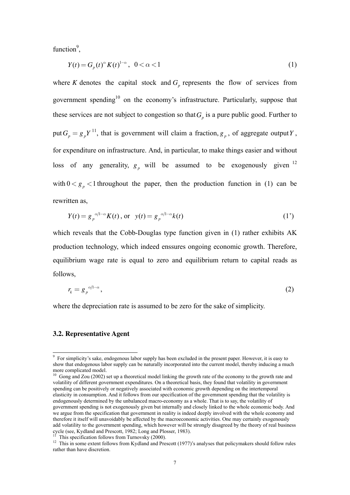function $9$ ,

$$
Y(t) = G_p(t)^{\alpha} K(t)^{1-\alpha}, \ \ 0 < \alpha < 1
$$
 (1)

where *K* denotes the capital stock and  $G_p$  represents the flow of services from government spending<sup>10</sup> on the economy's infrastructure. Particularly, suppose that these services are not subject to congestion so that  $G_p$  is a pure public good. Further to put  $G_p = g_p Y^{11}$ , that is government will claim a fraction,  $g_p$ , of aggregate output Y, for expenditure on infrastructure. And, in particular, to make things easier and without loss of any generality,  $g_p$  will be assumed to be exogenously given  $^{12}$ with  $0 < g_n < 1$  throughout the paper, then the production function in (1) can be rewritten as,

$$
Y(t) = g_p^{\alpha/l - \alpha} K(t), \text{ or } y(t) = g_p^{\alpha/l - \alpha} k(t)
$$
 (1')

which reveals that the Cobb-Douglas type function given in (1) rather exhibits AK production technology, which indeed enssures ongoing economic growth. Therefore, equilibrium wage rate is equal to zero and equilibrium return to capital reads as follows,

$$
r_k = g_p^{\alpha/l - \alpha},\tag{2}
$$

where the depreciation rate is assumed to be zero for the sake of simplicity.

### **3.2. Representative Agent**

-

This specification follows from Turnovsky (2000).

<sup>&</sup>lt;sup>9</sup> For simplicity's sake, endogenous labor supply has been excluded in the present paper. However, it is easy to show that endogenous labor supply can be naturally incorporated into the current model, thereby inducing a much more complicated model.

<sup>&</sup>lt;sup>10</sup> Gong and Zou (2002) set up a theoretical model linking the growth rate of the economy to the growth rate and volatility of different government expenditures. On a theoretical basis, they found that volatility in government spending can be positively or negatively associated with economic growth depending on the intertemporal elasticity in consumption. And it follows from our specification of the government spending that the volatility is endogenously determined by the unbalanced macro-economy as a whole. That is to say, the volatility of government spending is not exogenously given but internally and closely linked to the whole economic body. And we argue from the specification that government in reality is indeed deeply involved with the whole economy and therefore it itself will unavoidably be affected by the macroeconomic activities. One may certainly exogenously add volatility to the government spending, which however will be strongly disagreed by the theory of real business cycle (see, Kydland and Prescott, 1982; Long and Plosser, 1983).

<sup>&</sup>lt;sup>12</sup> This in some extent follows from Kydland and Prescott (1977)'s analyses that policymakers should follow rules rather than have discretion.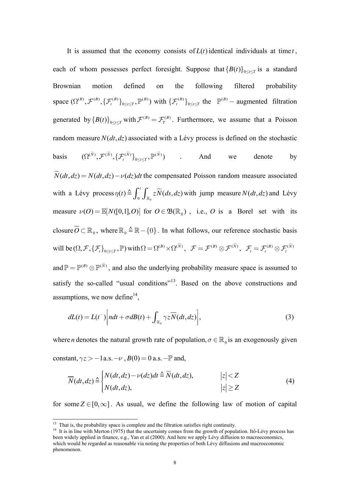It is assumed that the economy consists of  $L(t)$  identical individuals at time  $t$ , each of whom possesses perfect foresight. Suppose that  ${B(t)}_{0 \le t \le T}$  is a standard Brownian motion defined on the following filtered probability space  $(\Omega^{(B)}, \mathcal{F}^{(B)}, \{\mathcal{F}^{(B)}_t\}_{0 \leq t \leq T}, \mathbb{P}^{(B)})$  with  $\{\mathcal{F}^{(B)}_t\}_0$ *B*  $\{\mathcal{F}_{t}^{(B)}\}_{0 \leq t \leq T}$  the  $\mathbb{P}^{(B)}$  - augmented filtration generated by  ${B(t)}_{0 \le t \le T}$  with  $\mathcal{F}^{(B)} = \mathcal{F}^{(B)}_T$ . Furthermore, we assume that a Poisson random measure  $N(dt, dz)$  associated with a Lévy process is defined on the stochastic basis  $(\Omega^{(\tilde{N})}, \mathcal{F}^{(\tilde{N})}, {\{\mathcal{F}_{t}^{(\tilde{N})}\}}_{0 \leq t \leq T}, \mathbb{P}^{(\tilde{N})})$  . And we denote by  $\widetilde{N}(dt, dz) = N(dt, dz) - \nu(dz)dt$  the compensated Poisson random measure associated with a Lévy process  $\eta(t) \triangleq \int_0^t \int_{\mathbb{R}_0} z \widetilde{N}(ds, dz)$  with jump measure  $N(dt, dz)$  and Lévy measure  $\nu(O) = \mathbb{E}[N([0,1], O)]$  for  $O \in \mathfrak{B}(\mathbb{R}_{0})$ , i.e., *O* is a Borel set with its closure  $O \subset \mathbb{R}_0$ , where  $\mathbb{R}_0 \triangleq \mathbb{R} - \{0\}$ . In what follows, our reference stochastic basis will be  $(\Omega, \mathcal{F}, \{\mathcal{F}_t\}_{0 \leq t \leq T}, \mathbb{P})$  with  $\Omega = \Omega^{(B)} \times \Omega^{(\widetilde{N})}$ ,  $\mathcal{F} = \mathcal{F}^{(B)} \otimes \mathcal{F}^{(\widetilde{N})}$ ,  $\mathcal{F}_t = \mathcal{F}^{(B)}_t \otimes \mathcal{F}^{(\widetilde{N})}$ and  $\mathbb{P} = \mathbb{P}^{(B)} \otimes \mathbb{P}^{(\tilde{N})}$ , and also the underlying probability measure space is assumed to

satisfy the so-called "usual conditions"<sup>13</sup>. Based on the above constructions and assumptions, we now define  $14$ ,

$$
dL(t) = L(t^{-}) \bigg[ ndt + \sigma dB(t) + \int_{\mathbb{R}_0} \gamma z \overline{N}(dt, dz) \bigg],
$$
\n(3)

where *n* denotes the natural growth rate of population,  $\sigma \in \mathbb{R}_{0}$  is an exogenously given constant,  $\gamma z > -1$  a.s.  $-\nu$ ,  $B(0) = 0$  a.s.  $-\mathbb{P}$  and,

$$
\overline{N}(dt, dz) \triangleq \begin{cases} N(dt, dz) - \nu(dz)dt \triangleq \widetilde{N}(dt, dz), & |z| < Z \\ N(dt, dz), & |z| \ge Z \end{cases}
$$
(4)

for some  $Z \in [0, \infty]$ . As usual, we define the following law of motion of capital

-

<sup>&</sup>lt;sup>13</sup> That is, the probability space is complete and the filtration satisfies right continuity.

<sup>&</sup>lt;sup>14</sup> It is in line with Merton (1975) that the uncertainty comes from the growth of population. Itô-Lévy process has been widely applied in finance, e.g., Yan et al (2000). And here we apply Lévy diffusion to macroeconomics, which would be regarded as reasonable via noting the properties of both Lévy diffusions and macroeconomic phenomenon.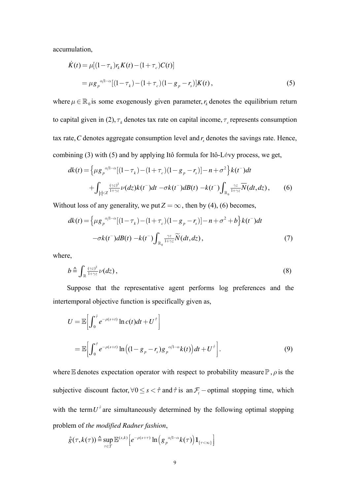accumulation,

$$
\dot{K}(t) = \mu[(1 - \tau_k)r_k K(t) - (1 + \tau_c)C(t)]
$$
  
=  $\mu g_p^{\alpha/1-\alpha}[(1 - \tau_k) - (1 + \tau_c)(1 - g_p - r_s)]K(t)$ , (5)

where  $\mu \in \mathbb{R}_0$  is some exogenously given parameter,  $r_k$  denotes the equilibrium return to capital given in (2),  $\tau_k$  denotes tax rate on capital income,  $\tau_c$  represents consumption tax rate,  $C$  denotes aggregate consumption level and  $r<sub>s</sub>$  denotes the savings rate. Hence, combining (3) with (5) and by applying Itô formula for Itô-Lévy process, we get,

$$
dk(t) = \left\{ \mu g_p^{\alpha/1-\alpha} [(1-\tau_k) - (1+\tau_c)(1-g_p - r_s)] - n + \sigma^2 \right\} k(t^-) dt
$$
  
+ 
$$
\int_{|z| < Z} \frac{(\gamma z)^2}{1+\gamma z} \nu(dz) k(t^-) dt - \sigma k(t^-) dB(t) - k(t^-) \int_{\mathbb{R}_0} \frac{\gamma z}{1+\gamma z} \overline{N}(dt, dz), \qquad (6)
$$

Without loss of any generality, we put  $Z = \infty$ , then by (4), (6) becomes,

$$
dk(t) = \left\{ \mu g_p^{\alpha/1-\alpha} \left[ (1-\tau_k) - (1+\tau_c)(1-g_p - r_s) \right] - n + \sigma^2 + b \right\} k(t^-) dt
$$

$$
-\sigma k(t^-) dB(t) - k(t^-) \int_{\mathbb{R}_0} \frac{\gamma z}{1+\gamma z} \widetilde{N}(dt, dz), \tag{7}
$$

where,

$$
b \stackrel{\Delta}{=} \int_{\mathbb{R}} \frac{(\gamma z)^2}{1 + \gamma z} \nu(dz), \tag{8}
$$

Suppose that the representative agent performs log preferences and the intertemporal objective function is specifically given as,

$$
U = \mathbb{E}\bigg[\int_0^{\hat{\tau}} e^{-\rho(s+t)} \ln c(t) dt + U^{\hat{\tau}}\bigg]
$$
  
= 
$$
\mathbb{E}\bigg[\int_0^{\hat{\tau}} e^{-\rho(s+t)} \ln\big((1-g_p-r_s)g_p^{-\alpha/1-\alpha}k(t)\big) dt + U^{\hat{\tau}}\bigg].
$$
 (9)

where E denotes expectation operator with respect to probability measure  $\mathbb{P}, \rho$  is the subjective discount factor,  $\forall 0 \le s < \hat{\tau}$  and  $\hat{\tau}$  is an  $\mathcal{F}_t$  -optimal stopping time, which with the term  $U^{\dagger}$  are simultaneously determined by the following optimal stopping problem of *the modified Radner fashion*,

$$
\hat{g}(\tau, k(\tau)) \triangleq \sup_{\tau \in \mathcal{T}} \mathbb{E}^{(s,k)} \Big[ e^{-\rho(s+\tau)} \ln \Big( g_p^{\alpha/1-\alpha} k(\tau) \Big) \mathbf{1}_{\{\tau < \infty\}} \Big]
$$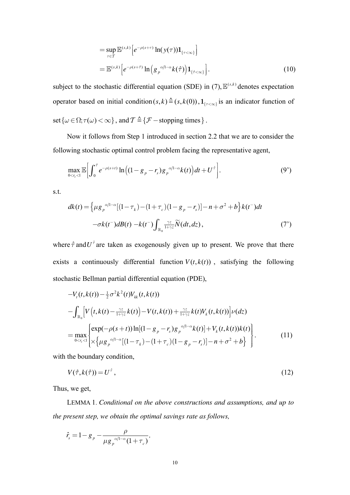$$
= \sup_{\tau \in \mathcal{T}} \mathbb{E}^{(s,k)} \left[ e^{-\rho(s+\tau)} \ln(y(\tau)) \mathbf{1}_{\{\tau < \infty\}} \right]
$$
  

$$
= \mathbb{E}^{(s,k)} \left[ e^{-\rho(s+\hat{\tau})} \ln \left( g_p^{-\alpha/1-\alpha} k(\hat{\tau}) \right) \mathbf{1}_{\{\hat{\tau} < \infty\}} \right].
$$
 (10)

subject to the stochastic differential equation (SDE) in (7),  $\mathbb{E}^{(s,k)}$  denotes expectation operator based on initial condition  $(s, k) \triangleq (s, k(0))$ ,  $\mathbf{1}_{\{\tau < \infty\}}$  is an indicator function of set  $\{\omega \in \Omega; \tau(\omega) < \infty\}$ , and  $\mathcal{T} \triangleq \{\mathcal{F} - \text{stopping times}\}\.$ 

Now it follows from Step 1 introduced in section 2.2 that we are to consider the following stochastic optimal control problem facing the representative agent,

$$
\max_{0 < r_s < 1} \mathbb{E} \bigg[ \int_0^{\hat{\tau}} e^{-\rho(s+t)} \ln \big( (1 - g_p - r_s) g_p^{-\alpha/1 - \alpha} k(t) \big) dt + U^{\hat{\tau}} \bigg]. \tag{9'}
$$

s.t.

$$
dk(t) = \left\{ \mu g_p^{\alpha/1-\alpha} [(1-\tau_k) - (1+\tau_c)(1-g_p - r_s)] - n + \sigma^2 + b \right\} k(t^-) dt
$$
  

$$
-\sigma k(t^-) dB(t) - k(t^-) \int_{\mathbb{R}_0} \frac{\gamma z}{1+\gamma z} \widetilde{N}(dt, dz), \tag{7'}
$$

where  $\hat{\tau}$  and  $U^{\hat{\tau}}$  are taken as exogenously given up to present. We prove that there exists a continuously differential function  $V(t, k(t))$ , satisfying the following stochastic Bellman partial differential equation (PDE),

$$
-V_{t}(t,k(t)) - \frac{1}{2}\sigma^{2}k^{2}(t)V_{kk}(t,k(t))
$$
  
\n
$$
-\int_{\mathbb{R}_{0}}\left[V\left(t,k(t)-\frac{\gamma z}{1+\gamma z}k(t)\right)-V(t,k(t))+\frac{\gamma z}{1+\gamma z}k(t)V_{k}(t,k(t))\right]\nu(dz)
$$
  
\n
$$
=\max_{0  
\n
$$
=\max_{0\n(11)
$$
$$

with the boundary condition,

$$
V(\hat{\tau}, k(\hat{\tau})) = U^{\hat{\tau}}, \tag{12}
$$

Thus, we get,

LEMMA 1. Conditional on the above constructions and assumptions, and up to the present step, we obtain the optimal savings rate as follows,

$$
\hat{r}_s = 1 - g_p - \frac{\rho}{\mu g_p^{\alpha/1-\alpha} (1 + \tau_c)},
$$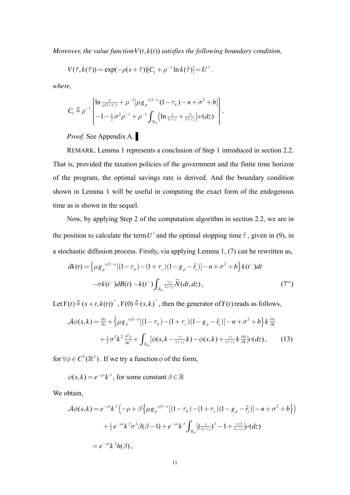*Moreover, the value function*  $V(t, k(t))$  *satisfies the following boundary condition,* 

$$
V(\hat{\tau}, k(\hat{\tau})) = \exp(-\rho(s+\hat{\tau})) [C_1 + \rho^{-1} \ln k(\hat{\tau})] = U^{\hat{\tau}}.
$$

*where,* 

$$
C_1 \triangleq \rho^{-1} \begin{bmatrix} \ln \frac{\rho}{\mu(1+\tau_c)} + \rho^{-1} [\mu g_p^{\alpha/1-\alpha} (1-\tau_k) - n + \sigma^2 + b] \\ -1 - \frac{1}{2} \sigma^2 \rho^{-1} + \rho^{-1} \int_{\mathbb{R}_0} (\ln \frac{1}{1+\gamma z} + \frac{\gamma z}{1+\gamma z}) \nu(dz) \end{bmatrix}.
$$

*Proof*. See Appendix A. ▌

REMARK. Lemma 1 represents a conclusion of Step 1 introduced in section 2.2. That is, provided the taxation policies of the government and the finite time horizon of the program, the optimal savings rate is derived. And the boundary condition shown in Lemma 1 will be useful in computing the exact form of the endogenous time as is shown in the sequel.

Now, by applying Step 2 of the computation algorithm in section 2.2, we are in the position to calculate the term  $U^{\dagger}$  and the optimal stopping time  $\hat{\tau}$ , given in (9), in a stochastic diffusion process. Firstly, via applying Lemma 1, (7) can be rewritten as,

$$
dk(t) = \left\{ \mu g_p^{\alpha/1-\alpha} [(1-\tau_k) - (1+\tau_c)(1-g_p - \hat{r}_s)] - n + \sigma^2 + b \right\} k(t^-) dt
$$
  

$$
-\sigma k(t^-) dB(t) - k(t^-) \int_{\mathbb{R}_0} \frac{\gamma z}{1+\gamma z} \widetilde{N}(dt, dz), \tag{7"}
$$

Let  $Y(t) \triangleq (s + t, k(t))^T$ ,  $Y(0) \triangleq (s, k)^T$ , then the generator of  $Y(t)$  reads as follows,

$$
\mathcal{A}\phi(s,k) = \frac{\partial\phi}{\partial s} + \left\{\mu g_p^{\alpha/1-\alpha}[(1-\tau_k) - (1+\tau_c)(1-g_p - \hat{r}_s)] - n + \sigma^2 + b\right\}k\frac{\partial\phi}{\partial k} + \frac{1}{2}\sigma^2k^2\frac{\partial^2\phi}{\partial k^2} + \int_{\mathbb{R}_0} \left[\phi(s,k - \frac{\gamma z}{1+\gamma z}k) - \phi(s,k) + \frac{\gamma z}{1+\gamma z}k\frac{\partial\phi}{\partial k}[\nu(dz), \quad (13)
$$

for  $\forall \phi \in C^2(\mathbb{R}^2)$ . If we try a function  $\phi$  of the form,

 $\phi(s, k) = e^{-\rho s} k^{\beta}$ , for some constant  $\beta \in \mathbb{R}$ 

We obtain,

$$
\mathcal{A}\phi(s,k) = e^{-\rho s}k^{\beta}\left(-\rho + \beta \left\{\mu g_{p}^{\alpha/1-\alpha}\left[(1-\tau_{k}) - (1+\tau_{c})(1-g_{p} - \hat{r}_{s})\right] - n + \sigma^{2} + b\right\}\right)
$$

$$
+ \frac{1}{2}e^{-\rho s}k^{\beta}\sigma^{2}\beta(\beta-1) + e^{-\rho s}k^{\beta}\int_{\mathbb{R}_{0}}\left[(\frac{1}{1+\gamma z})^{\beta} - 1 + \frac{\gamma z\beta}{1+\gamma z}\right]\nu(dz)
$$

$$
= e^{-\rho s}k^{\beta}h(\beta),
$$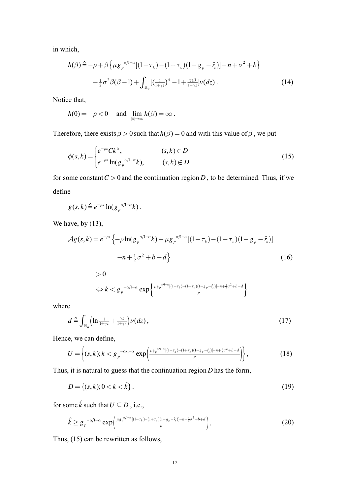in which,

$$
h(\beta) \triangleq -\rho + \beta \left\{ \mu g_p^{\alpha/1-\alpha} [(1-\tau_k) - (1+\tau_c)(1-g_p - \hat{r}_s)] - n + \sigma^2 + b \right\}
$$
  
+ 
$$
\frac{1}{2} \sigma^2 \beta (\beta - 1) + \int_{\mathbb{R}_0} [(\frac{1}{1+\gamma z})^{\beta} - 1 + \frac{\gamma z \beta}{1+\gamma z}] \nu(dz).
$$
 (14)

Notice that,

$$
h(0) = -\rho < 0 \quad \text{and} \quad \lim_{|\beta| \to \infty} h(\beta) = \infty \, .
$$

Therefore, there exists  $\beta > 0$  such that  $h(\beta) = 0$  and with this value of  $\beta$ , we put

$$
\phi(s,k) = \begin{cases} e^{-\rho s} C k^{\beta}, & (s,k) \in D \\ e^{-\rho s} \ln(g_{\rho}^{\alpha/1-\alpha} k), & (s,k) \notin D \end{cases}
$$
(15)

for some constant  $C > 0$  and the continuation region *D*, to be determined. Thus, if we define

$$
g(s,k)\triangleq e^{-\rho s}\ln(g_p^{-\alpha/1-\alpha}k).
$$

 $> 0$ 

We have, by  $(13)$ ,

$$
\mathcal{A}g(s,k) = e^{-\rho s} \left\{ -\rho \ln(g_{\rho}^{\alpha/1-\alpha}k) + \mu g_{\rho}^{\alpha/1-\alpha} [(1-\tau_k) - (1+\tau_c)(1-g_{\rho} - \hat{r}_s)] -n + \frac{1}{2}\sigma^2 + b + d \right\}
$$
(16)

$$
\Leftrightarrow k < g_p^{-\alpha/1-\alpha} \exp\left\{\frac{\mu g_p^{-\alpha/1-\alpha}[(1-\tau_k)-(1+\tau_c)(1-g_p-\hat{r}_s)]-\mu+\frac{1}{2}\sigma^2+b+d}{\rho}\right\}
$$

where

$$
d \triangleq \int_{\mathbb{R}_0} \left( \ln \frac{1}{1 + \gamma z} + \frac{\gamma z}{1 + \gamma z} \right) \nu(dz), \tag{17}
$$

Hence, we can define,

$$
U = \left\{ (s,k); k < g_p^{-\alpha/1-\alpha} \exp\left(\frac{\mu g_p^{\alpha/1-\alpha}[(1-\tau_k)-(1+\tau_c)(1-g_p-\hat{r}_s)]-\mu + \frac{1}{2}\sigma^2 + b + d}{\rho} \right) \right\},\tag{18}
$$

Thus, it is natural to guess that the continuation region *D* has the form,

$$
D = \{(s, k); 0 < k < \hat{k}\} \tag{19}
$$

for some  $\hat{k}$  such that  $U \subseteq D$  , i.e.,

$$
\hat{k} \geq g_p^{-\alpha/1-\alpha} \exp\left(\frac{\mu g_p^{\alpha/1-\alpha}[(1-\tau_k)-(1+\tau_c)(1-g_p-\hat{r}_s)]-\frac{1}{2}\sigma^2+b+d}{\rho}\right),\tag{20}
$$

Thus, (15) can be rewritten as follows,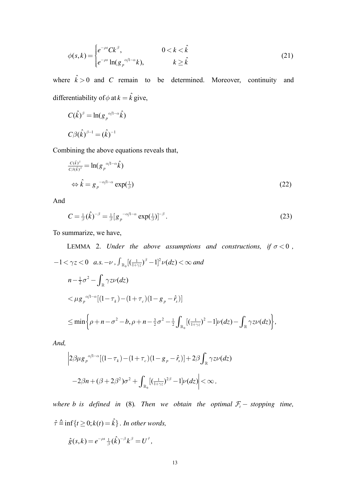$$
\phi(s,k) = \begin{cases} e^{-\rho s} C k^{\beta}, & 0 < k < \hat{k} \\ e^{-\rho s} \ln(g_{\rho}^{\alpha/1-\alpha} k), & k \geq \hat{k} \end{cases}
$$
 (21)

where  $\hat{k} > 0$  and *C* remain to be determined. Moreover, continuity and differentiability of  $\phi$  at  $k = \hat{k}$  give,

$$
C(\hat{k})^{\beta} = \ln(g_p^{\alpha/1-\alpha}\hat{k})
$$
  

$$
C\beta(\hat{k})^{\beta-1} = (\hat{k})^{-1}
$$

Combining the above equations reveals that,

$$
\frac{c(\hat{k})^{\beta}}{c\beta(\hat{k})^{\beta}} = \ln(g_p^{-\alpha/1-\alpha}\hat{k})
$$
  
\n
$$
\Leftrightarrow \hat{k} = g_p^{-\alpha/1-\alpha} \exp(\frac{1}{\beta})
$$
\n(22)

And

$$
C = \frac{1}{\beta} (\hat{k})^{-\beta} = \frac{1}{\beta} \left[ g_p^{-\alpha/1-\alpha} \exp(\frac{1}{\beta}) \right]^{-\beta} . \tag{23}
$$

To summarize, we have,

LEMMA 2. Under the above assumptions and constructions, if 
$$
\sigma < 0
$$
,  
\n
$$
-1 < \gamma z < 0 \quad a.s. -\nu, \int_{\mathbb{R}_0} [(\frac{1}{1+\gamma z})^{\beta} - 1]^2 \nu(dz) < \infty \text{ and}
$$
\n
$$
n - \frac{1}{2}\sigma^2 - \int_{\mathbb{R}} \gamma z \nu(dz)
$$
\n
$$
< \mu g_p^{\alpha/1-\alpha} [(1 - \tau_k) - (1 + \tau_c)(1 - g_p - \hat{r}_s)]
$$
\n
$$
\le \min \left\{ \rho + n - \sigma^2 - b, \rho + n - \frac{3}{2}\sigma^2 - \frac{1}{2} \int_{\mathbb{R}_0} [(\frac{1}{1+\gamma z})^2 - 1] \nu(dz) - \int_{\mathbb{R}} \gamma z \nu(dz) \right\},
$$

*And,* 

$$
\left|2\beta\mu g_{p}^{\alpha/1-\alpha}\left[(1-\tau_{k})-(1+\tau_{c})(1-g_{p}-\hat{r}_{s})\right]+2\beta\int_{\mathbb{R}}\gamma z\nu(dz)\right|
$$
  

$$
-2\beta n+(\beta+2\beta^{2})\sigma^{2}+\int_{\mathbb{R}_{0}}[(\frac{1}{1+\gamma z})^{2\beta}-1]\nu(dz)\right|<\infty,
$$

*where b is defined in* (8)*. Then we obtain the optimal*  $\mathcal{F}_t$  - *stopping time*,  $\hat{\tau} \triangleq \inf\{t \geq 0; k(t) = \hat{k}\}\$ . In other words,

$$
\hat{g}(s,k) = e^{-\rho s} \frac{1}{\beta} (\hat{k})^{-\beta} k^{\beta} = U^{\hat{\tau}},
$$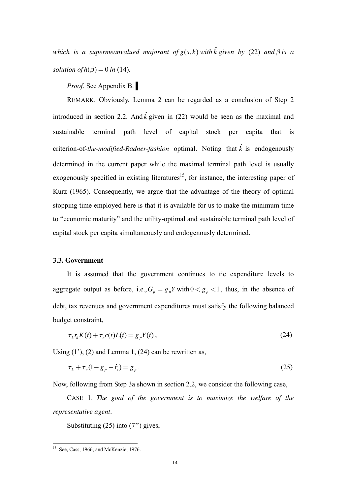*which is a supermeanvalued majorant of*  $g(s, k)$  *with*  $\hat{k}$  *given by (22) and*  $\beta$  *is a solution of*  $h(\beta) = 0$  *in* (14)*.* 

*Proof*. See Appendix B. ▌

REMARK. Obviously, Lemma 2 can be regarded as a conclusion of Step 2 introduced in section 2.2. And  $\hat{k}$  given in (22) would be seen as the maximal and sustainable terminal path level of capital stock per capita that is criterion-of-*the-modified-Radner-fashion* optimal. Noting that  $\hat{k}$  is endogenously determined in the current paper while the maximal terminal path level is usually exogenously specified in existing literatures<sup>15</sup>, for instance, the interesting paper of Kurz (1965). Consequently, we argue that the advantage of the theory of optimal stopping time employed here is that it is available for us to make the minimum time to "economic maturity" and the utility-optimal and sustainable terminal path level of capital stock per capita simultaneously and endogenously determined.

#### **3.3. Government**

It is assumed that the government continues to tie expenditure levels to aggregate output as before, i.e.,  $G_n = g_n Y$  with  $0 < g_n < 1$ , thus, in the absence of debt, tax revenues and government expenditures must satisfy the following balanced budget constraint,

$$
\tau_k r_k K(t) + \tau_c c(t) L(t) = g_p Y(t), \qquad (24)
$$

Using  $(1')$ ,  $(2)$  and Lemma 1,  $(24)$  can be rewritten as,

$$
\tau_k + \tau_c (1 - g_p - \hat{r}_s) = g_p \,. \tag{25}
$$

Now, following from Step 3a shown in section 2.2, we consider the following case,

CASE 1. *The goal of the government is to maximize the welfare of the representative agent*.

Substituting (25) into (7'') gives,

-

<sup>&</sup>lt;sup>15</sup> See, Cass, 1966; and McKenzie, 1976.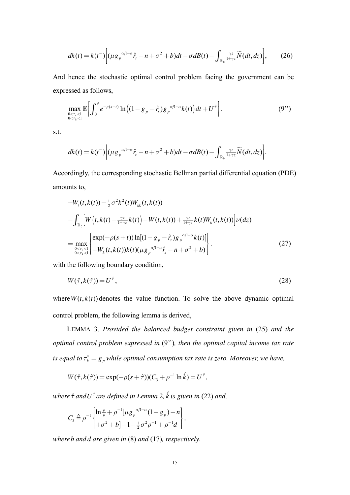$$
dk(t) = k(t^{-}) \Big[ (\mu g_p^{\alpha/l - \alpha} \hat{r}_s - n + \sigma^2 + b) dt - \sigma dB(t) - \int_{\mathbb{R}_0} \frac{\gamma z}{1 + \gamma z} \widetilde{N}(dt, dz) \Big], \qquad (26)
$$

And hence the stochastic optimal control problem facing the government can be expressed as follows,

$$
\max_{\substack{0 < \tau_c < 1 \\ 0 < \tau_k < 1}} \mathbb{E}\bigg[\int_0^{\hat{\tau}} e^{-\rho(s+t)} \ln\big((1 - g_p - \hat{r}_s) g_p^{-\alpha/1-\alpha} k(t)\big) dt + U^{\hat{\tau}}\bigg].
$$
\n(9")

s.t.

$$
dk(t) = k(t^{-}) \Big[ (\mu g_{p}^{\alpha/1-\alpha} \hat{r}_{s} - n + \sigma^{2} + b) dt - \sigma dB(t) - \int_{\mathbb{R}_{0}} \frac{\gamma z}{1+\gamma z} \widetilde{N}(dt, dz) \Big].
$$

Accordingly, the corresponding stochastic Bellman partial differential equation (PDE) amounts to,

$$
-W_t(t,k(t)) - \frac{1}{2}\sigma^2 k^2(t)W_{kk}(t,k(t))
$$
  
\n
$$
-\int_{\mathbb{R}_0} \left[W\left(t,k(t) - \frac{\gamma z}{1+\gamma z}k(t)\right) - W(t,k(t)) + \frac{\gamma z}{1+\gamma z}k(t)W_k(t,k(t))\right] \nu(dz)
$$
  
\n
$$
= \max_{\substack{0 < \tau_c < 1 \\ 0 < \tau_k < 1}} \left\{ \exp(-\rho(s+t)) \ln[(1-g_p - \hat{r}_s)g_p^{-\alpha/1-\alpha}k(t)] \right\}
$$
  
\n
$$
(27)
$$

with the following boundary condition,

$$
W(\hat{\tau}, k(\hat{\tau})) = U^{\hat{\tau}}, \tag{28}
$$

where  $W(t, k(t))$  denotes the value function. To solve the above dynamic optimal control problem, the following lemma is derived,

LEMMA 3. Provided the balanced budget constraint given in (25) and the optimal control problem expressed in (9"), then the optimal capital income tax rate is equal to  $\tau_k^* = g_p$  while optimal consumption tax rate is zero. Moreover, we have,

$$
W(\hat{\tau}, k(\hat{\tau})) = \exp(-\rho(s+\hat{\tau}))(C_{3} + \rho^{-1}\ln k) = U^{\hat{\tau}},
$$

where  $\hat{\tau}$  and  $U^{\hat{\tau}}$  are defined in Lemma 2,  $\hat{k}$  is given in (22) and,

$$
C_3 \triangleq \rho^{-1} \begin{Bmatrix} \ln \frac{\rho}{\mu} + \rho^{-1} [\mu g_p^{\alpha/1-\alpha} (1 - g_p) - n] \\ + \sigma^2 + b] - 1 - \frac{1}{2} \sigma^2 \rho^{-1} + \rho^{-1} d \end{Bmatrix},
$$

where  $b$  and  $d$  are given in  $(8)$  and  $(17)$ , respectively.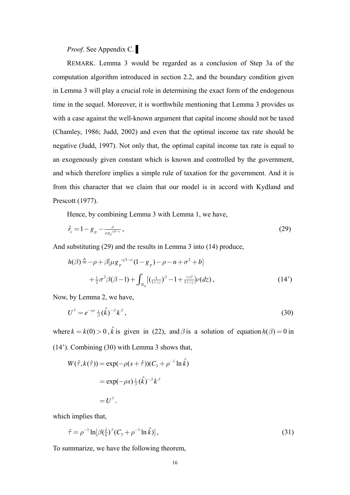# *Proof*. See Appendix C. ▌

REMARK. Lemma 3 would be regarded as a conclusion of Step 3a of the computation algorithm introduced in section 2.2, and the boundary condition given in Lemma 3 will play a crucial role in determining the exact form of the endogenous time in the sequel. Moreover, it is worthwhile mentioning that Lemma 3 provides us with a case against the well-known argument that capital income should not be taxed (Chamley, 1986; Judd, 2002) and even that the optimal income tax rate should be negative (Judd, 1997). Not only that, the optimal capital income tax rate is equal to an exogenously given constant which is known and controlled by the government, and which therefore implies a simple rule of taxation for the government. And it is from this character that we claim that our model is in accord with Kydland and Prescott (1977).

Hence, by combining Lemma 3 with Lemma 1, we have,

$$
\hat{r}_s = 1 - g_p - \frac{\rho}{\mu g_p^{\alpha^{(1-\alpha)}}},\tag{29}
$$

And substituting (29) and the results in Lemma 3 into (14) produce,

$$
h(\beta) \stackrel{\Delta}{=} -\rho + \beta [\mu g_p^{\alpha/1-\alpha} (1 - g_p) - \rho - n + \sigma^2 + b]
$$
  
+ 
$$
\frac{1}{2} \sigma^2 \beta (\beta - 1) + \int_{\mathbb{R}_0} [(\frac{1}{1 + \gamma z})^{\beta} - 1 + \frac{\gamma z \beta}{1 + \gamma z}] \nu(dz), \qquad (14')
$$

Now, by Lemma 2, we have,

$$
U^{\hat{\tau}} = e^{-\rho s} \frac{1}{\beta} (\hat{k})^{-\beta} k^{\beta}, \qquad (30)
$$

where  $k = k(0) > 0$ ,  $\hat{k}$  is given in (22), and  $\beta$  is a solution of equation  $h(\beta) = 0$  in (14'). Combining (30) with Lemma 3 shows that,

$$
W(\hat{\tau}, k(\hat{\tau})) = \exp(-\rho(s+\hat{\tau}))(C_3 + \rho^{-1} \ln \hat{k})
$$
  
= 
$$
\exp(-\rho s) \frac{1}{\beta} (\hat{k})^{-\beta} k^{\beta}
$$
  
= 
$$
U^{\hat{\tau}}.
$$

which implies that,

$$
\hat{\tau} = \rho^{-1} \ln[\beta(\frac{\hat{k}}{k})^{\beta} (C_3 + \rho^{-1} \ln \hat{k})], \tag{31}
$$

To summarize, we have the following theorem,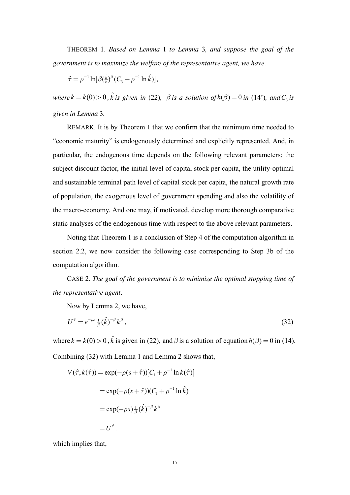THEOREM 1. *Based on Lemma* 1 *to Lemma* 3*, and suppose the goal of the government is to maximize the welfare of the representative agent, we have,* 

$$
\hat{\tau} = \rho^{-1} \ln[\beta(\frac{\hat{k}}{k})^{\beta} (C_3 + \rho^{-1} \ln \hat{k})],
$$

*where*  $k = k(0) > 0$ ,  $\hat{k}$  *is given in* (22),  $\beta$  *is a solution of*  $h(\beta) = 0$  *in* (14'), and  $C_3$  *is given in Lemma* 3*.*

REMARK. It is by Theorem 1 that we confirm that the minimum time needed to "economic maturity" is endogenously determined and explicitly represented. And, in particular, the endogenous time depends on the following relevant parameters: the subject discount factor, the initial level of capital stock per capita, the utility-optimal and sustainable terminal path level of capital stock per capita, the natural growth rate of population, the exogenous level of government spending and also the volatility of the macro-economy. And one may, if motivated, develop more thorough comparative static analyses of the endogenous time with respect to the above relevant parameters.

Noting that Theorem 1 is a conclusion of Step 4 of the computation algorithm in section 2.2, we now consider the following case corresponding to Step 3b of the computation algorithm.

CASE 2. *The goal of the government is to minimize the optimal stopping time of the representative agent*.

Now by Lemma 2, we have,

$$
U^{\hat{\tau}} = e^{-\rho s} \frac{1}{\beta} (\hat{k})^{-\beta} k^{\beta}, \qquad (32)
$$

where  $k = k(0) > 0$ ,  $\hat{k}$  is given in (22), and  $\beta$  is a solution of equation  $h(\beta) = 0$  in (14). Combining (32) with Lemma 1 and Lemma 2 shows that,

$$
V(\hat{\tau}, k(\hat{\tau})) = \exp(-\rho(s+\hat{\tau})) [C_1 + \rho^{-1} \ln k(\hat{\tau})]
$$
  

$$
= \exp(-\rho(s+\hat{\tau})) (C_1 + \rho^{-1} \ln \hat{k})
$$
  

$$
= \exp(-\rho s) \frac{1}{\beta} (\hat{k})^{-\beta} k^{\beta}
$$
  

$$
= U^{\hat{\tau}}.
$$

which implies that,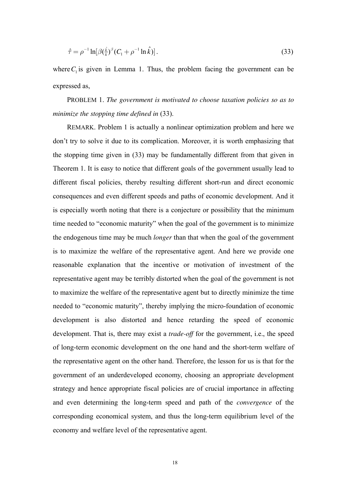$$
\hat{\tau} = \rho^{-1} \ln[\beta(\frac{\hat{k}}{k})^{\beta} (C_1 + \rho^{-1} \ln \hat{k})].
$$
\n(33)

where  $C_1$  is given in Lemma 1. Thus, the problem facing the government can be expressed as,

PROBLEM 1. *The government is motivated to choose taxation policies so as to minimize the stopping time defined in* (33).

REMARK. Problem 1 is actually a nonlinear optimization problem and here we don't try to solve it due to its complication. Moreover, it is worth emphasizing that the stopping time given in (33) may be fundamentally different from that given in Theorem 1. It is easy to notice that different goals of the government usually lead to different fiscal policies, thereby resulting different short-run and direct economic consequences and even different speeds and paths of economic development. And it is especially worth noting that there is a conjecture or possibility that the minimum time needed to "economic maturity" when the goal of the government is to minimize the endogenous time may be much *longer* than that when the goal of the government is to maximize the welfare of the representative agent. And here we provide one reasonable explanation that the incentive or motivation of investment of the representative agent may be terribly distorted when the goal of the government is not to maximize the welfare of the representative agent but to directly minimize the time needed to "economic maturity", thereby implying the micro-foundation of economic development is also distorted and hence retarding the speed of economic development. That is, there may exist a *trade-off* for the government, i.e., the speed of long-term economic development on the one hand and the short-term welfare of the representative agent on the other hand. Therefore, the lesson for us is that for the government of an underdeveloped economy, choosing an appropriate development strategy and hence appropriate fiscal policies are of crucial importance in affecting and even determining the long-term speed and path of the *convergence* of the corresponding economical system, and thus the long-term equilibrium level of the economy and welfare level of the representative agent.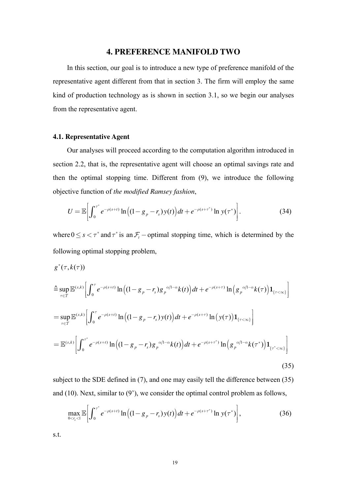# **4. PREFERENCE MANIFOLD TWO**

In this section, our goal is to introduce a new type of preference manifold of the representative agent different from that in section 3. The firm will employ the same kind of production technology as is shown in section 3.1, so we begin our analyses from the representative agent.

## 4.1. Representative Agent

Our analyses will proceed according to the computation algorithm introduced in section 2.2, that is, the representative agent will choose an optimal savings rate and then the optimal stopping time. Different from (9), we introduce the following objective function of the modified Ramsey fashion,

$$
U = \mathbb{E}\bigg[\int_0^{\tau^*} e^{-\rho(s+t)} \ln\big((1-g_p-r_s)y(t)\big) dt + e^{-\rho(s+\tau^*)} \ln y(\tau^*)\bigg].
$$
 (34)

where  $0 \le s < \tau^*$  and  $\tau^*$  is an  $\mathcal{F}_t$  – optimal stopping time, which is determined by the following optimal stopping problem,

$$
g^{*}(\tau, k(\tau))
$$
\n
$$
\hat{=} \sup_{\tau \in \mathcal{T}} \mathbb{E}^{(s,k)} \Big[ \int_{0}^{\tau} e^{-\rho(s+t)} \ln \Big( (1 - g_{p} - r_{s}) g_{p}^{\alpha/1 - \alpha} k(t) \Big) dt + e^{-\rho(s+\tau)} \ln \Big( g_{p}^{\alpha/1 - \alpha} k(\tau) \Big) \mathbf{1}_{\{\tau < \infty\}} \Big]
$$
\n
$$
= \sup_{\tau \in \mathcal{T}} \mathbb{E}^{(s,k)} \Big[ \int_{0}^{\tau} e^{-\rho(s+t)} \ln \Big( (1 - g_{p} - r_{s}) y(t) \Big) dt + e^{-\rho(s+\tau)} \ln \Big( y(\tau) \Big) \mathbf{1}_{\{\tau < \infty\}} \Big]
$$
\n
$$
= \mathbb{E}^{(s,k)} \Big[ \int_{0}^{\tau^{*}} e^{-\rho(s+t)} \ln \Big( (1 - g_{p} - r_{s}) g_{p}^{\alpha/1 - \alpha} k(t) \Big) dt + e^{-\rho(s+\tau^{*})} \ln \Big( g_{p}^{\alpha/1 - \alpha} k(\tau^{*}) \Big) \mathbf{1}_{\{\tau^{*} < \infty\}} \Big]
$$
\n(35)

subject to the SDE defined in (7), and one may easily tell the difference between (35) and  $(10)$ . Next, similar to  $(9')$ , we consider the optimal control problem as follows,

$$
\max_{0 < r_s < 1} \mathbb{E} \bigg[ \int_0^{\tau^*} e^{-\rho(s+t)} \ln \big( (1 - g_p - r_s) y(t) \big) dt + e^{-\rho(s+\tau^*)} \ln y(\tau^*) \bigg],\tag{36}
$$

s.t.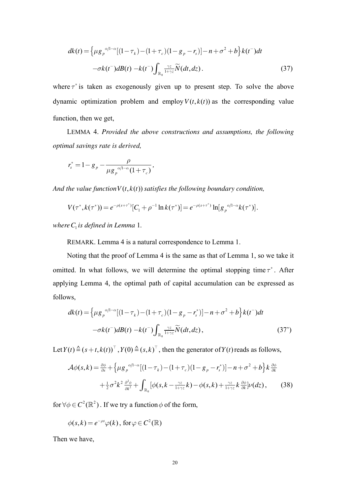$$
dk(t) = \left\{ \mu g_p^{\alpha/l-\alpha} [(1-\tau_k) - (1+\tau_c)(1-g_p - r_s)] - n + \sigma^2 + b \right\} k(t^-) dt
$$
  

$$
-\sigma k(t^-) dB(t) - k(t^-) \int_{\mathbb{R}_0} \frac{\gamma z}{1+\gamma z} \widetilde{N}(dt, dz).
$$
 (37)

where  $\tau^*$  is taken as exogenously given up to present step. To solve the above dynamic optimization problem and employ  $V(t, k(t))$  as the corresponding value function, then we get,

LEMMA 4. *Provided the above constructions and assumptions, the following optimal savings rate is derived,* 

$$
r_s^* = 1 - g_p - \frac{\rho}{\mu g_p^{\alpha/1-\alpha} (1 + \tau_c)},
$$

*And the value function*  $V(t, k(t))$  *satisfies the following boundary condition,* 

$$
V(\tau^*, k(\tau^*)) = e^{-\rho(s+\tau^*)}[C_1 + \rho^{-1}\ln k(\tau^*)] = e^{-\rho(s+\tau^*)}\ln[g_p^{\alpha/1-\alpha}k(\tau^*)].
$$

*whereC is defined in Lemma* <sup>1</sup> 1*.*

REMARK. Lemma 4 is a natural correspondence to Lemma 1.

Noting that the proof of Lemma 4 is the same as that of Lemma 1, so we take it omitted. In what follows, we will determine the optimal stopping time  $\tau^*$ . After applying Lemma 4, the optimal path of capital accumulation can be expressed as follows,

$$
dk(t) = \left\{ \mu g_p^{\alpha/1-\alpha} [(1-\tau_k) - (1+\tau_c)(1-g_p - r_s^*)] - n + \sigma^2 + b \right\} k(t^-) dt
$$
  

$$
-\sigma k(t^-) dB(t) - k(t^-) \int_{\mathbb{R}_0} \frac{\gamma z}{1+\gamma z} \widetilde{N}(dt, dz), \tag{37'}
$$

Let  $Y(t) \triangleq (s + t, k(t))^T$ ,  $Y(0) \triangleq (s, k)^T$ , then the generator of  $Y(t)$  reads as follows,

$$
\mathcal{A}\phi(s,k) = \frac{\partial\phi}{\partial s} + \left\{\mu g_p^{\alpha/1-\alpha}[(1-\tau_k) - (1+\tau_c)(1-g_p - r_s^*)] - n + \sigma^2 + b\right\}k\frac{\partial\phi}{\partial k} + \frac{1}{2}\sigma^2k^2\frac{\partial^2\phi}{\partial k^2} + \int_{\mathbb{R}_0} [\phi(s, k - \frac{\gamma z}{1+\gamma z}k) - \phi(s, k) + \frac{\gamma z}{1+\gamma z}k\frac{\partial\phi}{\partial k}]\nu(dz),\tag{38}
$$

for  $\forall \phi \in C^2(\mathbb{R}^2)$ . If we try a function  $\phi$  of the form,

$$
\phi(s,k) = e^{-\rho s} \varphi(k), \text{ for } \varphi \in C^2(\mathbb{R})
$$

Then we have,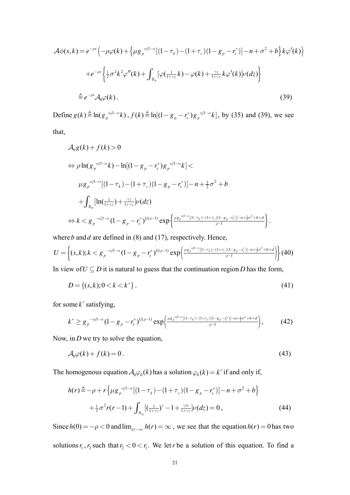$$
\mathcal{A}\phi(s,k) = e^{-\rho s} \left( -\rho \varphi(k) + \left\{ \mu g_{\rho}^{\alpha/1-\alpha} [(1-\tau_k) - (1+\tau_c)(1-g_{\rho} - r_s^*)] - n + \sigma^2 + b \right\} k \varphi'(k) \right)
$$
  
+ 
$$
e^{-\rho s} \left\{ \frac{1}{2} \sigma^2 k^2 \varphi''(k) + \int_{\mathbb{R}_0} [\varphi(\frac{1}{1+\gamma z}k) - \varphi(k) + \frac{\gamma z}{1+\gamma z} k \varphi'(k)] \nu(dz) \right\}
$$
  

$$
\hat{=} e^{-\rho s} \mathcal{A}_0 \varphi(k).
$$
 (39)

Define  $g(k) \triangleq \ln(g_p^{(1-\alpha)}k)$ ,  $f(k) \triangleq \ln[(1-g_p - r_s^*)g_p^{(\alpha/1-\alpha)}k]$ , by (35) and (39), we see that,

$$
\mathcal{A}_{0}g(k) + f(k) > 0
$$
\n
$$
\Leftrightarrow \rho \ln(g_{p}^{\alpha/1-\alpha}k) - \ln[(1-g_{p}-r_{s}^{*})g_{p}^{\alpha/1-\alpha}k] \n\mu g_{p}^{\alpha/1-\alpha}[(1-\tau_{k}) - (1+\tau_{c})(1-g_{p}-r_{s}^{*})] - n + \frac{1}{2}\sigma^{2} + b
$$
\n
$$
+ \int_{\mathbb{R}_{0}} [\ln(\frac{1}{1+\gamma z}) + \frac{\gamma z}{1+\gamma z}] \nu(dz)
$$
\n
$$
\Leftrightarrow k < g_{p}^{-\alpha/1-\alpha}(1-g_{p}-r_{s}^{*})^{1/(\rho-1)} \exp\left\{\frac{\mu g_{p}^{\alpha/1-\alpha}[(1-\tau_{k}) - (1+\tau_{c})(1-g_{p}-r_{s}^{*})]-n+\frac{1}{2}\sigma^{2}+b+d}{\rho-1}\right\}.
$$

where *b* and *d* are defined in (8) and (17), respectively. Hence,

$$
U = \left\{ (s,k); k < g_p^{-\alpha/1-\alpha} (1 - g_p - r_s^*)^{1/(\rho-1)} \exp\left(\frac{\mu g_p^{\alpha/1-\alpha} [(1-\tau_k) - (1+\tau_c)(1-g_p - r_s^*)]-n + \frac{1}{2}\sigma^2 + b + d}{\rho - 1}\right) \right\} (40)
$$

In view of  $U \subseteq D$  it is natural to guess that the continuation region *D* has the form,

$$
D = \{(s, k); 0 < k < k^*\} \tag{41}
$$

for some  $k^*$  satisfying,

$$
k^* \geq g_p^{-\alpha/1-\alpha} (1 - g_p - r_s^*)^{1/(\rho-1)} \exp\left(\frac{\mu g_p^{\alpha/1-\alpha} [(1-\tau_k) - (1+\tau_c)(1-g_p - r_s^*)] - n + \frac{1}{2}\sigma^2 + b + d}{\rho - 1}\right),\tag{42}
$$

Now, in *D* we try to solve the equation,

$$
\mathcal{A}_0 \varphi(k) + f(k) = 0. \tag{43}
$$

The homogenous equation  $A_0 \varphi_0(k)$  has a solution  $\varphi_0(k) = k^r$  if and only if,

$$
h(r) \stackrel{\Delta}{=} -\rho + r \left\{ \mu g_p^{\alpha/1-\alpha} [(1-\tau_k) - (1+\tau_c)(1-g_p - r_s^*)] - n + \sigma^2 + b \right\}
$$
  
+ 
$$
\frac{1}{2} \sigma^2 r(r-1) + \int_{\mathbb{R}_0} [(\frac{1}{1+\gamma z})^r - 1 + \frac{\gamma z^r}{1+\gamma z}] \nu(dz) = 0,
$$
 (44)

Since  $h(0) = -\rho < 0$  and  $\lim_{|r| \to \infty} h(r) = \infty$ , we see that the equation  $h(r) = 0$  has two solutions  $r_1, r_2$  such that  $r_2 < 0 < r_1$ . We let *r* be a solution of this equation. To find a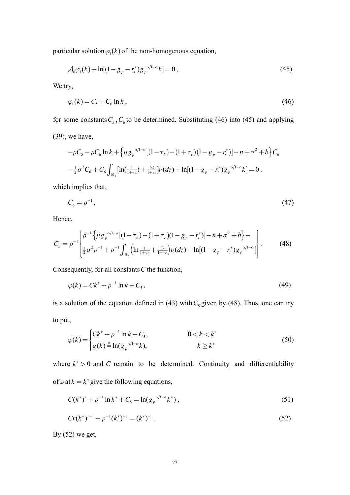particular solution  $\varphi_1(k)$  of the non-homogenous equation,

$$
\mathcal{A}_0 \varphi_1(k) + \ln[(1 - g_p - r_s^*)g_p^{\alpha/1 - \alpha}k] = 0, \qquad (45)
$$

We try,

$$
\varphi_1(k) = C_5 + C_6 \ln k \,,\tag{46}
$$

for some constants  $C_5$ ,  $C_6$  to be determined. Substituting (46) into (45) and applying

(39), we have,

$$
-\rho C_{5} - \rho C_{6} \ln k + \left\{ \mu g_{p}^{\alpha/1-\alpha} [(1-\tau_{k}) - (1+\tau_{c})(1-g_{p}-r_{s}^{*})] - n + \sigma^{2} + b \right\} C_{6}
$$
  

$$
-\frac{1}{2}\sigma^{2} C_{6} + C_{6} \int_{\mathbb{R}_{0}} [\ln(\frac{1}{1+\gamma z}) + \frac{\gamma z}{1+\gamma z}] \nu(dz) + \ln[(1-g_{p}-r_{s}^{*})g_{p}^{\alpha/1-\alpha}k] = 0.
$$

which implies that,

$$
C_6 = \rho^{-1}, \tag{47}
$$

Hence,

$$
C_{5} = \rho^{-1} \left\{ \rho^{-1} \left\{ \mu g_{p}^{\alpha/1-\alpha} [(1-\tau_{k}) - (1+\tau_{c})(1-g_{p}-r_{s}^{*})] - n + \sigma^{2} + b \right\} - \frac{1}{2} \sigma^{2} \rho^{-1} + \rho^{-1} \int_{\mathbb{R}_{0}} (\ln \frac{1}{1+\gamma z} + \frac{\gamma z}{1+\gamma z}) \nu(dz) + \ln[(1-g_{p}-r_{s}^{*})g_{p}^{\alpha/1-\alpha}] \right\}.
$$
 (48)

Consequently, for all constants*C* the function,

$$
\varphi(k) = Ck^r + \rho^{-1} \ln k + C_5, \qquad (49)
$$

is a solution of the equation defined in (43) with  $C_5$  given by (48). Thus, one can try to put,

$$
\varphi(k) = \begin{cases} Ck^r + \rho^{-1} \ln k + C_5, & 0 < k < k^* \\ g(k) \triangleq \ln(g_p^{\alpha/1-\alpha}k), & k \ge k^* \end{cases} \tag{50}
$$

where  $k^* > 0$  and *C* remain to be determined. Continuity and differentiability of  $\varphi$  at  $k = k^*$  give the following equations,

$$
C(k^*)' + \rho^{-1} \ln k^* + C_5 = \ln(g_p^{\alpha/1-\alpha} k^*)\,,\tag{51}
$$

$$
Cr(k^*)^{r-1} + \rho^{-1}(k^*)^{-1} = (k^*)^{-1}.
$$
\n(52)

By  $(52)$  we get,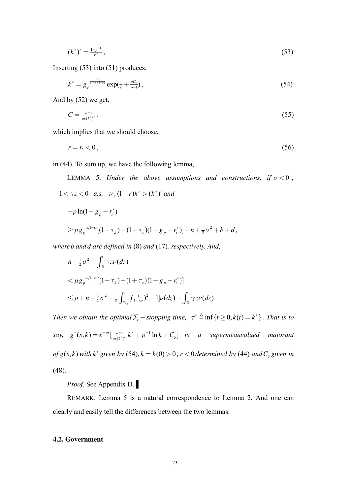$$
(k^*)^r = \frac{1 - \rho^{-1}}{rC},\tag{53}
$$

Inserting (53) into (51) produces,

$$
k^* = g_p^{\frac{\alpha \rho}{(1-\alpha)(1-\rho)}} \exp(\frac{1}{r} + \frac{\rho C_5}{\rho - 1}), \tag{54}
$$

And by (52) we get,

$$
C = \frac{\rho - 1}{\rho r (k^*)^r} \,. \tag{55}
$$

which implies that we should choose,

$$
r = r_2 < 0 \tag{56}
$$

in (44). To sum up, we have the following lemma,

LEMMA 5. *Under the above assumptions and constructions, if*  $\sigma < 0$ ,  $-1 < \gamma z < 0$  *a.s.*  $-\nu$ ,  $(1 - r)k^r > (k^*)^r$  *and*  $-\rho \ln(1 - g_p - r_s^*)$ 

$$
\geq \mu g_p^{\alpha/1-\alpha}[(1-\tau_k)-(1+\tau_c)(1-g_p-r_s^*)]-n+\tfrac{1}{2}\sigma^2+b+d,
$$

*whereb and d are defined in* (8) *and* (17)*, respectively. And,* 

$$
n - \frac{1}{2}\sigma^2 - \int_{\mathbb{R}} \gamma z \nu(dz)
$$
  

$$
< \mu g_p^{-\alpha/1-\alpha} [(1 - \tau_k) - (1 + \tau_c)(1 - g_p - r_s^*)]
$$
  

$$
\le \rho + n - \frac{3}{2}\sigma^2 - \frac{1}{2} \int_{\mathbb{R}_0} [(\frac{1}{1 + \gamma z})^2 - 1] \nu(dz) - \int_{\mathbb{R}} \gamma z \nu(dz)
$$

*Then we obtain the optimal*  $\mathcal{F}_t$  -*stopping time,*  $\tau^* \triangleq \inf\{t \geq 0; k(t) = k^*\}$ . *That is to say,*  $g^*(s,k) = e^{-\rho s} \left[ \frac{\rho - 1}{\sigma s} k^r + \rho^{-1} \right]$  $(s, k) = e^{-\rho s} \left[ \frac{\rho - 1}{\rho r (k^*)^r} k^r + \rho^{-1} \ln k + C_5 \right]$  $g^*(s,k) = e^{-\rho s} \left[ \frac{\rho-1}{\rho r(k^*)^r} k^r + \rho^{-1} \ln k + C_s \right]$  *is a supermeanvalued majorant of*  $g(s, k)$  *with*  $k^*$  *given by* (54)*,*  $k = k(0) > 0$ *,*  $r < 0$  *determined by* (44) *and*  $C_s$  *given in* (48)*.*

*Proof*. See Appendix D. ▌

REMARK. Lemma 5 is a natural correspondence to Lemma 2. And one can clearly and easily tell the differences between the two lemmas.

#### **4.2. Government**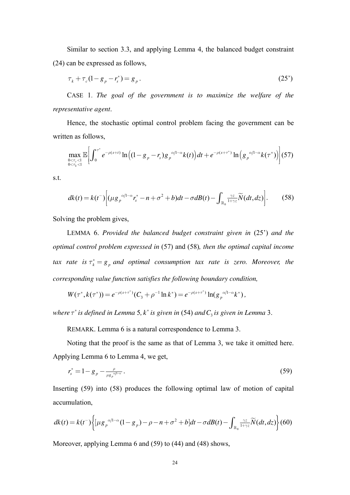Similar to section 3.3, and applying Lemma 4, the balanced budget constraint (24) can be expressed as follows,

$$
\tau_k + \tau_c (1 - g_p - r_s^*) = g_p \,. \tag{25'}
$$

CASE 1. *The goal of the government is to maximize the welfare of the representative agent*.

Hence, the stochastic optimal control problem facing the government can be written as follows,

$$
\max_{\substack{0 < \tau_c < 1 \\ 0 < \tau_k < 1}} \mathbb{E} \bigg[ \int_0^{\tau^*} e^{-\rho(s+t)} \ln \big( (1 - g_p - r_s) g_p^{-\alpha/1 - \alpha} k(t) \big) dt + e^{-\rho(s+\tau^*)} \ln \big( g_p^{-\alpha/1 - \alpha} k(\tau^*) \big) \bigg] (57)
$$

s.t.

$$
dk(t) = k(t^{-}) \Big[ (\mu g_{p}^{\alpha/1-\alpha} r_s^* - n + \sigma^2 + b) dt - \sigma dB(t) - \int_{\mathbb{R}_0} \frac{\gamma z}{1 + \gamma z} \widetilde{N}(dt, dz) \Big].
$$
 (58)

Solving the problem gives,

LEMMA 6. *Provided the balanced budget constraint given in (25')* and the *optimal control problem expressed in* (57) and (58)*, then the optimal capital income tax rate is*  $\tau_k^* = g_p$  *and optimal consumption tax rate is zero. Moreover, the corresponding value function satisfies the following boundary condition,* 

$$
W(\tau^*, k(\tau^*)) = e^{-\rho(s+\tau^*)}(C_3 + \rho^{-1}\ln k^*) = e^{-\rho(s+\tau^*)}\ln(g_p^{\alpha/1-\alpha}k^*),
$$

where  $\tau^*$  is defined in Lemma 5,  $k^*$  is given in (54) and  $C_3$  is given in Lemma 3.

REMARK. Lemma 6 is a natural correspondence to Lemma 3.

Noting that the proof is the same as that of Lemma 3, we take it omitted here. Applying Lemma 6 to Lemma 4, we get,

$$
r_s^* = 1 - g_p - \frac{\rho}{\mu g_p^{\alpha/1-\alpha}}.
$$
\n(59)

Inserting (59) into (58) produces the following optimal law of motion of capital accumulation,

$$
dk(t) = k(t^{-}) \Biggl\{ \left[ \mu g_{p}^{\alpha/1-\alpha} (1 - g_{p}) - \rho - n + \sigma^{2} + b \right] dt - \sigma dB(t) - \int_{\mathbb{R}_{0}} \frac{\gamma z}{1 + \gamma z} \widetilde{N}(dt, dz) \Biggr\} (60)
$$

Moreover, applying Lemma 6 and (59) to (44) and (48) shows,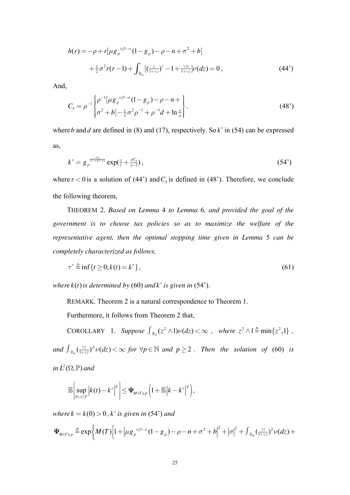$$
h(r) = -\rho + r[\mu g_p^{\alpha/1-\alpha} (1 - g_p) - \rho - n + \sigma^2 + b]
$$
  
+  $\frac{1}{2} \sigma^2 r(r-1) + \int_{\mathbb{R}_0} [(\frac{1}{1+\gamma z})^r - 1 + \frac{\gamma z r}{1+\gamma z}] \nu(dz) = 0,$  (44')

And,

$$
C_{5} = \rho^{-1} \begin{Bmatrix} \rho^{-1} [\mu g_{p}^{\alpha/1-\alpha} (1 - g_{p}) - \rho - n + \\ \sigma^{2} + b \end{Bmatrix} . \tag{48'}
$$

where b and d are defined in (8) and (17), respectively. So  $k^*$  in (54) can be expressed as,

$$
k^* = g_p^{\frac{\alpha \rho}{(1-\alpha)(1-\rho)}} \exp(\frac{1}{r} + \frac{\rho C_5}{\rho - 1}), \tag{54'}
$$

where  $r < 0$  is a solution of (44') and  $C_5$  is defined in (48'). Therefore, we conclude the following theorem,

THEOREM 2. Based on Lemma 4 to Lemma 6, and provided the goal of the government is to choose tax policies so as to maximize the welfare of the representative agent, then the optimal stopping time given in Lemma 5 can be completely characterized as follows,

$$
\tau^* \stackrel{\sim}{=} \inf \{ t \ge 0; k(t) = k^* \},\tag{61}
$$

where  $k(t)$  is determined by (60) and  $k^*$  is given in (54').

REMARK. Theorem 2 is a natural correspondence to Theorem 1.

Furthermore, it follows from Theorem 2 that,

COROLLARY 1. Suppose  $\int_{\mathbb{R}_0} (z^2 \wedge 1) \nu(dz) < \infty$ , where  $z^2 \wedge 1 \triangleq \min\{z^2, 1\}$ , and  $\int_{\mathbb{R}_0} (\frac{\gamma z}{1+\gamma z})^p \nu(z) \langle \infty \rangle$  for  $\forall p \in \mathbb{N}$  and  $p \ge 2$ . Then the solution of (60) is in  $L^2(\Omega, \mathbb{P})$  and

$$
\mathbb{E}\bigg[\sup_{0 < t \leq T}\bigg|k(t) - k^*\bigg|^p\bigg] \leq \Psi_{M(T),p}\bigg(1 + \mathbb{E}\bigg|k - k^*\bigg|^p\bigg),\,
$$

where  $k = k(0) > 0$ ,  $k^*$  is given in (54') and

$$
\Psi_{M(T),p} \triangleq \exp\left\{M(T)\left[1+\left|\mu g_{p}^{\alpha/1-\alpha}(1-g_{p})-\rho-n+\sigma^{2}+b\right|^{2}+\left|\sigma\right|^{2}+\int_{\mathbb{R}_{0}}\left(\frac{\gamma z}{1+\gamma z}\right)^{2}\nu(dz)+\right.\right\}
$$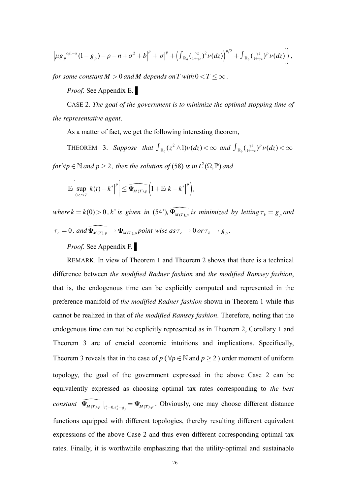$$
\left|\mu g_{p}^{\alpha/1-\alpha}(1-g_{p})-\rho-n+\sigma^{2}+b\right|^{p}+\left|\sigma\right|^{p}+\left(\int_{\mathbb{R}_{0}}\left(\frac{\gamma z}{1+\gamma z}\right)^{2}\nu(dz)\right)^{p/2}+\int_{\mathbb{R}_{0}}\left(\frac{\gamma z}{1+\gamma z}\right)^{p}\nu(dz)\right|\},
$$

*for some constant*  $M > 0$  *and*  $M$  *depends on*  $T$  *with*  $0 < T \leq \infty$ .

*Proof*. See Appendix E. ▌

CASE 2. *The goal of the government is to minimize the optimal stopping time of the representative agent*.

As a matter of fact, we get the following interesting theorem,

THEOREM 3. Suppose that  $\int_{\mathbb{R}_0}$  $\int_{\mathbb{R}_0} (z^2 \wedge 1) \nu(dz) < \infty$  and  $\int_{\mathbb{R}_0} (\frac{\gamma z}{1+\gamma z})^p \nu(dz) < \infty$ for  $\forall p \in \mathbb{N}$  and  $p \geq 2$ , then the solution of (58) is in  $L^2(\Omega, \mathbb{P})$  and

 $\sup_{0 < t \leq T} |k(t)-k^*|^p \leq \widehat{\Psi_{M(T),p}} \left(1+\mathbb{E}|k-k^*|^p\right),$  $\sup |k(t)-k^*|^p \leq \widehat{\Psi_{M(T),p}} \left( 1 + \mathbb{E} |k-k^*|^p \right)$  $\lim_{t \leq T}$   $\left| \bigwedge^{\mathbf{L}} V(t) - \bigwedge^{\mathbf{L}} V(t) \right| \geq \mathbf{F}_M(T), p$  $k(t) - k^*|^p \leq \widetilde{\Psi}_{M(T),p} \left[1 + \mathbb{E}[k - k^*]\right]$  $lt$ t $\leq$  $\left[\sup |k(t)-k^*|^p\right]\leq \widehat{\Psi_{M(T),p}}\left(1+\mathbb{E}|k-\right)$  $\left[0 < t \leq T\right]$  $\mathbb{E}\left[\sup |k(t)-k^*|^p\right] \leq \widehat{\Psi_{M(T),p}}\left(1+\mathbb{E}\left|k-k^*\right|^p\right),$ 

 $where k = k(0) > 0, k^*$  *is given in* (54'),  $\widehat{\Psi_{M(T), p}}$  *is minimized by letting*  $\tau_k = g_p$  *and*  $\tau_c = 0$ , and  $\widehat{\Psi_{M(T), p}} \to \Psi_{M(T), p}$  point-wise as  $\tau_c \to 0$  or  $\tau_k \to g_p$ .

*Proof*. See Appendix F. ▌

REMARK. In view of Theorem 1 and Theorem 2 shows that there is a technical difference between *the modified Radner fashion* and *the modified Ramsey fashion*, that is, the endogenous time can be explicitly computed and represented in the preference manifold of *the modified Radner fashion* shown in Theorem 1 while this cannot be realized in that of *the modified Ramsey fashion*. Therefore, noting that the endogenous time can not be explicitly represented as in Theorem 2, Corollary 1 and Theorem 3 are of crucial economic intuitions and implications. Specifically, Theorem 3 reveals that in the case of  $p$  ( $\forall p \in \mathbb{N}$  and  $p \ge 2$ ) order moment of uniform topology, the goal of the government expressed in the above Case 2 can be equivalently expressed as choosing optimal tax rates corresponding to *the best constant*  $\widehat{\Psi}_{M(T), p}$   $\Big|_{\tau_c^* = 0, \tau_k^* = g_p} = \Psi_{M(T), p}$ . Obviously, one may choose different distance functions equipped with different topologies, thereby resulting different equivalent expressions of the above Case 2 and thus even different corresponding optimal tax rates. Finally, it is worthwhile emphasizing that the utility-optimal and sustainable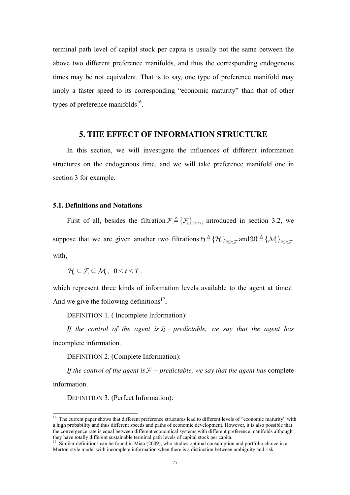terminal path level of capital stock per capita is usually not the same between the above two different preference manifolds, and thus the corresponding endogenous times may be not equivalent. That is to say, one type of preference manifold may imply a faster speed to its corresponding "economic maturity" than that of other types of preference manifolds<sup>16</sup>.

# **5. THE EFFECT OF INFORMATION STRUCTURE**

In this section, we will investigate the influences of different information structures on the endogenous time, and we will take preference manifold one in section 3 for example.

### **5.1. Definitions and Notations**

First of all, besides the filtration  $\mathcal{F} \triangleq {\{\mathcal{F}_t\}}_{0 \le t \le T}$  introduced in section 3.2, we suppose that we are given another two filtrations  $\mathfrak{H} \triangleq {\{\mathcal{H}_t\}}_{0 \leq t \leq T}$  and  $\mathfrak{M} \triangleq {\{\mathcal{M}_t\}}_{0 \leq t \leq T}$ with

 $\mathcal{H}_{i} \subseteq \mathcal{F}_{i} \subseteq \mathcal{M}_{i}$ ,  $0 \leq t \leq T$ .

which represent three kinds of information levels available to the agent at time *t*. And we give the following definitions<sup>17</sup>,

DEFINITION 1. ( Incomplete Information):

*If the control of the agent is*  $\tilde{D}$  *predictable, we say that the agent has* incomplete information.

DEFINITION 2. (Complete Information):

*If the control of the agent is*  $F$  – *predictable, we say that the agent has* complete information.

DEFINITION 3. (Perfect Information):

-

<sup>&</sup>lt;sup>16</sup> The current paper shows that different preference structures lead to different levels of "economic maturity" with a high probability and thus different speeds and paths of economic development. However, it is also possible that the convergence rate is equal between different economical systems with different preference manifolds although they have totally different sustainable terminal path levels of capital stock per capita.

 $17$  Similar definitions can be found in Miao (2009), who studies optimal consumption and portfolio choice in a Merton-style model with incomplete information when there is a distinction between ambiguity and risk.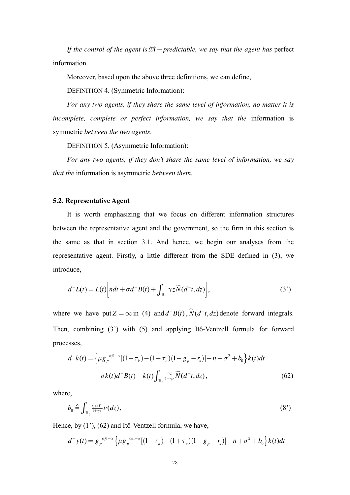If the control of the agent is  $\mathfrak{M}-$  predictable, we say that the agent has perfect information

Moreover, based upon the above three definitions, we can define,

**DEFINITION 4. (Symmetric Information):** 

For any two agents, if they share the same level of information, no matter it is incomplete, complete or perfect information, we say that the information is symmetric between the two agents.

**DEFINITION 5. (Asymmetric Information):** 

For any two agents, if they don't share the same level of information, we say that the information is asymmetric between them.

#### 5.2. Representative Agent

It is worth emphasizing that we focus on different information structures between the representative agent and the government, so the firm in this section is the same as that in section 3.1. And hence, we begin our analyses from the representative agent. Firstly, a little different from the SDE defined in (3), we introduce,

$$
d^{-}L(t) = L(t) \left[ ndt + \sigma d^{-}B(t) + \int_{\mathbb{R}_{0}} \gamma z \widetilde{N}(d^{-}t, dz) \right],
$$
 (3')

where we have put  $Z = \infty$  in (4) and  $d^{-}B(t)$ ,  $\widetilde{N}(d^{-}t, dz)$  denote forward integrals. Then, combining (3') with (5) and applying Itô-Ventzell formula for forward processes,

$$
d^{-}k(t) = \left\{ \mu g_p^{\alpha/l - \alpha} [(1 - \tau_k) - (1 + \tau_c)(1 - g_p - r_s)] - n + \sigma^2 + b_0 \right\} k(t) dt
$$
  

$$
-\sigma k(t) d^{-}B(t) - k(t) \int_{\mathbb{R}_0} \frac{\gamma z}{1 + \gamma z} \widetilde{N}(d^{-}t, dz), \tag{62}
$$

where,

$$
b_0 \triangleq \int_{\mathbb{R}_0} \frac{(\gamma z)^2}{1 + \gamma z} \nu(dz), \tag{8'}
$$

Hence, by  $(1^{\prime})$ ,  $(62)$  and Itô-Ventzell formula, we have,

$$
d^{-}y(t) = g_{p}^{\alpha/1-\alpha} \left\{ \mu g_{p}^{\alpha/1-\alpha} [(1-\tau_{k}) - (1+\tau_{c})(1-g_{p}-r_{s})] - n + \sigma^{2} + b_{0} \right\} k(t) dt
$$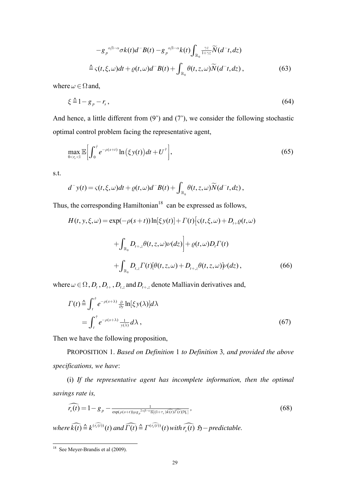$$
-g_{p}^{\alpha/1-\alpha}\sigma k(t)d^{-}B(t)-g_{p}^{\alpha/1-\alpha}k(t)\int_{\mathbb{R}_{0}}\frac{\gamma z}{1+\gamma z}\widetilde{N}(d^{-}t,dz)
$$
  

$$
\stackrel{\Delta}{=} \varsigma(t,\xi,\omega)dt+\varrho(t,\omega)d^{-}B(t)+\int_{\mathbb{R}_{0}}\theta(t,z,\omega)\widetilde{N}(d^{-}t,dz), \qquad (63)
$$

where  $\omega \in \Omega$  and,

$$
\xi \stackrel{\Delta}{=} 1 - g_p - r_s \,,\tag{64}
$$

And hence, a little different from  $(9')$  and  $(7')$ , we consider the following stochastic optimal control problem facing the representative agent,

$$
\max_{0 < r_s < 1} \mathbb{E} \bigg[ \int_0^{\hat{\tau}} e^{-\rho(s+t)} \ln \big( \xi y(t) \big) dt + U^{\hat{\tau}} \bigg],\tag{65}
$$

 $s.t.$ 

$$
d^{-}y(t) = \varsigma(t,\xi,\omega)dt + \varrho(t,\omega)d^{-}B(t) + \int_{\mathbb{R}_{0}} \theta(t,z,\omega)\widetilde{N}(d^{-}t, dz),
$$

Thus, the corresponding Hamiltonian<sup>18</sup> can be expressed as follows,

$$
H(t, y, \xi, \omega) = \exp(-\rho(s+t))\ln[\xi y(t)] + \Gamma(t)[\varsigma(t, \xi, \omega) + D_{t+} \varrho(t, \omega)
$$

$$
+ \int_{\mathbb{R}_0} D_{t+x} \theta(t, z, \omega) \nu(dz) + \varrho(t, \omega) D_t \Gamma(t)
$$

$$
+ \int_{\mathbb{R}_0} D_{t,z} \Gamma(t)[\theta(t, z, \omega) + D_{t+x} \theta(t, z, \omega)] \nu(dz), \qquad (66)
$$

where  $\omega \in \Omega$ ,  $D_t$ ,  $D_{t+}$ ,  $D_{t,z}$  and  $D_{t+z}$  denote Malliavin derivatives and,

$$
\Gamma(t) \stackrel{\Delta}{=} \int_{t}^{\hat{\tau}} e^{-\rho(s+\lambda)} \frac{\partial}{\partial y} \ln[\xi y(\lambda)] d\lambda \n= \int_{t}^{\hat{\tau}} e^{-\rho(s+\lambda)} \frac{1}{y(\lambda)} d\lambda,
$$
\n(67)

Then we have the following proposition,

PROPOSITION 1. Based on Definition 1 to Definition 3, and provided the above specifications, we have:

(i) If the representative agent has incomplete information, then the optimal savings rate is,

$$
\widehat{r_s(t)} = 1 - g_p - \frac{1}{\exp(\rho(s+t))\mu g_p^{2\alpha/1-\alpha} \mathbb{E}[(1+\tau_c)\widehat{k(t)}\widehat{\Gamma(t)}]\mathcal{H}_1},\tag{68}
$$

where  $\widehat{k(t)} \triangleq k^{(\widehat{r_s(t)})}(t)$  and  $\widehat{\Gamma(t)} \triangleq \widehat{\Gamma^{(r_s(t))}}(t)$  with  $\widehat{r_s(t)}$   $\mathfrak{H}-$  predictable.

 $\frac{18}{18}$  See Meyer-Brandis et al (2009).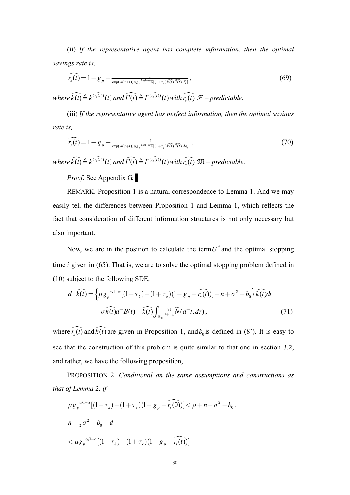(ii) *If the representative agent has complete information, then the optimal savings rate is,* 

$$
\widehat{r_s(t)} = 1 - g_p - \frac{1}{\exp(\rho(s+t))\mu g_p^{2\alpha/1-\alpha} \mathbb{E}[(1+\tau_c)\widehat{k(t)}\widehat{\Gamma(t)}\widehat{\Gamma(t)}]} \,,\tag{69}
$$

 $where \widehat{k(t)} \triangleq k^{(\widehat{r_s(t)})}(t)$  and  $\widehat{\Gamma(t)} \triangleq \widehat{\Gamma^{(\widehat{r_s(t)})}}(t)$  with  $\widehat{r_s(t)} \subset F$  - predictable.

(iii) *If the representative agent has perfect information, then the optimal savings rate is,* 

$$
\widehat{r_s(t)} = 1 - g_p - \frac{1}{\exp(\rho(s+t))\mu g_p^{2\alpha/1-\alpha} \mathbb{E}[(1+\tau_c)\widehat{k(t)}\widehat{\Gamma(t)}|\mathcal{M}_t]},
$$
\n(70)

 $where \widehat{k(t)} \triangleq k^{(\widehat{r_s(t)})}(t)$  and  $\widehat{\Gamma(t)} \triangleq \Gamma^{(\widehat{r_s(t)})}(t)$  with  $\widehat{r_s(t)}$   $\mathfrak{M}-predictable$ .

*Proof*. See Appendix G. ▌

REMARK. Proposition 1 is a natural correspondence to Lemma 1. And we may easily tell the differences between Proposition 1 and Lemma 1, which reflects the fact that consideration of different information structures is not only necessary but also important.

Now, we are in the position to calculate the term  $U^{\dagger}$  and the optimal stopping time  $\hat{\tau}$  given in (65). That is, we are to solve the optimal stopping problem defined in (10) subject to the following SDE,

$$
d^{-}\widehat{k(t)} = \left\{ \mu g_p^{\alpha/1-\alpha} [(1-\tau_k) - (1+\tau_c)(1-g_p - \widehat{r_s(t)})] - n + \sigma^2 + b_0 \right\} \widehat{k(t)} dt
$$
  

$$
-\sigma \widehat{k(t)} d^{-}B(t) - \widehat{k(t)} \int_{\mathbb{R}_0} \frac{\gamma z}{1+\gamma z} \widetilde{N}(d^{-}t, dz), \tag{71}
$$

where  $\widehat{r_s(t)}$  and  $\widehat{k(t)}$  are given in Proposition 1, and  $b_0$  is defined in (8'). It is easy to see that the construction of this problem is quite similar to that one in section 3.2, and rather, we have the following proposition,

PROPOSITION 2. *Conditional on the same assumptions and constructions as that of Lemma* 2*, if* 

$$
\mu g_{p}^{\alpha/1-\alpha}[(1-\tau_{k})-(1+\tau_{c})(1-g_{p}-\widehat{r_{s}(0)})] < \rho+n-\sigma^{2}-b_{0},
$$
\n
$$
n-\frac{1}{2}\sigma^{2}-b_{0}-d
$$
\n
$$
<\mu g_{p}^{\alpha/1-\alpha}[(1-\tau_{k})-(1+\tau_{c})(1-g_{p}-\widehat{r_{s}(t)})]
$$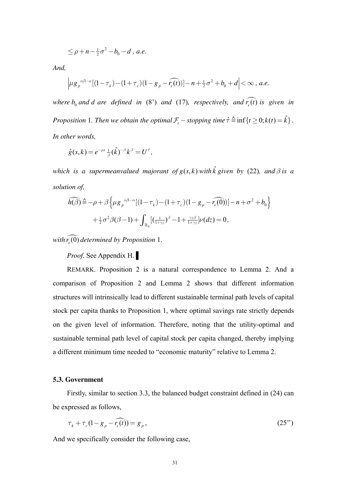$$
\leq \rho + n - \frac{1}{2}\sigma^2 - b_0 - d
$$
, *a.e.*

*And,* 

$$
\left|\mu g_{p}^{\alpha/1-\alpha}[(1-\tau_{k})-(1+\tau_{c})(1-g_{p}-\widehat{r_{s}(t)})]-n+\frac{1}{2}\sigma^{2}+b_{0}+d\right|<\infty, a.e.
$$

*where*  $b_0$  *and d are* defined in (8') and (17), respectively, and  $\widehat{r_s(t)}$  *is given in Proposition 1. Then we obtain the optimal*  $\mathcal{F}_t$  -*stopping time*  $\hat{\tau} \triangleq \inf\{t \geq 0; k(t) = \hat{k}\}\$ . *In other words,* 

$$
\hat{g}(s,k) = e^{-\rho s} \frac{1}{\beta} (\hat{k})^{-\beta} k^{\beta} = U^{\hat{\tau}},
$$

*which is a supermeanvalued majorant of*  $g(s, k)$  *with*  $\hat{k}$  *given by (22), and*  $\beta$  *is a solution of,* 

$$
\widehat{h(\beta)} \triangleq -\rho + \beta \left\{ \mu g_p^{\alpha/1-\alpha} [(1-\tau_k) - (1+\tau_c)(1-g_p - \widehat{r_s(0)})] - n + \sigma^2 + b_0 \right\}
$$

$$
+ \frac{1}{2} \sigma^2 \beta (\beta - 1) + \int_{\mathbb{R}_0} [(\frac{1}{1+\gamma z})^{\beta} - (1+\frac{\gamma z \beta}{1+\gamma z}) \nu(dz) = 0,
$$

with  $\widehat{r_s(0)}$  determined by Proposition 1.

*Proof*. See Appendix H. ▌

REMARK. Proposition 2 is a natural correspondence to Lemma 2. And a comparison of Proposition 2 and Lemma 2 shows that different information structures will intrinsically lead to different sustainable terminal path levels of capital stock per capita thanks to Proposition 1, where optimal savings rate strictly depends on the given level of information. Therefore, noting that the utility-optimal and sustainable terminal path level of capital stock per capita changed, thereby implying a different minimum time needed to "economic maturity" relative to Lemma 2.

#### **5.3. Government**

Firstly, similar to section 3.3, the balanced budget constraint defined in (24) can be expressed as follows,

$$
\tau_k + \tau_c (1 - g_p - \widehat{r_s(t)}) = g_p, \qquad (25^{\circ})
$$

And we specifically consider the following case,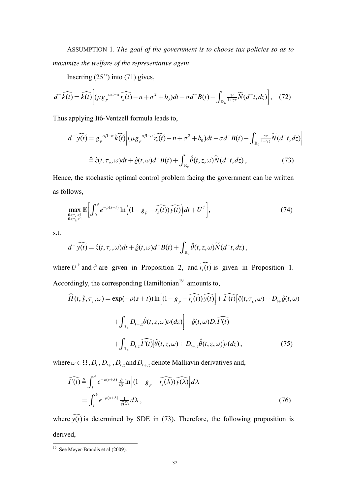ASSUMPTION 1. *The goal of the government is to choose tax policies so as to maximize the welfare of the representative agent*.

Inserting  $(25")$  into  $(71)$  gives,

$$
d^{-}\widehat{k(t)} = \widehat{k(t)} \Big[ (\mu g_{p}^{\alpha/1-\alpha} \widehat{r_{s}(t)} - n + \sigma^{2} + b_{0}) dt - \sigma d^{-}B(t) - \int_{\mathbb{R}_{0}} \frac{\gamma z}{1+\gamma z} \widetilde{N}(d^{-}t, dz) \Big], \quad (72)
$$

Thus applying Itô-Ventzell formula leads to,

$$
d^{-}\widehat{y(t)} = g_{p}^{\alpha/1-\alpha} \widehat{k(t)} \Big[ (\mu g_{p}^{\alpha/1-\alpha} \widehat{r_{s}(t)} - n + \sigma^{2} + b_{0}) dt - \sigma d^{-}B(t) - \int_{\mathbb{R}_{0}} \frac{\gamma z}{1+\gamma z} \widetilde{N}(d^{-}t, dz) \Big]
$$
  

$$
\triangleq \hat{\zeta}(t, \tau_{c}, \omega) dt + \hat{\varrho}(t, \omega) d^{-}B(t) + \int_{\mathbb{R}_{0}} \hat{\theta}(t, z, \omega) \widetilde{N}(d^{-}t, dz), \tag{73}
$$

Hence, the stochastic optimal control problem facing the government can be written as follows,

$$
\max_{\substack{0 < \tau_c < 1 \\ 0 < \tau_k < 1}} \mathbb{E}\bigg[\int_0^{\hat{\tau}} e^{-\rho(s+t)} \ln\bigg( (1 - g_p - \widehat{r_s(t)}) \widehat{y(t)} \bigg) dt + U^{\hat{\tau}} \bigg],\tag{74}
$$

s.t.

$$
d^-\widehat{y(t)} = \widehat{\varsigma}(t,\tau_c,\omega)dt + \widehat{\varrho}(t,\omega)d^-B(t) + \int_{\mathbb{R}_0}\widehat{\theta}(t,z,\omega)\widetilde{N}(d^-t,dz),
$$

where  $U^{\dagger}$  and  $\hat{\tau}$  are given in Proposition 2, and  $\widehat{r_s(t)}$  is given in Proposition 1. Accordingly, the corresponding Hamiltonian $19$  amounts to,

$$
\widehat{H}(t, \hat{y}, \tau_c, \omega) = \exp(-\rho(s+t)) \ln \left[ (1 - g_p - \widehat{r_s(t)}) \widehat{y(t)} \right] + \widehat{\Gamma(t)} [\hat{\varsigma}(t, \tau_c, \omega) + D_{t+} \hat{\varrho}(t, \omega)]
$$

$$
+ \int_{\mathbb{R}_0} D_{t+z} \hat{\theta}(t, z, \omega) \nu(dz) + \hat{\varrho}(t, \omega) D_t \widehat{\Gamma(t)}
$$

$$
+ \int_{\mathbb{R}_0} D_{t,z} \widehat{\Gamma(t)} [\hat{\theta}(t, z, \omega) + D_{t+z} \hat{\theta}(t, z, \omega)] \nu(dz), \tag{75}
$$

where  $\omega \in \Omega$ ,  $D_t$ ,  $D_{t+1}$ ,  $D_{t+2}$  and  $D_{t+3}$  denote Malliavin derivatives and,

$$
\widehat{\Gamma(t)} \stackrel{\Delta}{=} \int_{t}^{\hat{\tau}} e^{-\rho(s+\lambda)} \frac{\partial}{\partial \hat{y}} \ln \left[ (1 - g_p - \widehat{r_s(\lambda)}) \widehat{y(\lambda)} \right] d\lambda
$$

$$
= \int_{t}^{\hat{\tau}} e^{-\rho(s+\lambda)} \frac{1}{\widehat{y(\lambda)}} d\lambda , \qquad (76)
$$

where  $\widehat{y(t)}$  is determined by SDE in (73). Therefore, the following proposition is derived,

<sup>-</sup> $19$  See Meyer-Brandis et al (2009).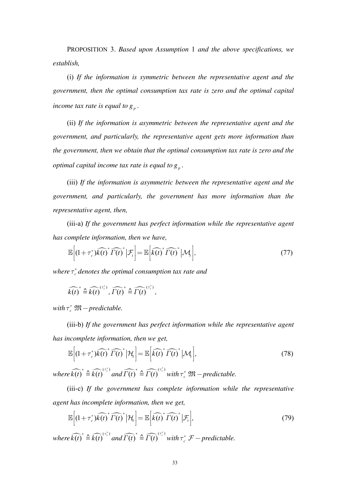PROPOSITION 3. Based upon Assumption 1 and the above specifications, we establish,

(i) If the information is symmetric between the representative agent and the government, then the optimal consumption tax rate is zero and the optimal capital income tax rate is equal to  $g_n$ .

(ii) If the information is asymmetric between the representative agent and the government, and particularly, the representative agent gets more information than the government, then we obtain that the optimal consumption tax rate is zero and the optimal capital income tax rate is equal to  $g_n$ .

(iii) If the information is asymmetric between the representative agent and the government, and particularly, the government has more information than the representative agent, then,

(iii-a) If the government has perfect information while the representative agent has complete information, then we have,

$$
\mathbb{E}\Big[(1+\tau_c^*)\widehat{k(t)}^* \widehat{\Gamma(t)}^* \Big|\mathcal{F}_t\Big] = \mathbb{E}\Big[\widehat{k(t)}^* \widehat{\Gamma(t)}^* \Big|\mathcal{M}_t\Big],\tag{77}
$$

where  $\tau_c^*$  denotes the optimal consumption tax rate and

$$
\widehat{k(t)}^* \triangleq \widehat{k(t)}^{(\tau_c^*)}, \widehat{\Gamma(t)}^* \triangleq \widehat{\Gamma(t)}^{(\tau_c^*)},
$$

with  $\tau_c^* \mathfrak{M}-predictable$ .

(iii-b) If the government has perfect information while the representative agent has incomplete information, then we get,

$$
\mathbb{E}\Big[(1+\tau_c^*)\widehat{k(t)}^* \widehat{\Gamma(t)}^* \big|\mathcal{H}_t\Big] = \mathbb{E}\Big[\widehat{k(t)}^* \widehat{\Gamma(t)}^* \big|\mathcal{M}_t\Big],\tag{78}
$$

where  $\widehat{k(t)}^* \triangleq \widehat{k(t)}^{(\tau_c^*)}$  and  $\widehat{\Gamma(t)}^* \triangleq \widehat{\Gamma(t)}^{(\tau_c^*)}$  with  $\tau_c^*$   $\mathfrak{M}-$  predictable.

(iii-c) If the government has complete information while the representative agent has incomplete information, then we get.

$$
\mathbb{E}\left[\left(1+\tau_c^*\right)\widehat{k(t)}^*\widehat{\Gamma(t)}^*\left|\mathcal{H}_t\right.\right]=\mathbb{E}\left[\widehat{k(t)}^*\widehat{\Gamma(t)}^*\left|\mathcal{F}_t\right.\right],\tag{79}
$$

where  $\widehat{k(t)}^* \triangleq \widehat{k(t)}^{(\tau_c^*)}$  and  $\widehat{\Gamma(t)}^* \triangleq \widehat{\Gamma(t)}^{(\tau_c^*)}$  with  $\tau_c^* \mathcal{F}$  – predictable.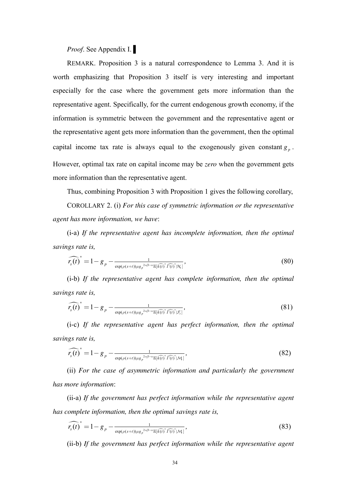# *Proof*. See Appendix I. ▌

REMARK. Proposition 3 is a natural correspondence to Lemma 3. And it is worth emphasizing that Proposition 3 itself is very interesting and important especially for the case where the government gets more information than the representative agent. Specifically, for the current endogenous growth economy, if the information is symmetric between the government and the representative agent or the representative agent gets more information than the government, then the optimal capital income tax rate is always equal to the exogenously given constant  $g_p$ . However, optimal tax rate on capital income may be *zero* when the government gets more information than the representative agent.

Thus, combining Proposition 3 with Proposition 1 gives the following corollary,

COROLLARY 2. (i) *For this case of symmetric information or the representative agent has more information, we have*:

(i-a) *If the representative agent has incomplete information, then the optimal savings rate is,* 

$$
\widehat{r_s(t)}^* = 1 - g_p - \frac{1}{\exp(\rho(s+t))\mu g_p^{2\alpha/1-\alpha} \mathbb{E}[\widehat{k(t)}^* \widehat{I(t)}^* | \mathcal{H}_t]},
$$
\n(80)

(i-b) *If the representative agent has complete information, then the optimal savings rate is,* 

$$
\widehat{r_s(t)}^* = 1 - g_p - \frac{1}{\exp(\rho(s+t))\mu g_p^{2\alpha/1-\alpha} \mathbb{E}[\widehat{k(t)}^* \widehat{T(t)}^* | \mathcal{F}_t]},
$$
\n(81)

(i-c) *If the representative agent has perfect information, then the optimal savings rate is,* 

$$
\widehat{r_s(t)}^* = 1 - g_p - \frac{1}{\exp(\rho(s+t))\mu g_p^{2\alpha/1-\alpha} \mathbb{E}[\widehat{k(t)}^* \widehat{\Gamma(t)}^* | \mathcal{M}_1]},
$$
\n(82)

(ii) *For the case of asymmetric information and particularly the government has more information*:

(ii-a) *If the government has perfect information while the representative agent has complete information, then the optimal savings rate is,* 

$$
\widehat{r_s(t)}^* = 1 - g_p - \frac{1}{\exp(\rho(s+t))\mu g_p^{2\alpha/1-\alpha} \mathbb{E}[\widehat{k(t)}^* \widehat{\Gamma(t)}^* | \mathcal{M}_1]},
$$
\n(83)

(ii-b) *If the government has perfect information while the representative agent*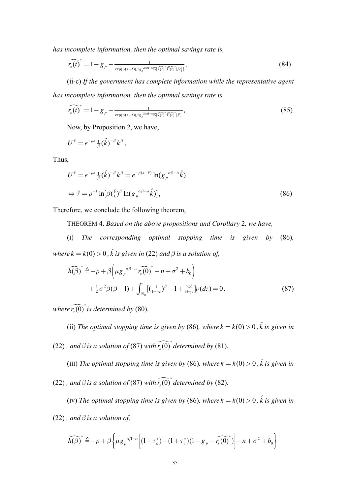*has incomplete information, then the optimal savings rate is,* 

$$
\widehat{r_s(t)}^* = 1 - g_p - \frac{1}{\exp(\rho(s+t))\mu g_p^{2\alpha/\ln\alpha} \mathbb{E}(\widehat{t(t)}^* \widehat{r(t)}^* | \mathcal{M}_1)},
$$
\n(84)

(ii-c) *If the government has complete information while the representative agent has incomplete information, then the optimal savings rate is,* 

$$
\widehat{r_s(t)}^* = 1 - g_p - \frac{1}{\exp(\rho(s+t))\mu g_p^{2\alpha/1-\alpha} \mathbb{E}[\widehat{k(t)}^* \widehat{\Gamma(t)}^* | \mathcal{F}_t]},
$$
\n(85)

Now, by Proposition 2, we have,

$$
U^{\hat{\tau}} = e^{-\rho s} \frac{1}{\beta} (\hat{k})^{-\beta} k^{\beta},
$$

Thus,

$$
U^{\hat{\tau}} = e^{-\rho s} \frac{1}{\beta} (\hat{k})^{-\beta} k^{\beta} = e^{-\rho(s+\hat{\tau})} \ln(g_p^{\alpha/1-\alpha} \hat{k})
$$
  
\n
$$
\Leftrightarrow \hat{\tau} = \rho^{-1} \ln[\beta(\hat{k})^{\beta} \ln(g_p^{\alpha/1-\alpha} \hat{k})],
$$
\n(86)

Therefore, we conclude the following theorem,

THEOREM 4. *Based on the above propositions and Corollary* 2*, we have,*

(i) *The corresponding optimal stopping time is given by* (86)*, where*  $k = k(0) > 0$ ,  $\hat{k}$  *is given in* (22) and  $\beta$  *is a solution of,* 

$$
\widehat{h(\beta)}^* \triangleq -\rho + \beta \left(\mu g_p^{\alpha/1-\alpha} \widehat{r_s(0)}^* - n + \sigma^2 + b_0\right) + \frac{1}{2} \sigma^2 \beta(\beta - 1) + \int_{\mathbb{R}_0} \left[ \left(\frac{1}{1 + \gamma z}\right)^{\beta} - 1 + \frac{\gamma z \beta}{1 + \gamma z} \right] \nu(dz) = 0,
$$
\n(87)

*where*  $\widehat{r_s(0)}$  *is determined by* (80).

(ii) *The optimal stopping time is given by (86), where*  $k = k(0) > 0$ ,  $\hat{k}$  *is given in* (22), and  $\beta$  *is a solution of* (87) with  $\widehat{r_s(0)}^*$  determined by (81).

(iii) The optimal stopping time is given by (86), where  $k = k(0) > 0$ ,  $\hat{k}$  is given in

(22), and  $\beta$  *is a solution of* (87) with  $\widehat{r_s(0)}^*$  determined by (82).

(iv) The optimal stopping time is given by (86), where  $k = k(0) > 0$ ,  $\hat{k}$  is given in (22), and  $\beta$  *is a solution of,* 

$$
\widehat{h(\beta)}^* \triangleq -\rho + \beta \left\{ \mu g_p^{\alpha/l-\alpha} \left[ (1-\tau_k^*) - (1+\tau_c^*)(1-g_p - \widehat{r_s(0)}^*) \right] - n + \sigma^2 + b_0 \right\}
$$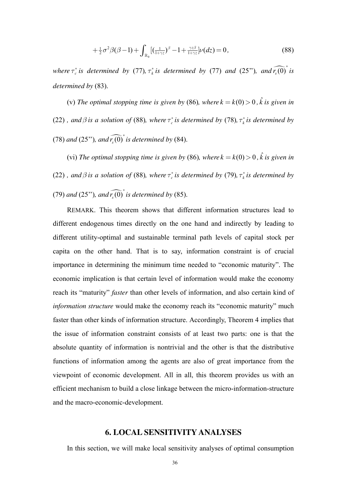$$
+\frac{1}{2}\sigma^2\beta(\beta-1)+\int_{\mathbb{R}_0}[(\frac{1}{1+\gamma z})^{\beta}-1+\frac{\gamma z\beta}{1+\gamma z}]\nu(dz)=0,
$$
\n(88)

*where*  $\tau_c^*$  *is determined by* (77)*,*  $\tau_k^*$  *is determined by* (77) *and* (25")*, and*  $\widehat{r_s(0)}^*$  *is determined by* (83).

(v) The optimal stopping time is given by (86), where  $k = k(0) > 0$ ,  $\hat{k}$  is given in (22) *, and*  $\beta$  *is a solution of* (88)*, where*  $\tau_c^*$  *is determined by* (78)*,*  $\tau_k^*$  *is determined by* (78) and (25"), and  $\widehat{r_s(0)}^*$  is determined by (84).

(vi) The optimal stopping time is given by (86), where  $k = k(0) > 0$ ,  $\hat{k}$  is given in (22) *, and*  $\beta$  *is a solution of* (88)*, where*  $\tau_c^*$  *is determined by* (79)*,*  $\tau_k^*$  *is determined by* (79) and (25"), and  $\widehat{r_s(0)}^*$  is determined by (85).

REMARK. This theorem shows that different information structures lead to different endogenous times directly on the one hand and indirectly by leading to different utility-optimal and sustainable terminal path levels of capital stock per capita on the other hand. That is to say, information constraint is of crucial importance in determining the minimum time needed to "economic maturity". The economic implication is that certain level of information would make the economy reach its "maturity" *faster* than other levels of information, and also certain kind of *information structure* would make the economy reach its "economic maturity" much faster than other kinds of information structure. Accordingly, Theorem 4 implies that the issue of information constraint consists of at least two parts: one is that the absolute quantity of information is nontrivial and the other is that the distributive functions of information among the agents are also of great importance from the viewpoint of economic development. All in all, this theorem provides us with an efficient mechanism to build a close linkage between the micro-information-structure and the macro-economic-development.

# **6. LOCAL SENSITIVITY ANALYSES**

In this section, we will make local sensitivity analyses of optimal consumption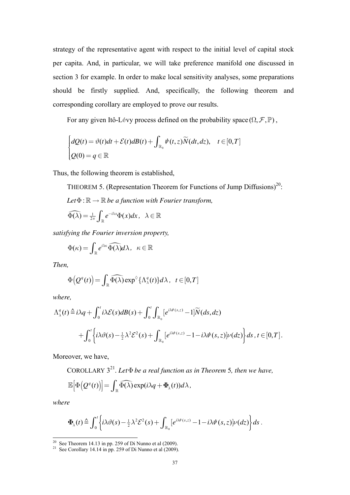strategy of the representative agent with respect to the initial level of capital stock per capita. And, in particular, we will take preference manifold one discussed in section 3 for example. In order to make local sensitivity analyses, some preparations should be firstly supplied. And, specifically, the following theorem and corresponding corollary are employed to prove our results.

For any given Itô-Lévy process defined on the probability space  $(\Omega, \mathcal{F}, \mathbb{P})$ ,

$$
\begin{cases}\ndQ(t) = \vartheta(t)dt + \mathcal{E}(t)dB(t) + \int_{\mathbb{R}_0} \psi(t, z)\widetilde{N}(dt, dz), & t \in [0, T] \\
Q(0) = q \in \mathbb{R}\n\end{cases}
$$

Thus, the following theorem is established,

THEOREM 5. (Representation Theorem for Functions of Jump Diffusions)<sup>20</sup>:

Let 
$$
\Phi : \mathbb{R} \to \mathbb{R}
$$
 be a function with Fourier transform,

$$
\widehat{\Phi(\lambda)} = \frac{1}{2\pi} \int_{\mathbb{R}} e^{-i\lambda x} \Phi(x) dx, \quad \lambda \in \mathbb{R}
$$

*satisfying the Fourier inversion property,* 

$$
\Phi(\kappa) = \int_{\mathbb{R}} e^{i\lambda \kappa} \widehat{\Phi(\lambda)} d\lambda, \quad \kappa \in \mathbb{R}
$$

*Then,* 

$$
\Phi\big(Q^q(t)\big) = \int_{\mathbb{R}} \widehat{\Phi(\lambda)} \exp^{\Diamond} {\{\Lambda_{\lambda}^q(t)\}} d\lambda, \ \ t \in [0, T]
$$

*where,* 

$$
\Lambda^q_{\lambda}(t) \triangleq i\lambda q + \int_0^t i\lambda \mathcal{E}(s)dB(s) + \int_0^t \int_{\mathbb{R}_0} \left[e^{i\lambda \psi(s,z)} - 1\right] \widetilde{N}(ds, dz) + \int_0^t \left\{i\lambda \vartheta(s) - \frac{1}{2}\lambda^2 \mathcal{E}^2(s) + \int_{\mathbb{R}_0} \left[e^{i\lambda \psi(s,z)} - 1 - i\lambda \psi(s,z)\right] \nu(dz)\right\} ds, t \in [0, T].
$$

Moreover, we have,

COROLLARY  $3^{21}$ . Let  $\Phi$  *be a real function as in Theorem 5, then we have,*  $\mathbb{E}\left[\Phi\left(Q^q(t)\right)\right] = \int_{\mathbb{R}} \widehat{\Phi(\lambda)} \exp(i\lambda q + \Phi_{\lambda}(t)) d\lambda,$ 

*where* 

-

$$
\Phi_{\lambda}(t) \stackrel{\Delta}{=} \int_0^t \left\{ i\lambda \vartheta(s) - \frac{1}{2} \lambda^2 \mathcal{E}^2(s) + \int_{\mathbb{R}_0} \left[e^{i\lambda \psi(s,z)} - 1 - i\lambda \psi(s,z)\right] \nu(dz) \right\} ds.
$$

<sup>&</sup>lt;sup>20</sup> See Theorem 14.13 in pp. 259 of Di Nunno et al  $(2009)$ .

<sup>&</sup>lt;sup>21</sup> See Corollary 14.14 in pp. 259 of Di Nunno et al  $(2009)$ .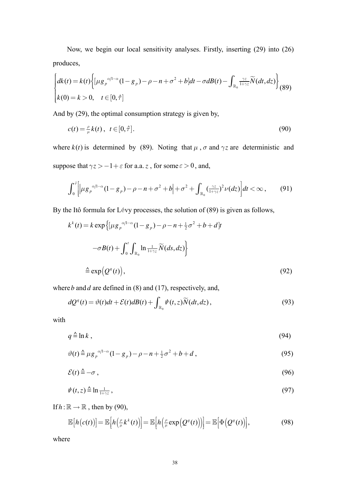Now, we begin our local sensitivity analyses. Firstly, inserting (29) into (26) produces,

$$
\begin{cases}\ndk(t) = k(t) \left\{ \left[ \mu g_p^{\alpha/1-\alpha} (1 - g_p) - \rho - n + \sigma^2 + b \right] dt - \sigma d(t) - \int_{\mathbb{R}_0} \frac{\gamma z}{1 + \gamma z} \widetilde{N}(dt, dz) \right\} \\
k(0) = k > 0, \quad t \in [0, \hat{\tau}] \n\end{cases} \tag{89}
$$

And by  $(29)$ , the optimal consumption strategy is given by,

$$
c(t) = \frac{\rho}{\mu} k(t), \quad t \in [0, \hat{\tau}]. \tag{90}
$$

where  $k(t)$  is determined by (89). Noting that  $\mu$ ,  $\sigma$  and  $\gamma z$  are deterministic and suppose that  $\gamma z > -1 + \varepsilon$  for a.a. z, for some  $\varepsilon > 0$ , and,

$$
\int_0^{\hat{\tau}} \Biggl[ \Bigl| \mu g_p^{\alpha/1-\alpha} (1 - g_p) - \rho - n + \sigma^2 + b \Bigr| + \sigma^2 + \int_{\mathbb{R}_0} \left( \frac{\gamma z}{1 + \gamma z} \right)^2 \nu(dz) \Biggr] dt < \infty , \tag{91}
$$

By the Itô formula for Lévy processes, the solution of (89) is given as follows,

$$
k^{k}(t) = k \exp \{ \left[ \mu g_{p}^{\alpha/1-\alpha} (1 - g_{p}) - \rho - n + \frac{1}{2} \sigma^{2} + b + d \right] t
$$
  

$$
- \sigma B(t) + \int_{0}^{t} \int_{\mathbb{R}_{0}} \ln \frac{1}{1 + \gamma z} \widetilde{N}(ds, dz) \}
$$
  

$$
\triangleq \exp \left( Q^{q}(t) \right), \tag{92}
$$

where  $b$  and  $d$  are defined in (8) and (17), respectively, and,

$$
dQ^{q}(t) = \vartheta(t)dt + \mathcal{E}(t)dB(t) + \int_{\mathbb{R}_{0}} \psi(t, z)\widetilde{N}(dt, dz),
$$
\n(93)

with

$$
q \triangleq \ln k \,,\tag{94}
$$

$$
\vartheta(t) \stackrel{\Delta}{=} \mu g_p^{\alpha/1-\alpha} (1 - g_p) - \rho - n + \frac{1}{2} \sigma^2 + b + d \,, \tag{95}
$$

$$
\mathcal{E}(t) \triangleq -\sigma \,,\tag{96}
$$

$$
\psi(t,z) \stackrel{\Delta}{=} \ln \frac{1}{1+\gamma z},\tag{97}
$$

If  $h : \mathbb{R} \to \mathbb{R}$ , then by (90),

$$
\mathbb{E}\big[h\big(c(t)\big)\big] = \mathbb{E}\big[h\big(\tfrac{\rho}{\mu}k^k(t)\big)\big] = \mathbb{E}\big[h\big(\tfrac{\rho}{\mu}\exp\big(Q^q(t)\big)\big)\big] = \mathbb{E}\big[\Phi\big(Q^q(t)\big)\big],\tag{98}
$$

where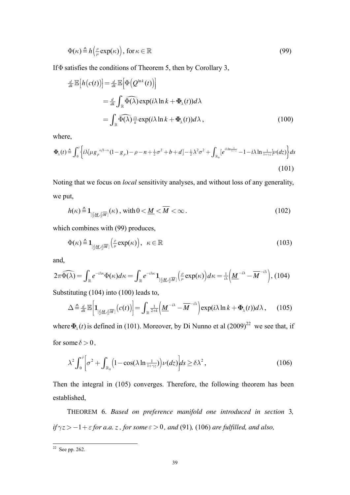$$
\Phi(\kappa) \stackrel{\Delta}{=} h\left(\frac{\rho}{\mu} \exp(\kappa)\right), \text{ for } \kappa \in \mathbb{R}
$$
\n(99)

If  $\Phi$  satisfies the conditions of Theorem 5, then by Corollary 3,

$$
\frac{d}{dk} \mathbb{E}\left[h(c(t))\right] = \frac{d}{dk} \mathbb{E}\left[\Phi\left(Q^{\ln k}(t)\right)\right]
$$
\n
$$
= \frac{d}{dk} \int_{\mathbb{R}} \widehat{\Phi(\lambda)} \exp(i\lambda \ln k + \Phi_{\lambda}(t)) d\lambda
$$
\n
$$
= \int_{\mathbb{R}} \widehat{\Phi(\lambda)} \frac{i\lambda}{k} \exp(i\lambda \ln k + \Phi_{\lambda}(t)) d\lambda, \qquad (100)
$$

where,

$$
\Phi_{\lambda}(t) \stackrel{\Delta}{=} \int_0^t \left\{ i\lambda \left[ \mu g_p^{\alpha/1-\alpha} (1-g_p) - \rho - n + \frac{1}{2} \sigma^2 + b + d \right] - \frac{1}{2} \lambda^2 \sigma^2 + \int_{\mathbb{R}_0} \left[ e^{i\lambda \ln \frac{1}{1+\gamma z}} - 1 - i\lambda \ln \frac{1}{1+\gamma z} \right] \nu(dz) \right\} ds
$$
\n(101)

Noting that we focus on *local* sensitivity analyses, and without loss of any generality, we put,

$$
h(\kappa) \stackrel{\Delta}{=} \mathbf{1}_{\left[\frac{\rho}{\mu} \underline{M}, \frac{\rho}{\mu} \overline{M}\right]}(\kappa), \text{ with } 0 < \underline{M} < \overline{M} < \infty. \tag{102}
$$

which combines with (99) produces,

$$
\Phi(\kappa) \stackrel{\Delta}{=} \mathbf{1}_{\left[\frac{\rho}{\mu}\mathbf{M}, \frac{\rho}{\mu}\mathbf{M}\right]} \left(\frac{\rho}{\mu}\exp(\kappa)\right), \quad \kappa \in \mathbb{R} \tag{103}
$$

and,

$$
2\pi \widehat{\Phi(\lambda)} = \int_{\mathbb{R}} e^{-i\lambda \kappa} \Phi(\kappa) d\kappa = \int_{\mathbb{R}} e^{-i\lambda \kappa} \mathbf{1}_{\left[\frac{\rho}{\mu} \underline{M}, \frac{\rho}{\mu} \overline{M}\right]} \left(\frac{\rho}{\mu} \exp(\kappa)\right) d\kappa = \frac{1}{i\lambda} \left(\underline{M}^{-i\lambda} - \overline{M}^{-i\lambda}\right), (104)
$$

Substituting (104) into (100) leads to,

$$
\Delta \triangleq \frac{d}{dk} \mathbb{E} \Big[ \mathbf{1}_{\left[\frac{\rho}{\mu} \underline{M}, \frac{\rho}{\mu} \overline{M}\right]} \big( c(t) \big) \Big] = \int_{\mathbb{R}} \frac{1}{2\pi k} \bigg( \underline{M}^{-\lambda} - \overline{M}^{-\lambda} \bigg) \exp(i\lambda \ln k + \Phi_{\lambda}(t)) d\lambda \,, \qquad (105)
$$

where  $\Phi_{\lambda}(t)$  is defined in (101). Moreover, by Di Nunno et al (2009)<sup>22</sup> we see that, if for some  $\delta > 0$ ,

$$
\lambda^2 \int_0^{\hat{\tau}} \left[ \sigma^2 + \int_{\mathbb{R}_0} \left( 1 - \cos(\lambda \ln \frac{1}{1 + \gamma z}) \right) \nu(dz) \right] ds \ge \delta \lambda^2,
$$
 (106)

Then the integral in (105) converges. Therefore, the following theorem has been established,

THEOREM 6. *Based on preference manifold one introduced in section* 3*,*   $if \gamma z > -1 + \varepsilon$  *for a.a. z, for some*  $\varepsilon > 0$ *, and* (91)*,* (106) *are fulfilled, and also,* 

<sup>-</sup> $22$  See pp. 262.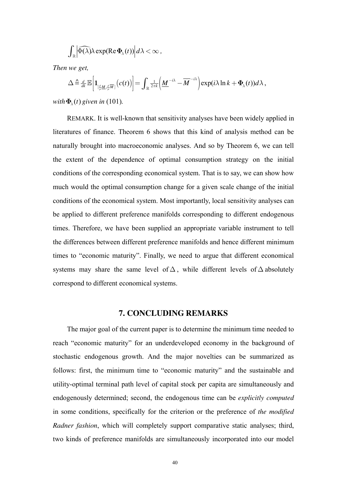$$
\int_{\mathbb{R}} \left| \widehat{\Phi(\lambda)} \lambda \exp(\text{Re}\, \Phi_{\lambda}(t)) \right| d\lambda < \infty,
$$

*Then we get,* 

$$
\Delta \triangleq \frac{d}{dt} \mathbb{E} \bigg[ \mathbf{1}_{\left[\frac{\rho}{\mu} \underline{M}, \frac{\rho}{\mu} \overline{M}\right]} \big( c(t) \big) \bigg] = \int_{\mathbb{R}} \frac{1}{2\pi k} \bigg( \underline{M}^{-i\lambda} - \overline{M}^{-i\lambda} \bigg) \exp(i\lambda \ln k + \Phi_{\lambda}(t)) d\lambda ,
$$

*with*  $\Phi_{\lambda}(t)$  given in (101).

REMARK. It is well-known that sensitivity analyses have been widely applied in literatures of finance. Theorem 6 shows that this kind of analysis method can be naturally brought into macroeconomic analyses. And so by Theorem 6, we can tell the extent of the dependence of optimal consumption strategy on the initial conditions of the corresponding economical system. That is to say, we can show how much would the optimal consumption change for a given scale change of the initial conditions of the economical system. Most importantly, local sensitivity analyses can be applied to different preference manifolds corresponding to different endogenous times. Therefore, we have been supplied an appropriate variable instrument to tell the differences between different preference manifolds and hence different minimum times to "economic maturity". Finally, we need to argue that different economical systems may share the same level of  $\Delta$ , while different levels of  $\Delta$  absolutely correspond to different economical systems.

# **7. CONCLUDING REMARKS**

The major goal of the current paper is to determine the minimum time needed to reach "economic maturity" for an underdeveloped economy in the background of stochastic endogenous growth. And the major novelties can be summarized as follows: first, the minimum time to "economic maturity" and the sustainable and utility-optimal terminal path level of capital stock per capita are simultaneously and endogenously determined; second, the endogenous time can be *explicitly computed* in some conditions, specifically for the criterion or the preference of *the modified Radner fashion*, which will completely support comparative static analyses; third, two kinds of preference manifolds are simultaneously incorporated into our model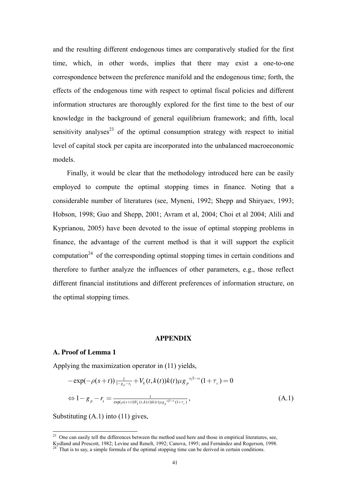and the resulting different endogenous times are comparatively studied for the first time, which, in other words, implies that there may exist a one-to-one correspondence between the preference manifold and the endogenous time; forth, the effects of the endogenous time with respect to optimal fiscal policies and different information structures are thoroughly explored for the first time to the best of our knowledge in the background of general equilibrium framework; and fifth, local sensitivity analyses<sup>23</sup> of the optimal consumption strategy with respect to initial level of capital stock per capita are incorporated into the unbalanced macroeconomic models.

Finally, it would be clear that the methodology introduced here can be easily employed to compute the optimal stopping times in finance. Noting that a considerable number of literatures (see, Myneni, 1992; Shepp and Shiryaev, 1993; Hobson, 1998; Guo and Shepp, 2001; Avram et al, 2004; Choi et al 2004; Alili and Kyprianou, 2005) have been devoted to the issue of optimal stopping problems in finance, the advantage of the current method is that it will support the explicit computation<sup>24</sup> of the corresponding optimal stopping times in certain conditions and therefore to further analyze the influences of other parameters, e.g., those reflect different financial institutions and different preferences of information structure, on the optimal stopping times.

#### **APPENDIX**

## **A. Proof of Lemma 1**

-

Applying the maximization operator in (11) yields,

$$
-\exp(-\rho(s+t))\frac{1}{1-s_{p}-r_{s}}+V_{k}(t,k(t))k(t)\mu g_{p}^{\alpha/1-\alpha}(1+\tau_{c})=0
$$
  
\n
$$
\Leftrightarrow 1-g_{p}-r_{s}=\frac{1}{\exp(\rho(s+t))V_{k}(t,k(t))k(t)\mu g_{p}^{\alpha/1-\alpha}(1+\tau_{c})},
$$
\n(A.1)

Substituting (A.1) into (11) gives,

<sup>&</sup>lt;sup>23</sup> One can easily tell the differences between the method used here and those in empirical literatures, see,

Kydland and Prescott, 1982; Levine and Renelt, 1992; Canova, 1995; and Fernández and Rogerson, 1998.

That is to say, a simple formula of the optimal stopping time can be derived in certain conditions.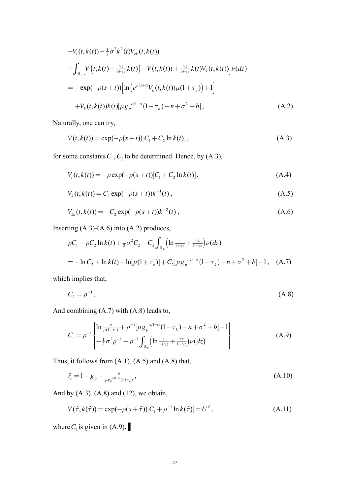$$
-V_{t}(t,k(t)) - \frac{1}{2}\sigma^{2}k^{2}(t)V_{kk}(t,k(t))
$$
  
\n
$$
-\int_{\mathbb{R}_{0}}\left[V\left(t,k(t)-\frac{\gamma z}{1+\gamma z}k(t)\right)-V(t,k(t))+\frac{\gamma z}{1+\gamma z}k(t)V_{k}(t,k(t))\right]V(dz)
$$
  
\n
$$
= -\exp(-\rho(s+t))\left[\ln\left(e^{\rho(s+t)}V_{k}(t,k(t))\mu(1+\tau_{c})\right)+1\right]
$$
  
\n
$$
+V_{k}(t,k(t))k(t)[\mu g_{p}^{\alpha/1-\alpha}(1-\tau_{k})-n+\sigma^{2}+b], \qquad (A.2)
$$

Naturally, one can try,

$$
V(t, k(t)) = \exp(-\rho(s+t))[C_1 + C_2 \ln k(t)],
$$
\n(A.3)

for some constants  $C_1$ ,  $C_2$  to be determined. Hence, by (A.3),

$$
V_{t}(t,k(t)) = -\rho \exp(-\rho(s+t))[C_{1} + C_{2} \ln k(t)], \qquad (A.4)
$$

$$
V_k(t, k(t)) = C_2 \exp(-\rho(s+t))k^{-1}(t), \qquad (A.5)
$$

$$
V_{kk}(t,k(t)) = -C_2 \exp(-\rho(s+t))k^{-2}(t), \qquad (A.6)
$$

Inserting  $(A.3)-(A.6)$  into  $(A.2)$  produces,

$$
\rho C_1 + \rho C_2 \ln k(t) + \frac{1}{2} \sigma^2 C_2 - C_2 \int_{\mathbb{R}_0} \left( \ln \frac{1}{1 + \gamma z} + \frac{\gamma z}{1 + \gamma z} \right) \nu(dz)
$$
  
= 
$$
- \ln C_2 + \ln k(t) - \ln[\mu(1 + \tau_c)] + C_2 [\mu g_p^{\alpha/1 - \alpha} (1 - \tau_k) - n + \sigma^2 + b] - 1, \quad (A.7)
$$

which implies that,

$$
C_2 = \rho^{-1},\tag{A.8}
$$

And combining (A.7) with (A.8) leads to,

$$
C_1 = \rho^{-1} \begin{cases} \ln \frac{\rho}{\mu(1+\tau_c)} + \rho^{-1} [\mu g_{\rho}^{\alpha/1-\alpha} (1-\tau_k) - n + \sigma^2 + b] - 1 \\ -\frac{1}{2} \sigma^2 \rho^{-1} + \rho^{-1} \int_{\mathbb{R}_0} (\ln \frac{1}{1+\gamma z} + \frac{\gamma z}{1+\gamma z}) \nu(dz) \end{cases} . \tag{A.9}
$$

Thus, it follows from  $(A.1)$ ,  $(A.5)$  and  $(A.8)$  that,

$$
\hat{r}_s = 1 - g_p - \frac{\rho}{\mu g_p^{\alpha/1 - \alpha} (1 + \tau_c)},
$$
\n(A.10)

And by  $(A.3)$ ,  $(A.8)$  and  $(12)$ , we obtain,

$$
V(\hat{\tau}, k(\hat{\tau})) = \exp(-\rho(s+\hat{\tau})) [C_1 + \rho^{-1} \ln k(\hat{\tau})] = U^{\hat{\tau}}.
$$
 (A.11)

where  $C_1$  is given in (A.9).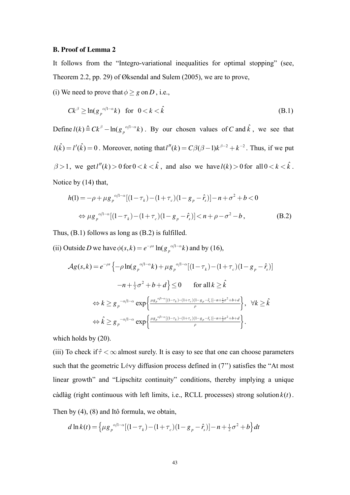## **B. Proof of Lemma 2**

It follows from the "Integro-variational inequalities for optimal stopping" (see, Theorem 2.2, pp. 29) of Øksendal and Sulem (2005), we are to prove,

(i) We need to prove that  $\phi \geq g$  on *D*, i.e.,

$$
Ck^{\beta} \ge \ln(g_p^{\alpha/l-\alpha}k) \quad \text{for} \quad 0 < k < \hat{k} \tag{B.1}
$$

Define  $l(k) \triangleq Ck^{\beta} - \ln(g_p^{\alpha/1-\alpha}k)$ . By our chosen values of *C* and  $\hat{k}$ , we see that  $l(k) = l'(k) = 0$ . Moreover, noting that  $l''(k) = C\beta(\beta-1)k^{\beta-2} + k^{-2}$ . Thus, if we put  $\beta > 1$ , we get  $l''(k) > 0$  for  $0 < k < \hat{k}$ , and also we have  $l(k) > 0$  for all  $0 < k < \hat{k}$ . Notice by (14) that,

$$
h(1) = -\rho + \mu g_p^{\alpha/l - \alpha} [(1 - \tau_k) - (1 + \tau_c)(1 - g_p - \hat{r}_s)] - n + \sigma^2 + b < 0
$$
  
\n
$$
\Leftrightarrow \mu g_p^{\alpha/l - \alpha} [(1 - \tau_k) - (1 + \tau_c)(1 - g_p - \hat{r}_s)] < n + \rho - \sigma^2 - b,
$$
 (B.2)

Thus, (B.1) follows as long as (B.2) is fulfilled.

(ii) Outside *D* we have  $\phi(s, k) = e^{-\rho s} \ln(g_p^{\alpha/1-\alpha} k)$  and by (16),

$$
\mathcal{A}g(s,k) = e^{-\rho s} \left\{ -\rho \ln(g_p^{\alpha/1-\alpha}k) + \mu g_p^{\alpha/1-\alpha}[(1-\tau_k) - (1+\tau_c)(1-g_p-\hat{r}_s)] \right\}
$$

$$
-n + \frac{1}{2}\sigma^2 + b + d \right\} \le 0 \quad \text{for all } k \ge \hat{k}
$$

$$
\Leftrightarrow k \ge g_p^{-\alpha/1-\alpha} \exp\left\{ \frac{\mu g_p^{\alpha/1-\alpha}[(1-\tau_k) - (1+\tau_c)(1-g_p-\hat{r}_s)] - n + \frac{1}{2}\sigma^2 + b + d}{\rho} \right\}, \quad \forall k \ge \hat{k}
$$

$$
\Leftrightarrow \hat{k} \ge g_p^{-\alpha/1-\alpha} \exp\left\{ \frac{\mu g_p^{\alpha/1-\alpha}[(1-\tau_k) - (1+\tau_c)(1-g_p-\hat{r}_s)] - n + \frac{1}{2}\sigma^2 + b + d}{\rho} \right\}.
$$

which holds by (20).

(iii) To check if  $\hat{\tau} < \infty$  almost surely. It is easy to see that one can choose parameters such that the geometric Lévy diffusion process defined in (7'') satisfies the "At most linear growth" and "Lipschitz continuity" conditions, thereby implying a unique càdlàg (right continuous with left limits, i.e., RCLL processes) strong solution  $k(t)$ . Then by (4), (8) and Itô formula, we obtain,

$$
d \ln k(t) = \left\{ \mu g_p^{\alpha/1-\alpha} [(1-\tau_k) - (1+\tau_c)(1-g_p - \hat{r}_s)] - n + \frac{1}{2}\sigma^2 + b \right\} dt
$$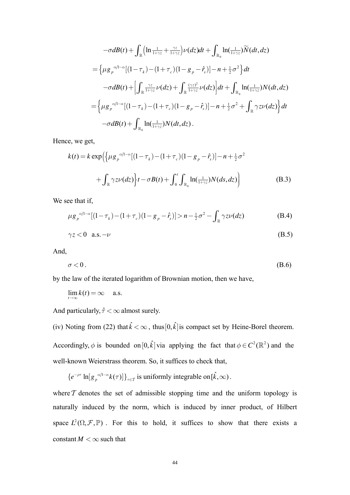$$
-\sigma dB(t) + \int_{\mathbb{R}} \left( \ln \frac{1}{1+\gamma z} + \frac{\gamma z}{1+\gamma z} \right) \nu(dz) dt + \int_{\mathbb{R}_0} \ln(\frac{1}{1+\gamma z}) \widetilde{N}(dt, dz)
$$
  
\n
$$
= \left\{ \mu g_p^{-\alpha/1-\alpha} [(1-\tau_k) - (1+\tau_c)(1-g_p-\hat{r}_s)] - n + \frac{1}{2}\sigma^2 \right\} dt
$$
  
\n
$$
-\sigma dB(t) + \left[ \int_{\mathbb{R}} \frac{\gamma z}{1+\gamma z} \nu(dz) + \int_{\mathbb{R}} \frac{(\gamma z)^2}{1+\gamma z} \nu(dz) \right] dt + \int_{\mathbb{R}_0} \ln(\frac{1}{1+\gamma z}) N(dt, dz)
$$
  
\n
$$
= \left\{ \mu g_p^{-\alpha/1-\alpha} [(1-\tau_k) - (1+\tau_c)(1-g_p-\hat{r}_s)] - n + \frac{1}{2}\sigma^2 + \int_{\mathbb{R}} \gamma z \nu(dz) \right\} dt
$$
  
\n
$$
-\sigma dB(t) + \int_{\mathbb{R}_0} \ln(\frac{1}{1+\gamma z}) N(dt, dz).
$$

Hence, we get,

$$
k(t) = k \exp\left(\left\{\mu g_p^{\alpha/1-\alpha}[(1-\tau_k) - (1+\tau_c)(1-g_p - \hat{r}_s)] - n + \frac{1}{2}\sigma^2 + \int_{\mathbb{R}} \gamma z \nu(dz)\right\} t - \sigma B(t) + \int_0^t \int_{\mathbb{R}_0} \ln(\frac{1}{1+\gamma z}) N(ds, dz)\right)
$$
(B.3)

We see that if,

$$
\mu g_p^{\alpha/1-\alpha} [(1-\tau_k) - (1+\tau_c)(1-g_p - \hat{r}_s)] > n - \frac{1}{2}\sigma^2 - \int_{\mathbb{R}} \gamma z \nu(dz)
$$
 (B.4)

$$
\gamma z < 0 \quad \text{a.s.} -\nu \tag{B.5}
$$

And,

$$
\sigma < 0. \tag{B.6}
$$

by the law of the iterated logarithm of Brownian motion, then we have,

 $\lim_{t\to\infty}k(t)=\infty$  a.s.

And particularly,  $\hat{\tau} < \infty$  almost surely.

(iv) Noting from (22) that  $\hat{k} < \infty$ , thus  $[0, \hat{k}]$  is compact set by Heine-Borel theorem. Accordingly,  $\phi$  is bounded on  $[0, \hat{k}]$  via applying the fact that  $\phi \in C^2(\mathbb{R}^2)$  and the well-known Weierstrass theorem. So, it suffices to check that,

$$
\{e^{-\rho\tau}\ln[g_p^{\alpha/1-\alpha}k(\tau)]\}_{\tau\in\mathcal{T}}\text{ is uniformly integrable on }[\hat{k},\infty)\,.
$$

where  $T$  denotes the set of admissible stopping time and the uniform topology is naturally induced by the norm, which is induced by inner product, of Hilbert space  $L^2(\Omega, \mathcal{F}, \mathbb{P})$ . For this to hold, it suffices to show that there exists a constant  $M < \infty$  such that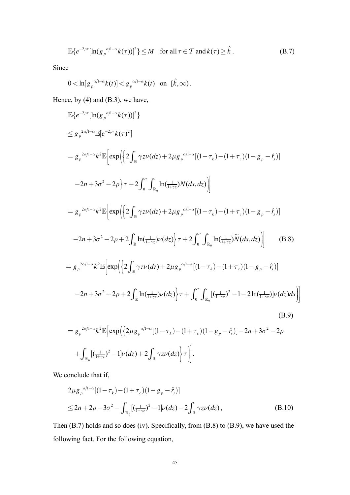$$
\mathbb{E}\left\{e^{-2\rho\tau}\left[\ln(g_p^{\alpha/1-\alpha}k(\tau))\right]^2\right\}\leq M\quad\text{for all }\tau\in\mathcal{T}\text{ and }k(\tau)\geq\hat{k}.\tag{B.7}
$$

Since

$$
0 < \ln[g_p^{\alpha/1-\alpha}k(t)] < g_p^{\alpha/1-\alpha}k(t) \quad \text{on} \quad [\hat{k},\infty) \, .
$$

Hence, by  $(4)$  and  $(B.3)$ , we have,

$$
\mathbb{E}\left\{e^{-2\rho\tau}\left[\ln(g_{p}^{\alpha/1-\alpha}K(\tau))\right]^{2}\right\}\leq g_{p}^{2\alpha/1-\alpha}\mathbb{E}\left[e^{-2\rho\tau}K(\tau)^{2}\right]\n= g_{p}^{2\alpha/1-\alpha}k^{2}\mathbb{E}\left[\exp\left\{\left(2\int_{\mathbb{R}}\gamma z\nu(dz)+2\mu g_{p}^{\alpha/1-\alpha}\left[(1-\tau_{k})-(1+\tau_{c})(1-g_{p}-\hat{r}_{s})\right]\right)\right.\right.\n-2n+3\sigma^{2}-2\rho\right\}\tau+2\int_{0}^{\tau}\int_{\mathbb{R}_{0}}\ln(\frac{1}{1+\tau_{2}})N(ds,dz)\right]\n= g_{p}^{2\alpha/1-\alpha}k^{2}\mathbb{E}\left[\exp\left\{\left(2\int_{\mathbb{R}}\gamma z\nu(dz)+2\mu g_{p}^{\alpha/1-\alpha}\left[(1-\tau_{k})-(1+\tau_{c})(1-g_{p}-\hat{r}_{s})\right]\right.\right.\n-2n+3\sigma^{2}-2\rho+2\int_{\mathbb{R}}\ln(\frac{1}{1+\tau_{2}})\nu(dz)\right\}\tau+2\int_{0}^{\tau}\int_{\mathbb{R}_{0}}\ln(\frac{1}{1+\tau_{2}})\widetilde{N}(ds,dz)\right]
$$
(B.8)  
\n= g\_{p}^{2\alpha/1-\alpha}k^{2}\mathbb{E}\left[\exp\left\{\left(2\int\_{\mathbb{R}}\gamma z\nu(dz)+2\mu g\_{p}^{\alpha/1-\alpha}\left[(1-\tau\_{k})-(1+\tau\_{c})(1-g\_{p}-\hat{r}\_{s})\right]\right.\right.  
\n-2n+3\sigma^{2}-2\rho+2\int\_{\mathbb{R}}\ln(\frac{1}{1+\tau\_{c}})\nu(dz)\right\}\tau+\int\_{0}^{\tau}\int\_{\mathbb{R}\_{0}}[(\frac{1}{1+\tau\_{c}})^{2}-1-2\ln(\frac{1}{1+\tau\_{c}})\nu(dz)ds]\right](B.9)  
\n= g\_{p}^{2\alpha/1-\alpha}k^{2}\mathbb{E}\left[\exp\left\{\left(2\mu g\_{p}^{\alpha/1-\alpha}\left[(1-\tau\_{k})-(1+\tau\_{c})(1-g\_{p}-\hat{r}\_{s})\right]-2n+3\sigma^{

$$
+\int_{\mathbb{R}_0} \left[ \left( \frac{1}{1+\gamma z} \right)^2 - 1 \right] \nu(dz) + 2 \int_{\mathbb{R}} \gamma z \nu(dz) \bigg\} \tau \bigg) \bigg].
$$

We conclude that if,

$$
2\mu g_p^{\alpha/1-\alpha}[(1-\tau_k) - (1+\tau_c)(1-g_p - \hat{r}_s)]
$$
  
\n
$$
\leq 2n + 2\rho - 3\sigma^2 - \int_{\mathbb{R}_0} [(\frac{1}{1+\gamma z})^2 - 1] \nu(dz) - 2 \int_{\mathbb{R}} \gamma z \nu(dz),
$$
 (B.10)

Then  $(B.7)$  holds and so does (iv). Specifically, from  $(B.8)$  to  $(B.9)$ , we have used the following fact. For the following equation,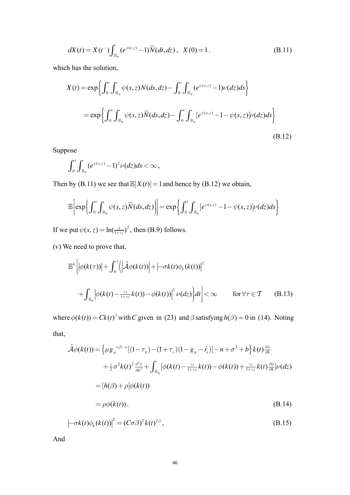$$
dX(t) = X(t^{-}) \int_{\mathbb{R}_{0}} (e^{\psi(t,z)} - 1) \widetilde{N}(dt, dz), \quad X(0) = 1.
$$
 (B.11)

which has the solution,

$$
X(t) = \exp\left\{\int_0^t \int_{\mathbb{R}_0} \psi(s, z) N(ds, dz) - \int_0^t \int_{\mathbb{R}_0} (e^{\psi(s, z)} - 1) \nu(dz) ds \right\}
$$
  
= 
$$
\exp\left\{\int_0^t \int_{\mathbb{R}_0} \psi(s, z) \widetilde{N}(ds, dz) - \int_0^t \int_{\mathbb{R}_0} [e^{\psi(s, z)} - 1 - \psi(s, z)] \nu(dz) ds \right\}
$$
(B.12)

Suppose

$$
\int_0^t \int_{\mathbb{R}_0} \left(e^{\psi(s,z)} - 1\right)^2 \nu(dz) ds < \infty,
$$

Then by (B.11) we see that  $\mathbb{E}[X(t)] = 1$  and hence by (B.12) we obtain,

$$
\mathbb{E}\bigg[\exp\bigg(\int_0^t\int_{\mathbb{R}_0}\psi(s,z)\widetilde{N}(ds,dz)\bigg)\bigg]=\exp\bigg\{\int_0^t\int_{\mathbb{R}_0}\big[e^{\psi(s,z)}-1-\psi(s,z)\big]\nu(dz)ds\bigg\}
$$

If we put  $\psi(s, z) = \ln(\frac{1}{1+\gamma z})^2$ , then (B.9) follows.

(v) We need to prove that,

$$
\mathbb{E}^{k}\left[\left|\phi(k(\tau))\right|+\int_{0}^{\hat{\tau}}\left(\left|\hat{\mathcal{A}}\phi(k(t))\right|+\left|-\sigma k(t)\phi_{k}(k(t))\right|^{2}\right.\right.\left.\left.+\int_{\mathbb{R}_{0}}\left|\phi(k(t)-\frac{\gamma z}{1+\gamma z}k(t))-\phi(k(t))\right|^{2}\nu(dz)\right)dt\right]<\infty \qquad \text{for }\forall \tau\in\mathcal{T} \qquad (B.13)
$$

where  $\phi(k(t)) = Ck(t)^{\beta}$  with C given in (23) and  $\beta$  satisfying  $h(\beta) = 0$  in (14). Noting that,

$$
\hat{\mathcal{A}}\phi(k(t)) = \left\{\mu g_p^{\alpha/1-\alpha}[(1-\tau_k) - (1+\tau_c)(1-g_p - \hat{r}_s)] - n + \sigma^2 + b\right\}k(t)\frac{\partial\phi}{\partial k} \n+ \frac{1}{2}\sigma^2k(t)^2\frac{\partial^2\phi}{\partial k^2} + \int_{\mathbb{R}_0} [\phi(k(t) - \frac{\gamma z}{1+\gamma z}k(t)) - \phi(k(t)) + \frac{\gamma z}{1+\gamma z}k(t)\frac{\partial\phi}{\partial k}]\nu(dz) \n= [h(\beta) + \rho]\phi(k(t)) \n= \rho\phi(k(t)).
$$
\n(B.14)

$$
\left|-\sigma k(t)\phi_k(k(t))\right|^2 = (C\sigma\beta)^2 k(t)^{2\beta},\tag{B.15}
$$

And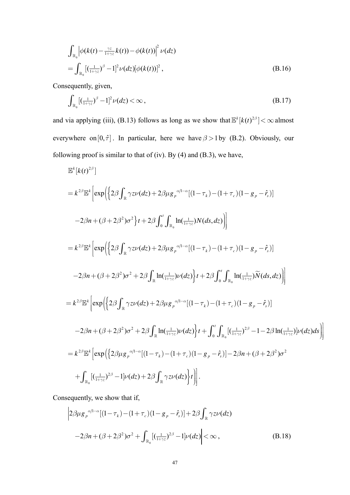$$
\int_{\mathbb{R}_0} \left| \phi(k(t) - \frac{\gamma z}{1 + \gamma z} k(t)) - \phi(k(t)) \right|^2 \nu(dz)
$$
\n
$$
= \int_{\mathbb{R}_0} \left[ \left( \frac{1}{1 + \gamma z} \right)^{\beta} - 1 \right]^2 \nu(dz) \left[ \phi(k(t)) \right]^2,
$$
\n(B.16)

Consequently, given,

$$
\int_{\mathbb{R}_0} \left[ \left( \frac{1}{1+\gamma z} \right)^{\beta} - 1 \right]^2 \nu(dz) < \infty \,, \tag{B.17}
$$

and via applying (iii), (B.13) follows as long as we show that  $\mathbb{E}^{k}[k(t)^{2\beta}] < \infty$  almost everywhere on  $[0, \hat{\tau}]$ . In particular, here we have  $\beta > 1$  by (B.2). Obviously, our following proof is similar to that of (iv). By (4) and (B.3), we have,

$$
\mathbb{E}^{k}[k(t)^{2\beta}]
$$
\n
$$
= k^{2\beta} \mathbb{E}^{k} \Big[ \exp \Big( \Big\{ 2\beta \int_{\mathbb{R}} \gamma z \nu(dz) + 2\beta \mu g_{\rho}{}^{\alpha/1-\alpha} [(1-\tau_{k}) - (1+\tau_{c})(1-g_{\rho}-\hat{r}_{s})] \Big\}
$$
\n
$$
-2\beta n + (\beta + 2\beta^{2})\sigma^{2} \Big\} t + 2\beta \int_{0}^{t} \int_{\mathbb{R}_{0}} \ln(\frac{1}{1+\gamma z}) N(ds, dz) \Big] \Big]
$$
\n
$$
= k^{2\beta} \mathbb{E}^{k} \Big[ \exp \Big( \Big\{ 2\beta \int_{\mathbb{R}} \gamma z \nu(dz) + 2\beta \mu g_{\rho}{}^{\alpha/1-\alpha} [(1-\tau_{k}) - (1+\tau_{c})(1-g_{\rho}-\hat{r}_{s})] \Big\}
$$
\n
$$
-2\beta n + (\beta + 2\beta^{2})\sigma^{2} + 2\beta \int_{\mathbb{R}} \ln(\frac{1}{1+\gamma z}) \nu(dz) \Big\} t + 2\beta \int_{0}^{t} \int_{\mathbb{R}_{0}} \ln(\frac{1}{1+\gamma z}) \widetilde{N}(ds, dz) \Big] \Big]
$$
\n
$$
= k^{2\beta} \mathbb{E}^{k} \Big[ \exp \Big( \Big\{ 2\beta \int_{\mathbb{R}} \gamma z \nu(dz) + 2\beta \mu g_{\rho}{}^{\alpha/1-\alpha} [(1-\tau_{k}) - (1+\tau_{c})(1-g_{\rho}-\hat{r}_{s})] \Big\}
$$
\n
$$
-2\beta n + (\beta + 2\beta^{2})\sigma^{2} + 2\beta \int_{\mathbb{R}} \ln(\frac{1}{1+\gamma z}) \nu(dz) \Big\} t + \int_{0}^{t} \int_{\mathbb{R}_{0}} [(\frac{1}{1+\gamma z})^{2\beta} - 1 - 2\beta \ln(\frac{1}{1+\gamma z})] \nu(dz) ds \Big] \Big]
$$
\n
$$
= k^{2\beta} \mathbb{E}^{k} \Big[ \exp \Big( \Big\{ 2\beta \mu g_{\rho}{}^{\alpha/1-\alpha} [(1-\tau_{k}) - (1+\tau_{
$$

Consequently, we show that if,

$$
\left| 2\beta \mu g_{p}^{\alpha/1-\alpha} [(1-\tau_{k}) - (1+\tau_{c}) (1-g_{p}-\hat{r}_{s})] + 2\beta \int_{\mathbb{R}} \gamma z \nu(dz) -2\beta n + (\beta + 2\beta^{2}) \sigma^{2} + \int_{\mathbb{R}_{0}} [(\frac{1}{1+\gamma z})^{2\beta} - 1] \nu(dz) \right| < \infty ,
$$
\n(B.18)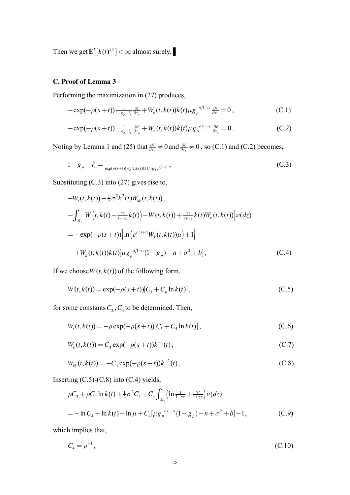Then we get  $\mathbb{E}^k[k(t)^{2\beta}] < \infty$  almost surely.

# **C. Proof of Lemma 3**

Performing the maximization in (27) produces,

$$
-\exp(-\rho(s+t))\frac{1}{1-s_p-\hat{r}_s}\frac{\partial\hat{r}}{\partial\tau_c}+W_k(t,k(t))k(t)\mu g_p^{\alpha/l-\alpha}\frac{\partial\hat{r}}{\partial\tau_c}=0\,,\tag{C.1}
$$

$$
-\exp(-\rho(s+t))\frac{1}{1-s_p-\hat{r}_s}\frac{\partial\hat{r}}{\partial\tau_k}+W_k(t,k(t))k(t)\mu g_p^{\alpha/l-\alpha}\frac{\partial\hat{r}}{\partial\tau_k}=0.
$$
 (C.2)

Noting by Lemma 1 and (25) that  $\frac{\partial \hat{r}}{\partial \tau_c} \neq 0$  $\frac{\partial \hat{r}}{\partial \tau_c} \neq 0$  and  $\frac{\partial \hat{r}}{\partial \tau_k} \neq 0$  $\frac{\partial \hat{r}}{\partial \tau_k} \neq 0$ , so (C.1) and (C.2) becomes,

$$
1 - g_p - \hat{r}_s = \frac{1}{\exp(\rho(s+t))W_k(t, k(t))k(t)\mu g_p^{\alpha/l-\alpha}},
$$
\n(C.3)

Substituting (C.3) into (27) gives rise to,

$$
-W_t(t, k(t)) - \frac{1}{2}\sigma^2 k^2(t)W_{kk}(t, k(t))
$$
  
\n
$$
-\int_{\mathbb{R}_0} \left[ W\left(t, k(t) - \frac{\gamma z}{1 + \gamma z} k(t)\right) - W(t, k(t)) + \frac{\gamma z}{1 + \gamma z} k(t)W_k(t, k(t)) \right] \nu(dz)
$$
  
\n
$$
= -\exp(-\rho(s+t)) \left[ \ln \left( e^{\rho(s+t)} W_k(t, k(t)) \mu \right) + 1 \right]
$$
  
\n
$$
+ W_k(t, k(t)) k(t) [\mu g_p^{\alpha/1-\alpha} (1 - g_p) - n + \sigma^2 + b], \qquad (C.4)
$$

If we choose  $W(t, k(t))$  of the following form,

$$
W(t, k(t)) = \exp(-\rho(s+t))[C_3 + C_4 \ln k(t)],
$$
\n(C.5)

for some constants  $C_3$ ,  $C_4$  to be determined. Then,

$$
W_t(t, k(t)) = -\rho \exp(-\rho(s+t))[C_3 + C_4 \ln k(t)],
$$
\n(C.6)

$$
W_k(t, k(t)) = C_4 \exp(-\rho(s+t))k^{-1}(t), \qquad (C.7)
$$

$$
W_{kk}(t, k(t)) = -C_4 \exp(-\rho(s+t))k^{-2}(t), \qquad (C.8)
$$

Inserting  $(C.5)-(C.8)$  into  $(C.4)$  yields,

$$
\rho C_3 + \rho C_4 \ln k(t) + \frac{1}{2} \sigma^2 C_4 - C_4 \int_{\mathbb{R}_0} \left( \ln \frac{1}{1 + \gamma z} + \frac{\gamma z}{1 + \gamma z} \right) \nu(dz)
$$
  
= 
$$
- \ln C_4 + \ln k(t) - \ln \mu + C_4 [\mu g_p^{\alpha/1 - \alpha} (1 - g_p) - n + \sigma^2 + b] - 1,
$$
 (C.9)

which implies that,

$$
C_4 = \rho^{-1}, \tag{C.10}
$$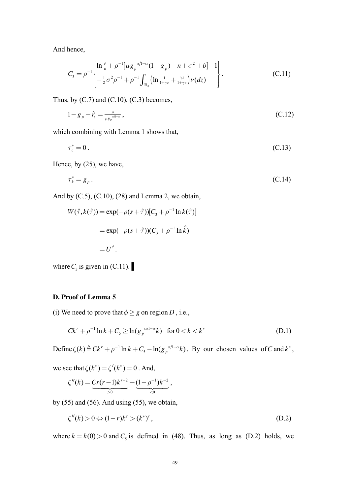And hence,

$$
C_3 = \rho^{-1} \begin{cases} \ln \frac{\rho}{\mu} + \rho^{-1} [\mu g_p^{\alpha/1-\alpha} (1 - g_p) - n + \sigma^2 + b] - 1 \\ -\frac{1}{2} \sigma^2 \rho^{-1} + \rho^{-1} \int_{\mathbb{R}_0} \left( \ln \frac{1}{1 + \gamma z} + \frac{\gamma z}{1 + \gamma z} \right) \nu(dz) \end{cases} . \tag{C.11}
$$

Thus, by  $(C.7)$  and  $(C.10)$ ,  $(C.3)$  becomes,

$$
1 - g_p - \hat{r}_s = \frac{\rho}{\mu g_p^{\alpha/1-\alpha}},\tag{C.12}
$$

which combining with Lemma 1 shows that,

 $\tau_c^* = 0$  $x_c^* = 0$ . (C.13)

Hence, by (25), we have,

$$
\tau_k^* = g_p \,. \tag{C.14}
$$

And by  $(C.5)$ ,  $(C.10)$ ,  $(28)$  and Lemma 2, we obtain,

$$
W(\hat{\tau}, k(\hat{\tau})) = \exp(-\rho(s+\hat{\tau})) [C_3 + \rho^{-1} \ln k(\hat{\tau})]
$$
  

$$
= \exp(-\rho(s+\hat{\tau})) (C_3 + \rho^{-1} \ln k)
$$
  

$$
= U^{\hat{\tau}}.
$$

where  $C_3$  is given in (C.11).

#### **D. Proof of Lemma 5**

(i) We need to prove that  $\phi \geq g$  on region *D*, i.e.,

$$
Ck^{r} + \rho^{-1} \ln k + C_5 \ge \ln(g_p^{\alpha/1-\alpha}k) \quad \text{for } 0 < k < k^* \tag{D.1}
$$

Define  $\zeta(k) \triangleq Ck^r + \rho^{-1} \ln k + C_5 - \ln(g_p^{\alpha/1-\alpha}k)$ . By our chosen values of *C* and  $k^*$ ,

we see that  $\zeta(k^*) = \zeta'(k^*) = 0$ . And,

$$
\zeta''(k) = \underbrace{Cr(r-1)k^{r-2}}_{>0} + \underbrace{(1-\rho^{-1})k^{-2}}_{<0},
$$

by  $(55)$  and  $(56)$ . And using  $(55)$ , we obtain,

$$
\zeta''(k) > 0 \Leftrightarrow (1-r)k^r > (k^*)^r,\tag{D.2}
$$

where  $k = k(0) > 0$  and  $C_5$  is defined in (48). Thus, as long as (D.2) holds, we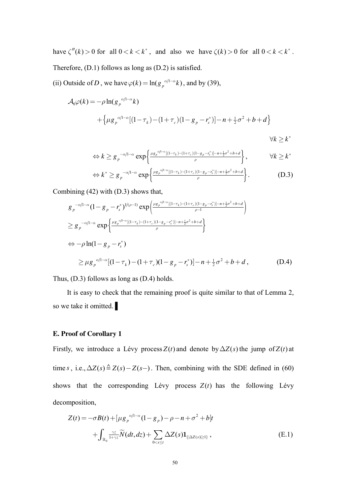have  $\zeta''(k) > 0$  for all  $0 < k < k^*$ , and also we have  $\zeta(k) > 0$  for all  $0 < k < k^*$ . Therefore, (D.1) follows as long as (D.2) is satisfied.

(ii) Outside of *D*, we have  $\varphi(k) = \ln(g_p^{\alpha/1-\alpha}k)$ , and by (39),

$$
\mathcal{A}_0 \varphi(k) = -\rho \ln(g_p^{\alpha/1-\alpha}k) \n+ \left\{ \mu g_p^{\alpha/1-\alpha} [(1-\tau_k) - (1+\tau_c)(1-g_p-r_s^*)] - n + \frac{1}{2}\sigma^2 + b + d \right\} \n\forall k \ge k^*
$$

$$
\Leftrightarrow k \ge g_p^{-\alpha/1-\alpha} \exp\left\{\frac{\mu g_p^{\alpha/1-\alpha}[(1-\tau_k)-(1+\tau_c)(1-g_p-\tau_s^*)]-n+\frac{1}{2}\sigma^2+b+d}{\rho}\right\}, \qquad \forall k \ge k^*
$$
  

$$
\Leftrightarrow k^* \ge g_p^{-\alpha/1-\alpha} \exp\left\{\frac{\mu g_p^{\alpha/1-\alpha}[(1-\tau_k)-(1+\tau_c)(1-g_p-\tau_s^*)]-n+\frac{1}{2}\sigma^2+b+d}{\rho}\right\}.
$$
 (D.3)

*r*

Combining (42) with (D.3) shows that,

$$
g_{p}^{-\alpha/1-\alpha}(1-g_{p}-r_{s}^{*})^{1/(\rho-1)} \exp\left(\frac{\mu g_{p}^{\alpha/1-\alpha}[(1-\tau_{k})-(1+\tau_{c})(1-g_{p}-r_{s}^{*})]-n+\frac{1}{2}\sigma^{2}+b+d}{\rho-1}\right)
$$
  
\n
$$
\geq g_{p}^{-\alpha/1-\alpha} \exp\left\{\frac{\mu g_{p}^{\alpha/1-\alpha}[(1-\tau_{k})-(1+\tau_{c})(1-g_{p}-r_{s}^{*})]-n+\frac{1}{2}\sigma^{2}+b+d}{\rho}\right\}
$$
  
\n
$$
\Leftrightarrow -\rho \ln(1-g_{p}-r_{s}^{*})
$$
  
\n
$$
\geq \mu g_{p}^{\alpha/1-\alpha}[(1-\tau_{k})-(1+\tau_{c})(1-g_{p}-r_{s}^{*})]-n+\frac{1}{2}\sigma^{2}+b+d,
$$
 (D.4)

Thus, (D.3) follows as long as (D.4) holds.

It is easy to check that the remaining proof is quite similar to that of Lemma 2, so we take it omitted.

#### **E. Proof of Corollary 1**

Firstly, we introduce a Lévy process  $Z(t)$  and denote by  $\Delta Z(s)$  the jump of  $Z(t)$  at time *s*, i.e.,  $\Delta Z(s) \triangleq Z(s) - Z(s-)$ . Then, combining with the SDE defined in (60) shows that the corresponding Lévy process  $Z(t)$  has the following Lévy decomposition,

$$
Z(t) = -\sigma B(t) + \left[\mu g_p^{\alpha/1-\alpha} (1 - g_p) - \rho - n + \sigma^2 + b\right]t
$$
  
+ 
$$
\int_{\mathbb{R}_0} \frac{\gamma z}{1 + \gamma z} \widetilde{N}(dt, dz) + \sum_{0 < s \le t} \Delta Z(s) \mathbf{1}_{\{|\Delta Z(s)| \ge 1\}}, \tag{E.1}
$$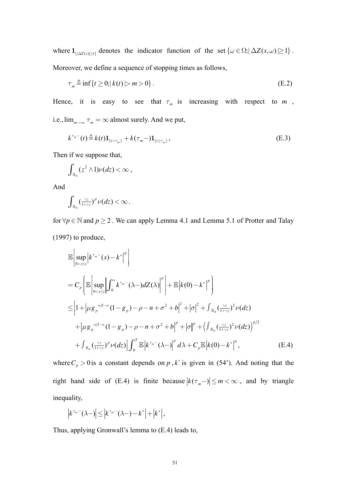where  $\mathbf{1}_{\{|\Delta Z(s)|\geq 1\}}$  denotes the indicator function of the set  $\{\omega \in \Omega; |\Delta Z(s,\omega)| \geq 1\}$ . Moreover, we define a sequence of stopping times as follows,

$$
\tau_m \triangleq \inf \{ t \ge 0; |k(t)| > m > 0 \}.
$$
\n(E.2)

Hence, it is easy to see that  $\tau_m$  is increasing with respect to m, i.e.,  $\lim_{m\to\infty} \tau_m = \infty$  almost surely. And we put,

$$
k^{\tau_m-}(t) \stackrel{\Delta}{=} k(t) \mathbf{1}_{\{t < \tau_m\}} + k(\tau_m -) \mathbf{1}_{\{t \ge \tau_m\}},
$$
\n(E.3)

Then if we suppose that,

$$
\int_{\mathbb{R}_0} (z^2 \wedge 1) \nu(dz) < \infty ,
$$

And

$$
\int_{\mathbb{R}_0} \left(\frac{\gamma z}{1+\gamma z}\right)^p \nu(dz) < \infty.
$$

for  $\forall p \in \mathbb{N}$  and  $p \ge 2$ . We can apply Lemma 4.1 and Lemma 5.1 of Protter and Talay  $(1997)$  to produce,

$$
\mathbb{E}\left[\sup_{0
$$

where  $C_p > 0$  is a constant depends on p, k\* is given in (54'). And noting that the right hand side of (E.4) is finite because  $|k(\tau_m-)| \le m < \infty$ , and by triangle inequality,

$$
\left|k^{\tau_m-}(\lambda-)\right|\leq \left|k^{\tau_m-}(\lambda-)-k^*\right|+\left|k^*\right|,
$$

Thus, applying Gronwall's lemma to (E.4) leads to,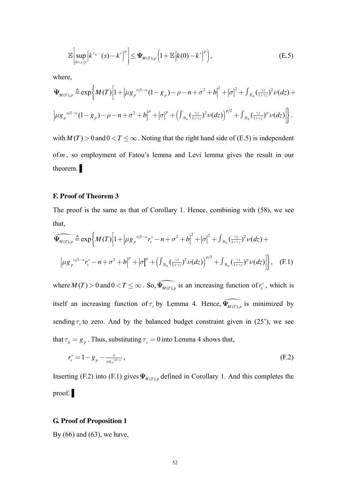$$
\mathbb{E}\bigg[\sup_{0
$$

where,

$$
\Psi_{M(T),p} \triangleq \exp\left\{M(T)\left[1+\left|\mu g_{p}^{\alpha/1-\alpha}(1-g_{p})-\rho-n+\sigma^{2}+b\right|^{2}+\left|\sigma\right|^{2}+\int_{\mathbb{R}_{0}}\left(\frac{\gamma z}{1+\gamma z}\right)^{2}\nu(dz)+\right.\right\}
$$
\n
$$
\left|\mu g_{p}^{\alpha/1-\alpha}(1-g_{p})-\rho-n+\sigma^{2}+b\right|^{p}+\left|\sigma\right|^{p}+\left(\int_{\mathbb{R}_{0}}\left(\frac{\gamma z}{1+\gamma z}\right)^{2}\nu(dz)\right)^{p/2}+\int_{\mathbb{R}_{0}}\left(\frac{\gamma z}{1+\gamma z}\right)^{p}\nu(dz)\right|\right\}.
$$

with  $M(T) > 0$  and  $0 < T \le \infty$ . Noting that the right hand side of (E.5) is independent of  $m$ , so employment of Fatou's lemma and Levi lemma gives the result in our theorem.

### F. Proof of Theorem 3

The proof is the same as that of Corollary 1. Hence, combining with (58), we see that,

$$
\widehat{\Psi_{M(T),p}} \triangleq \exp\left\{M(T)\left[1+\left|\mu g_{p}^{\alpha/1-\alpha}r_{s}^{*}-n+\sigma^{2}+b\right|^{2}+\left|\sigma\right|^{2}+\int_{\mathbb{R}_{0}}\left(\frac{\gamma z}{1+\gamma z}\right)^{2}\nu(dz)+\right.\right.
$$
\n
$$
\left|\mu g_{p}^{\alpha/1-\alpha}r_{s}^{*}-n+\sigma^{2}+b\right|^{p}+\left|\sigma\right|^{p}+\left(\int_{\mathbb{R}_{0}}\left(\frac{\gamma z}{1+\gamma z}\right)^{2}\nu(dz)\right)^{p/2}+\int_{\mathbb{R}_{0}}\left(\frac{\gamma z}{1+\gamma z}\right)^{p}\nu(dz)\right|\right\}, \quad (F.1)
$$

where  $M(T) > 0$  and  $0 < T \le \infty$ . So,  $\widehat{\Psi_{M(T),p}}$  is an increasing function of  $r_s^*$ , which is itself an increasing function of  $\tau_c$  by Lemma 4. Hence,  $\widehat{\Psi_{M(T),p}}$  is minimized by sending  $\tau_c$  to zero. And by the balanced budget constraint given in (25'), we see that  $\tau_k = g_p$ . Thus, substituting  $\tau_c = 0$  into Lemma 4 shows that,

$$
r_s^* = 1 - g_p - \frac{\rho}{\mu g_p^{\alpha/1-\alpha}},
$$
\n(F.2)

Inserting (F.2) into (F.1) gives  $\Psi_{M(T), p}$  defined in Corollary 1. And this completes the  $proof.$ 

#### **G. Proof of Proposition 1**

By  $(66)$  and  $(63)$ , we have,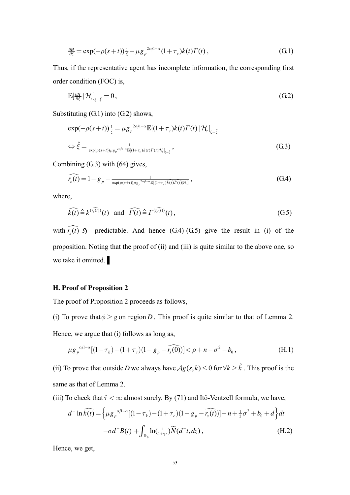$$
\frac{\partial H}{\partial \xi} = \exp(-\rho(s+t))\frac{1}{\xi} - \mu g_p^{2\alpha/1-\alpha} (1+\tau_c)k(t)\Gamma(t), \qquad (G.1)
$$

Thus, if the representative agent has incomplete information, the corresponding first order condition (FOC) is,

$$
\mathbb{E}[\frac{\partial H}{\partial \xi}|\mathcal{H}_t]_{\xi=\hat{\xi}}=0,\tag{G.2}
$$

Substituting (G.1) into (G.2) shows,

$$
\exp(-\rho(s+t))\frac{1}{\hat{\xi}} = \mu g_p^{2\alpha/1-\alpha} \mathbb{E}[(1+\tau_c)k(t)\Gamma(t) | \mathcal{H}_t]_{\xi=\hat{\xi}}
$$
  
\n
$$
\Leftrightarrow \hat{\xi} = \frac{1}{\exp(\rho(s+t))\mu g_p^{2\alpha/1-\alpha} \mathbb{E}[(1+\tau_c)k(t)\Gamma(t)|\mathcal{H}_t]_{\xi=\hat{\xi}}},
$$
\n(G.3)

Combining  $(G.3)$  with  $(64)$  gives,

$$
\widehat{r_s(t)} = 1 - g_p - \frac{1}{\exp(\rho(s+t))\mu g_p^{2\alpha/1-\alpha}\mathbb{E}[(1+\tau_c)\widehat{k(t)}\widehat{I(t)}]\tau_1},
$$
\n(G.4)

where,

$$
\widehat{k(t)} \triangleq k^{(\widehat{r_s(t)})}(t) \quad \text{and} \quad \widehat{\Gamma(t)} \triangleq \Gamma^{(\widehat{r_s(t)})}(t), \tag{G.5}
$$

with  $\widehat{r_s(t)}$   $\mathfrak{H}$ -predictable. And hence (G.4)-(G.5) give the result in (i) of the proposition. Noting that the proof of (ii) and (iii) is quite similar to the above one, so we take it omitted.

# **H. Proof of Proposition 2**

The proof of Proposition 2 proceeds as follows,

(i) To prove that  $\phi \geq g$  on region *D*. This proof is quite similar to that of Lemma 2. Hence, we argue that (i) follows as long as,

$$
\mu g_p^{\alpha/l-\alpha}[(1-\tau_k)-(1+\tau_c)(1-g_p-\widehat{r_s(0)})] < \rho+n-\sigma^2-b_0,
$$
\n(H.1)

(ii) To prove that outside *D* we always have  $Ag(s, k) \leq 0$  for  $\forall k \geq \hat{k}$ . This proof is the same as that of Lemma 2.

(iii) To check that  $\hat{\tau} < \infty$  almost surely. By (71) and Itô-Ventzell formula, we have,

$$
d^{-} \ln \widehat{k(t)} = \left\{ \mu g_p^{\alpha/1-\alpha} [(1-\tau_k) - (1+\tau_c)(1-g_p - \widehat{r_s(t)})] - n + \frac{1}{2}\sigma^2 + b_0 + d \right\} dt
$$
  

$$
-\sigma d^{-} B(t) + \int_{\mathbb{R}_0} \ln(\frac{1}{1+\gamma z}) \widetilde{N}(d^{-} t, dz), \tag{H.2}
$$

Hence, we get,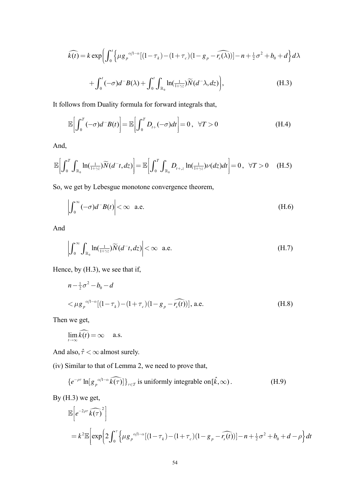$$
\widehat{k(t)} = k \exp \left( \int_0^t \left\{ \mu g_p^{\alpha/1-\alpha} \left[ (1-\tau_k) - (1+\tau_c)(1-g_p - \widehat{r_s(\lambda)}) \right] - n + \frac{1}{2} \sigma^2 + b_0 + d \right\} d\lambda
$$

$$
+\int_0^t (-\sigma)d^{-}B(\lambda)+\int_0^t\int_{\mathbb{R}_0}\ln(\frac{1}{1+\gamma z})\widetilde{N}(d^{-}\lambda,dz)\bigg),\tag{H.3}
$$

It follows from Duality formula for forward integrals that,

$$
\mathbb{E}\bigg[\int_0^T(-\sigma)d^{-}B(t)\bigg]=\mathbb{E}\bigg[\int_0^T D_{t+}(-\sigma)dt\bigg]=0\,,\quad \forall T>0\tag{H.4}
$$

And,

$$
\mathbb{E}\bigg[\int_0^T\int_{\mathbb{R}_0}\ln(\tfrac{1}{1+\gamma z})\widetilde{N}(d^-t,dz)\bigg]=\mathbb{E}\bigg[\int_0^T\int_{\mathbb{R}_0}D_{t+z}\ln(\tfrac{1}{1+\gamma z})\nu(dz)dt\bigg]=0\,,\quad\forall T>0\quad \ (\text{H.5})
$$

So, we get by Lebesgue monotone convergence theorem,

$$
\left| \int_0^\infty (-\sigma) d^- B(t) \right| < \infty \quad \text{a.e.} \tag{H.6}
$$

And

$$
\left| \int_0^\infty \int_{\mathbb{R}_0} \ln(\frac{1}{1+\gamma z}) \widetilde{N}(d^- t, dz) \right| < \infty \quad \text{a.e.} \tag{H.7}
$$

Hence, by (H.3), we see that if,

$$
n - \frac{1}{2}\sigma^2 - b_0 - d
$$
  

$$
<\mu g_p^{\alpha/l - \alpha}[(1 - \tau_k) - (1 + \tau_c)(1 - g_p - \widehat{r_s(t)})],
$$
 a.e. (H.8)

Then we get,

$$
\lim_{t\to\infty}\widehat{k(t)}=\infty \quad \text{a.s.}
$$

And also,  $\hat{\tau} < \infty$  almost surely.

(iv) Similar to that of Lemma 2, we need to prove that,

$$
\{e^{-\rho\tau}\ln[g_p^{\alpha/1-\alpha}\widehat{k(\tau)}]\}_{\tau\in\mathcal{T}}\text{ is uniformly integrable on }[\hat{k},\infty). \tag{H.9}
$$

By  $(H.3)$  we get,

$$
\mathbb{E}\left[e^{-2\rho\tau}\widehat{k(\tau)}^{2}\right]
$$
\n
$$
= k^{2}\mathbb{E}\left[\exp\left(2\int_{0}^{\tau}\left\{\mu g_{p}^{\alpha/1-\alpha}\left[(1-\tau_{k})-(1+\tau_{c})(1-g_{p}-\widehat{r_{s}(t)})\right]-n+\frac{1}{2}\sigma^{2}+b_{0}+d-\rho\right\}dt\right]\right]
$$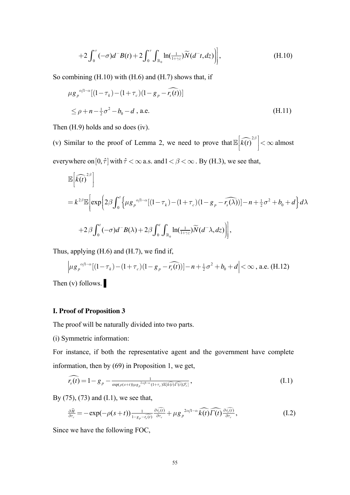$$
+2\int_0^{\tau}(-\sigma)d^{-}B(t)+2\int_0^{\tau}\int_{\mathbb{R}_0}\ln(\frac{1}{1+\gamma z})\widetilde{N}(d^{-}t,dz)\bigg),\tag{H.10}
$$

So combining  $(H.10)$  with  $(H.6)$  and  $(H.7)$  shows that, if

$$
\mu g_p^{\alpha/1-\alpha}[(1-\tau_k)-(1+\tau_c)(1-g_p-\widehat{r_s(t)})]
$$
  
\n
$$
\leq \rho + n - \frac{1}{2}\sigma^2 - b_0 - d
$$
, a.e. (H.11)

Then  $(H.9)$  holds and so does  $(iv)$ .

(v) Similar to the proof of Lemma 2, we need to prove that  $\mathbb{E} \left| \widehat{k(t)}^{2\beta} \right| < \infty$  almost everywhere on  $[0, \hat{\tau}]$  with  $\hat{\tau} < \infty$  a.s. and  $1 < \beta < \infty$ . By (H.3), we see that,

$$
\mathbb{E}\left[\widehat{k(t)}^{2\beta}\right]
$$
\n
$$
= k^{2\beta} \mathbb{E}\left[\exp\left(2\beta \int_0^t \left\{\mu g_p^{\alpha/1-\alpha}[(1-\tau_k)-(1+\tau_c)(1-g_p-\widehat{r_s(\lambda)})]-n+\frac{1}{2}\sigma^2+b_0+d\right\}d\lambda\right.\right.
$$
\n
$$
+2\beta \int_0^t (-\sigma)d^{-}B(\lambda)+2\beta \int_0^t \int_{\mathbb{R}_0} \ln(\frac{1}{1+\gamma z})\widetilde{N}(d^{-}\lambda, dz)\right],
$$

Thus, applying (H.6) and (H.7), we find if,

$$
\left| \mu g_p^{\alpha/1-\alpha} [(1-\tau_k) - (1+\tau_c)(1-g_p - \widehat{r_s(t)})] - n + \frac{1}{2}\sigma^2 + b_0 + d \right| < \infty \text{ , a.e. (H.12)}
$$

Then  $(v)$  follows.

## I. Proof of Proposition 3

The proof will be naturally divided into two parts.

(i) Symmetric information:

For instance, if both the representative agent and the government have complete information, then by  $(69)$  in Proposition 1, we get,

$$
\widehat{r_s(t)} = 1 - g_p - \frac{1}{\exp(\rho(s+t))\mu g_p^{2\alpha/1-\alpha}(1+\tau_c)\mathbb{E}[\widehat{k(t)}\widehat{\Gamma(t)}]\mathcal{F}_t}},\tag{I.1}
$$

By  $(75)$ ,  $(73)$  and  $(1.1)$ , we see that,

$$
\frac{\partial \hat{H}}{\partial \tau_c} = -\exp(-\rho(s+t)) \frac{1}{1 - g_p - \hat{r_s}(t)} \frac{\partial \hat{r_s}(t)}{\partial \tau_c} + \mu g_p^{2\alpha/1 - \alpha} \widehat{k(t)} \widehat{\Gamma(t)} \frac{\partial \hat{r_s}(t)}{\partial \tau_c}, \tag{I.2}
$$

Since we have the following FOC,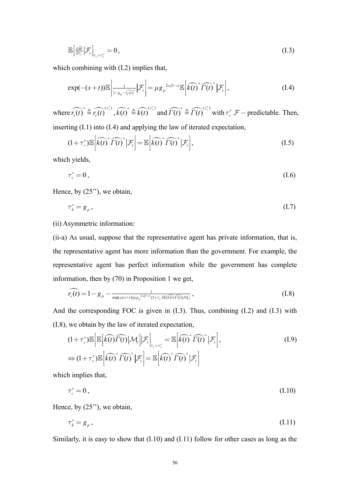$$
\mathbb{E}\left[\frac{\partial\widehat{H}}{\partial\tau_c}|\mathcal{F}_t\right]_{\tau_c=\tau_c^*}=0,\tag{I.3}
$$

which combining with  $(I.2)$  implies that,

$$
\exp(-(s+t))\mathbb{E}\bigg[\frac{1}{1-g_p-\tilde{r_s(t)}^*}\bigg|\mathcal{F}_t\bigg]=\mu g_p^{2\alpha/1-\alpha}\mathbb{E}\bigg[\widehat{k(t)}^*\widehat{\Gamma(t)}^*\bigg|\mathcal{F}_t\bigg],\tag{I.4}
$$

where  $\widehat{r_s(t)}^* \triangleq \widehat{r_s(t)}^{(\tau_c^*)}, \widehat{k(t)}^* \triangleq \widehat{k(t)}^{(\tau_c^*)}$  and  $\widehat{\Gamma(t)}^* \triangleq \widehat{\Gamma(t)}^{(\tau_c^*)}$  with  $\tau_c^* \mathcal{F}$  – predictable. Then, inserting  $(I.1)$  into  $(I.4)$  and applying the law of iterated expectation,

$$
(1+\tau_c^*)\mathbb{E}\left[\widehat{k(t)}^* \widehat{\Gamma(t)}^* \big| \mathcal{F}_t\right] = \mathbb{E}\left[\widehat{k(t)}^* \widehat{\Gamma(t)}^* \big| \mathcal{F}_t\right],\tag{I.5}
$$

which yields,

$$
\tau_c^* = 0 \,, \tag{I.6}
$$

Hence, by  $(25")$ , we obtain,

$$
\tau_k^* = g_p \,, \tag{I.7}
$$

(ii) Asymmetric information:

(ii-a) As usual, suppose that the representative agent has private information, that is, the representative agent has more information than the government. For example, the representative agent has perfect information while the government has complete information, then by  $(70)$  in Proposition 1 we get,

$$
\widehat{r_s(t)} = 1 - g_p - \frac{1}{\exp(\rho(s+t))\mu g_p^{2\alpha/1-\alpha}(1+\tau_c)\mathbb{E}[\widehat{k(t)}\widehat{\Gamma(t)}|\mathcal{M}_t]},
$$
\n(1.8)

And the corresponding FOC is given in  $(1.3)$ . Thus, combining  $(1.2)$  and  $(1.3)$  with (I.8), we obtain by the law of iterated expectation,

$$
(1+\tau_c^*)\mathbb{E}\Big[\mathbb{E}\Big[\widehat{k(t)}\widehat{\Gamma(t)}\Big|\mathcal{M}_t\Big|\Big|\mathcal{F}_t\Big]_{\tau_c=\tau_c^*}=\mathbb{E}\Big[\widehat{k(t)}^*\widehat{\Gamma(t)}^*\Big|\mathcal{F}_t\Big],
$$
  
\n
$$
\Leftrightarrow (1+\tau_c^*)\mathbb{E}\Big[\widehat{k(t)}^*\widehat{\Gamma(t)}^*\Big|\mathcal{F}_t\Big]=\mathbb{E}\Big[\widehat{k(t)}^*\widehat{\Gamma(t)}^*\Big|\mathcal{F}_t\Big].
$$
\n(1.9)

which implies that,

 $\tau_c^* = 0$ ,  $(I.10)$ 

Hence, by  $(25")$ , we obtain,

$$
\tau_k^* = g_p, \tag{I.11}
$$

Similarly, it is easy to show that  $(1.10)$  and  $(1.11)$  follow for other cases as long as the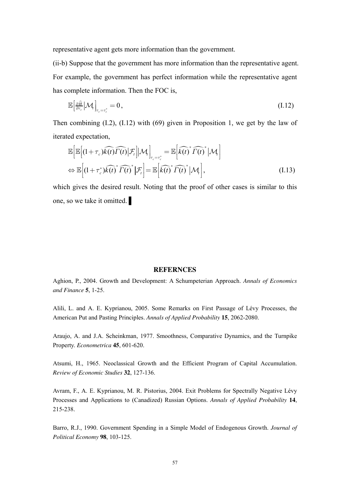representative agent gets more information than the government.

(ii-b) Suppose that the government has more information than the representative agent. For example, the government has perfect information while the representative agent has complete information. Then the FOC is,

$$
\mathbb{E}\left[\frac{\partial\widehat{H}}{\partial\tau_c}\big|\mathcal{M}_t\right]_{\tau_c=\tau_c^*}=0\,,\tag{I.12}
$$

Then combining (I.2), (I.12) with (69) given in Proposition 1, we get by the law of iterated expectation,

$$
\mathbb{E}\Big[\mathbb{E}\Big[(1+\tau_c)\widehat{k(t)}\widehat{\Gamma(t)}|\mathcal{F}_t\Big]|\mathcal{M}_t\Big]_{\tau_c=\tau_c^*} = \mathbb{E}\Big[\widehat{k(t)}^*\widehat{\Gamma(t)}^*|\mathcal{M}_t\Big] \n\Leftrightarrow \mathbb{E}\Big[(1+\tau_c^*)\widehat{k(t)}^*\widehat{\Gamma(t)}^*|\mathcal{F}_t\Big] = \mathbb{E}\Big[\widehat{k(t)}^*\widehat{\Gamma(t)}^*|\mathcal{M}_t\Big],
$$
\n(1.13)

which gives the desired result. Noting that the proof of other cases is similar to this one, so we take it omitted.

#### **REFERNCES**

Aghion, P., 2004. Growth and Development: A Schumpeterian Approach. *Annals of Economics and Finance* **5**, 1-25.

Alili, L. and A. E. Kyprianou, 2005. Some Remarks on First Passage of Lévy Processes, the American Put and Pasting Principles. *Annals of Applied Probability* **15**, 2062-2080.

Araujo, A. and J.A. Scheinkman, 1977. Smoothness, Comparative Dynamics, and the Turnpike Property. *Econometrica* **45**, 601-620.

Atsumi, H., 1965. Neoclassical Growth and the Efficient Program of Capital Accumulation. *Review of Economic Studies* **32**, 127-136.

Avram, F., A. E. Kyprianou, M. R. Pistorius, 2004. Exit Problems for Spectrally Negative Lévy Processes and Applications to (Canadized) Russian Options. *Annals of Applied Probability* **14**, 215-238.

Barro, R.J., 1990. Government Spending in a Simple Model of Endogenous Growth. *Journal of Political Economy* **98**, 103-125.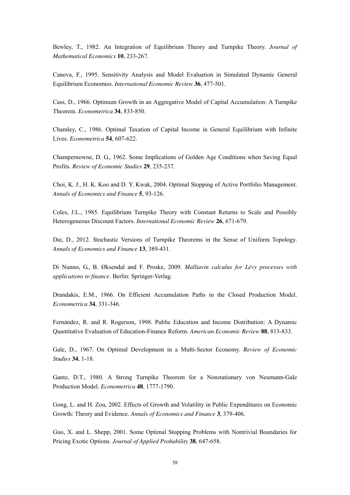Bewley, T., 1982. An Integration of Equilibrium Theory and Turnpike Theory. *Journal of Mathematical Economics* **10**, 233-267.

Canova, F., 1995. Sensitivity Analysis and Model Evaluation in Simulated Dynamic General Equilibrium Economies. *International Economic Review* **36**, 477-501.

Cass, D., 1966. Optimum Growth in an Aggregative Model of Capital Accumulation: A Turnpike Theorem. *Econometrica* **34**, 833-850.

Chamley, C., 1986. Optimal Taxation of Capital Income in General Equilibrium with Infinite Lives. *Econometrica* **54**, 607-622.

Champernowne, D. G., 1962. Some Implications of Golden Age Conditions when Saving Equal Profits. *Review of Economic Studies* **29**, 235-237.

Choi, K. J., H. K. Koo and D. Y. Kwak, 2004. Optimal Stopping of Active Portfolio Management. *Annals of Economics and Finance* **5**, 93-126.

Coles, J.L., 1985. Equilibrium Turnpike Theory with Constant Returns to Scale and Possibly Heterogeneous Discount Factors. *International Economic Review* **26**, 671-679.

Dai, D., 2012. Stochastic Versions of Turnpike Theorems in the Sense of Uniform Topology. *Annals of Economics and Finance* **13**, 389-431.

Di Nunno, G., B. Øksendal and F. Proske, 2009. *Malliavin calculus for Lévy processes with applications to finance*. Berlin: Springer-Verlag.

Drandakis, E.M., 1966. On Efficient Accumulation Paths in the Closed Production Model. *Econometrica* **34**, 331-346.

Fernández, R. and R. Rogerson, 1998. Public Education and Income Distribution: A Dynamic Quantitative Evaluation of Education-Finance Reform. *American Economic Review* **88**, 813-833.

Gale, D., 1967. On Optimal Development in a Multi-Sector Economy. *Review of Economic Studies* **34**, 1-18.

Gantz, D.T., 1980. A Strong Turnpike Theorem for a Nonstationary von Neumann-Gale Production Model. *Econometrica* **48**, 1777-1790.

Gong, L. and H. Zou, 2002. Effects of Growth and Volatility in Public Expenditures on Economic Growth: Theory and Evidence. *Annals of Economics and Finance* **3**, 379-406.

Guo, X. and L. Shepp, 2001. Some Optimal Stopping Problems with Nontrivial Boundaries for Pricing Exotic Options. *Journal of Applied Probability* **38**, 647-658.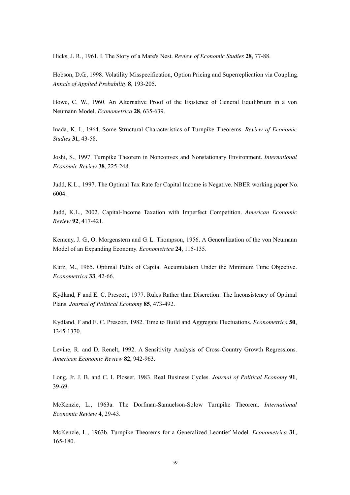Hicks, J. R., 1961. I. The Story of a Mare's Nest. *Review of Economic Studies* **28**, 77-88.

Hobson, D.G., 1998. Volatility Misspecification, Option Pricing and Superreplication via Coupling. *Annals of Applied Probability* **8**, 193-205.

Howe, C. W., 1960. An Alternative Proof of the Existence of General Equilibrium in a von Neumann Model. *Econometrica* **28**, 635-639.

Inada, K. I., 1964. Some Structural Characteristics of Turnpike Theorems. *Review of Economic Studies* **31**, 43-58.

Joshi, S., 1997. Turnpike Theorem in Nonconvex and Nonstationary Environment. *International Economic Review* **38**, 225-248.

Judd, K.L., 1997. The Optimal Tax Rate for Capital Income is Negative. NBER working paper No. 6004.

Judd, K.L., 2002. Capital-Income Taxation with Imperfect Competition. *American Economic Review* **92**, 417-421.

Kemeny, J. G., O. Morgenstern and G. L. Thompson, 1956. A Generalization of the von Neumann Model of an Expanding Economy. *Econometrica* **24**, 115-135.

Kurz, M., 1965. Optimal Paths of Capital Accumulation Under the Minimum Time Objective. *Econometrica* **33**, 42-66.

Kydland, F and E. C. Prescott, 1977. Rules Rather than Discretion: The Inconsistency of Optimal Plans. *Journal of Political Economy* **85**, 473-492.

Kydland, F and E. C. Prescott, 1982. Time to Build and Aggregate Fluctuations. *Econometrica* **50**, 1345-1370.

Levine, R. and D. Renelt, 1992. A Sensitivity Analysis of Cross-Country Growth Regressions. *American Economic Review* **82**, 942-963.

Long, Jr. J. B. and C. I. Plosser, 1983. Real Business Cycles. *Journal of Political Economy* **91**, 39-69.

McKenzie, L., 1963a. The Dorfman-Samuelson-Solow Turnpike Theorem. *International Economic Review* **4**, 29-43.

McKenzie, L., 1963b. Turnpike Theorems for a Generalized Leontief Model. *Econometrica* **31**, 165-180.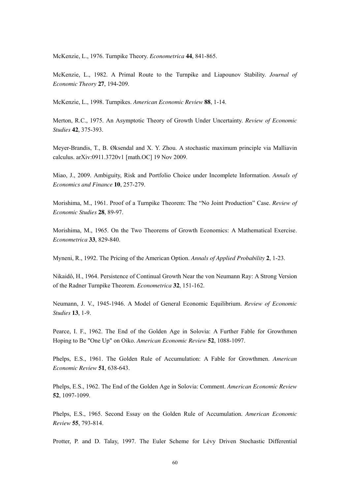McKenzie, L., 1976. Turnpike Theory. *Econometrica* **44**, 841-865.

McKenzie, L., 1982. A Primal Route to the Turnpike and Liapounov Stability. *Journal of Economic Theory* **27**, 194-209.

McKenzie, L., 1998. Turnpikes. *American Economic Review* **88**, 1-14.

Merton, R.C., 1975. An Asymptotic Theory of Growth Under Uncertainty. *Review of Economic Studies* **42**, 375-393.

Meyer-Brandis, T., B. Øksendal and X. Y. Zhou. A stochastic maximum principle via Malliavin calculus. arXiv:0911.3720v1 [math.OC] 19 Nov 2009.

Miao, J., 2009. Ambiguity, Risk and Portfolio Choice under Incomplete Information. *Annals of Economics and Finance* **10**, 257-279.

Morishima, M., 1961. Proof of a Turnpike Theorem: The "No Joint Production" Case. *Review of Economic Studies* **28**, 89-97.

Morishima, M., 1965. On the Two Theorems of Growth Economics: A Mathematical Exercise. *Econometrica* **33**, 829-840.

Myneni, R., 1992. The Pricing of the American Option. *Annals of Applied Probability* **2**, 1-23.

Nikaidô, H., 1964. Persistence of Continual Growth Near the von Neumann Ray: A Strong Version of the Radner Turnpike Theorem. *Econometrica* **32**, 151-162.

Neumann, J. V., 1945-1946. A Model of General Economic Equilibrium. *Review of Economic Studies* **13**, 1-9.

Pearce, I. F., 1962. The End of the Golden Age in Solovia: A Further Fable for Growthmen Hoping to Be "One Up" on Oiko. *American Economic Review* **52**, 1088-1097.

Phelps, E.S., 1961. The Golden Rule of Accumulation: A Fable for Growthmen. *American Economic Review* **51**, 638-643.

Phelps, E.S., 1962. The End of the Golden Age in Solovia: Comment. *American Economic Review* **52**, 1097-1099.

Phelps, E.S., 1965. Second Essay on the Golden Rule of Accumulation. *American Economic Review* **55**, 793-814.

Protter, P. and D. Talay, 1997. The Euler Scheme for Lévy Driven Stochastic Differential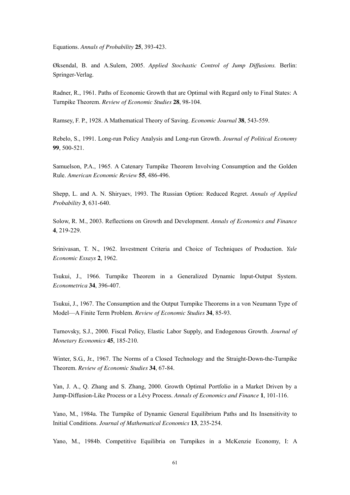Equations. *Annals of Probability* **25**, 393-423.

Øksendal, B. and A.Sulem, 2005. *Applied Stochastic Control of Jump Diffusions.* Berlin: Springer-Verlag.

Radner, R., 1961. Paths of Economic Growth that are Optimal with Regard only to Final States: A Turnpike Theorem. *Review of Economic Studies* **28**, 98-104.

Ramsey, F. P., 1928. A Mathematical Theory of Saving. *Economic Journal* **38**, 543-559.

Rebelo, S., 1991. Long-run Policy Analysis and Long-run Growth. *Journal of Political Economy* **99**, 500-521.

Samuelson, P.A., 1965. A Catenary Turnpike Theorem Involving Consumption and the Golden Rule. *American Economic Review* **55**, 486-496.

Shepp, L. and A. N. Shiryaev, 1993. The Russian Option: Reduced Regret. *Annals of Applied Probability* **3**, 631-640.

Solow, R. M., 2003. Reflections on Growth and Development. *Annals of Economics and Finance* **4**, 219-229.

Srinivasan, T. N., 1962. Investment Criteria and Choice of Techniques of Production. *Yale Economic Essays* **2**, 1962.

Tsukui, J., 1966. Turnpike Theorem in a Generalized Dynamic Input-Output System. *Econometrica* **34**, 396-407.

Tsukui, J., 1967. The Consumption and the Output Turnpike Theorems in a von Neumann Type of Model—A Finite Term Problem. *Review of Economic Studies* **34**, 85-93.

Turnovsky, S.J., 2000. Fiscal Policy, Elastic Labor Supply, and Endogenous Growth. *Journal of Monetary Economics* **45**, 185-210.

Winter, S.G., Jr., 1967. The Norms of a Closed Technology and the Straight-Down-the-Turnpike Theorem. *Review of Economic Studies* **34**, 67-84.

Yan, J. A., Q. Zhang and S. Zhang, 2000. Growth Optimal Portfolio in a Market Driven by a Jump-Diffusion-Like Process or a Lévy Process. *Annals of Economics and Finance* **1**, 101-116.

Yano, M., 1984a. The Turnpike of Dynamic General Equilibrium Paths and Its Insensitivity to Initial Conditions. *Journal of Mathematical Economics* **13**, 235-254.

Yano, M., 1984b. Competitive Equilibria on Turnpikes in a McKenzie Economy, I: A